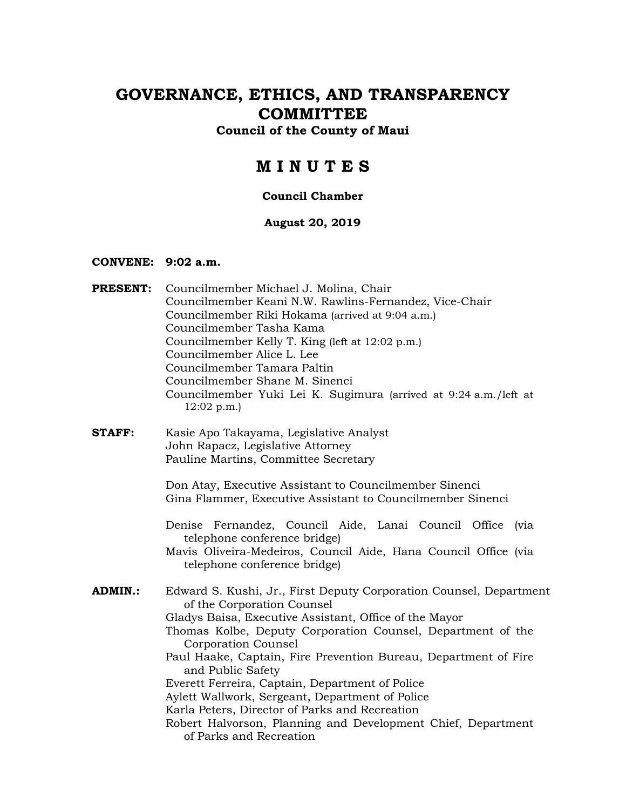# **GOVERNANCE, ETHICS, AND TRANSPARENCY COMMITTEE**

### **Council of the County of Maui**

# **M I N U T E S**

### **Council Chamber**

#### **August 20, 2019**

#### **CONVENE: 9:02 a.m.**

- **PRESENT:** Councilmember Michael J. Molina, Chair Councilmember Keani N.W. Rawlins-Fernandez, Vice-Chair Councilmember Riki Hokama (arrived at 9:04 a.m.) Councilmember Tasha Kama Councilmember Kelly T. King (left at 12:02 p.m.) Councilmember Alice L. Lee Councilmember Tamara Paltin Councilmember Shane M. Sinenci Councilmember Yuki Lei K. Sugimura (arrived at 9:24 a.m./left at 12:02 p.m.)
- **STAFF:** Kasie Apo Takayama, Legislative Analyst John Rapacz, Legislative Attorney Pauline Martins, Committee Secretary

Don Atay, Executive Assistant to Councilmember Sinenci Gina Flammer, Executive Assistant to Councilmember Sinenci

Denise Fernandez, Council Aide, Lanai Council Office (via telephone conference bridge)

Mavis Oliveira-Medeiros, Council Aide, Hana Council Office (via telephone conference bridge)

**ADMIN.:** Edward S. Kushi, Jr., First Deputy Corporation Counsel, Department of the Corporation Counsel Gladys Baisa, Executive Assistant, Office of the Mayor Thomas Kolbe, Deputy Corporation Counsel, Department of the Corporation Counsel Paul Haake, Captain, Fire Prevention Bureau, Department of Fire and Public Safety Everett Ferreira, Captain, Department of Police Aylett Wallwork, Sergeant, Department of Police Karla Peters, Director of Parks and Recreation Robert Halvorson, Planning and Development Chief, Department of Parks and Recreation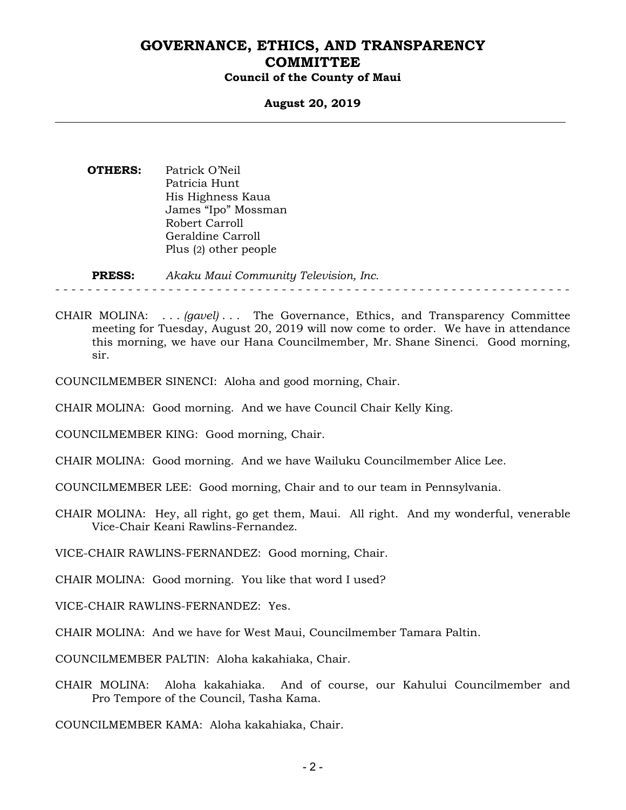#### **August 20, 2019**

**OTHERS:** Patrick O'Neil Patricia Hunt His Highness Kaua James "Ipo" Mossman Robert Carroll Geraldine Carroll Plus (2) other people

**PRESS:** *Akaku Maui Community Television, Inc.* 

- - - - - - - - - - - - - - - - - - - - - - - - - - - - - - - - - - - - - - - - - - - - - - - - - - - - - - - - - - - - - - - -

- CHAIR MOLINA: . . . *(gavel)* . . . The Governance, Ethics, and Transparency Committee meeting for Tuesday, August 20, 2019 will now come to order. We have in attendance this morning, we have our Hana Councilmember, Mr. Shane Sinenci. Good morning, sir.
- COUNCILMEMBER SINENCI: Aloha and good morning, Chair.
- CHAIR MOLINA: Good morning. And we have Council Chair Kelly King.

COUNCILMEMBER KING: Good morning, Chair.

- CHAIR MOLINA: Good morning. And we have Wailuku Councilmember Alice Lee.
- COUNCILMEMBER LEE: Good morning, Chair and to our team in Pennsylvania.
- CHAIR MOLINA: Hey, all right, go get them, Maui. All right. And my wonderful, venerable Vice-Chair Keani Rawlins-Fernandez.

VICE-CHAIR RAWLINS-FERNANDEZ: Good morning, Chair.

CHAIR MOLINA: Good morning. You like that word I used?

VICE-CHAIR RAWLINS-FERNANDEZ: Yes.

CHAIR MOLINA: And we have for West Maui, Councilmember Tamara Paltin.

COUNCILMEMBER PALTIN: Aloha kakahiaka, Chair.

CHAIR MOLINA: Aloha kakahiaka. And of course, our Kahului Councilmember and Pro Tempore of the Council, Tasha Kama.

COUNCILMEMBER KAMA: Aloha kakahiaka, Chair.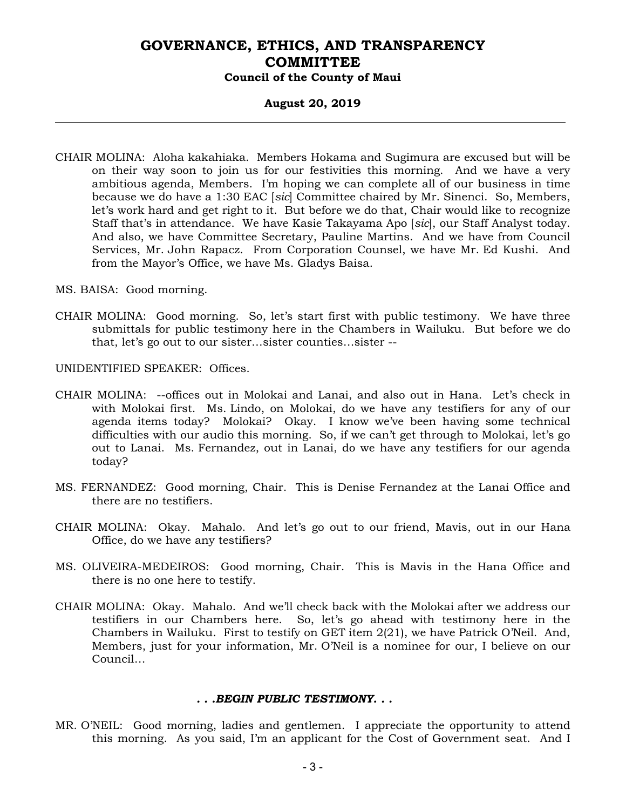#### **August 20, 2019**

CHAIR MOLINA: Aloha kakahiaka. Members Hokama and Sugimura are excused but will be on their way soon to join us for our festivities this morning. And we have a very ambitious agenda, Members. I'm hoping we can complete all of our business in time because we do have a 1:30 EAC [*sic*] Committee chaired by Mr. Sinenci. So, Members, let's work hard and get right to it. But before we do that, Chair would like to recognize Staff that's in attendance. We have Kasie Takayama Apo [*sic*], our Staff Analyst today. And also, we have Committee Secretary, Pauline Martins. And we have from Council Services, Mr. John Rapacz. From Corporation Counsel, we have Mr. Ed Kushi. And from the Mayor's Office, we have Ms. Gladys Baisa.

MS. BAISA: Good morning.

CHAIR MOLINA: Good morning. So, let's start first with public testimony. We have three submittals for public testimony here in the Chambers in Wailuku. But before we do that, let's go out to our sister…sister counties…sister --

UNIDENTIFIED SPEAKER: Offices.

- CHAIR MOLINA: --offices out in Molokai and Lanai, and also out in Hana. Let's check in with Molokai first. Ms. Lindo, on Molokai, do we have any testifiers for any of our agenda items today? Molokai? Okay. I know we've been having some technical difficulties with our audio this morning. So, if we can't get through to Molokai, let's go out to Lanai. Ms. Fernandez, out in Lanai, do we have any testifiers for our agenda today?
- MS. FERNANDEZ: Good morning, Chair. This is Denise Fernandez at the Lanai Office and there are no testifiers.
- CHAIR MOLINA: Okay. Mahalo. And let's go out to our friend, Mavis, out in our Hana Office, do we have any testifiers?
- MS. OLIVEIRA-MEDEIROS: Good morning, Chair. This is Mavis in the Hana Office and there is no one here to testify.
- CHAIR MOLINA: Okay. Mahalo. And we'll check back with the Molokai after we address our testifiers in our Chambers here. So, let's go ahead with testimony here in the Chambers in Wailuku. First to testify on GET item 2(21), we have Patrick O'Neil. And, Members, just for your information, Mr. O'Neil is a nominee for our, I believe on our Council…

#### *. . .BEGIN PUBLIC TESTIMONY. . .*

MR. O'NEIL: Good morning, ladies and gentlemen. I appreciate the opportunity to attend this morning. As you said, I'm an applicant for the Cost of Government seat. And I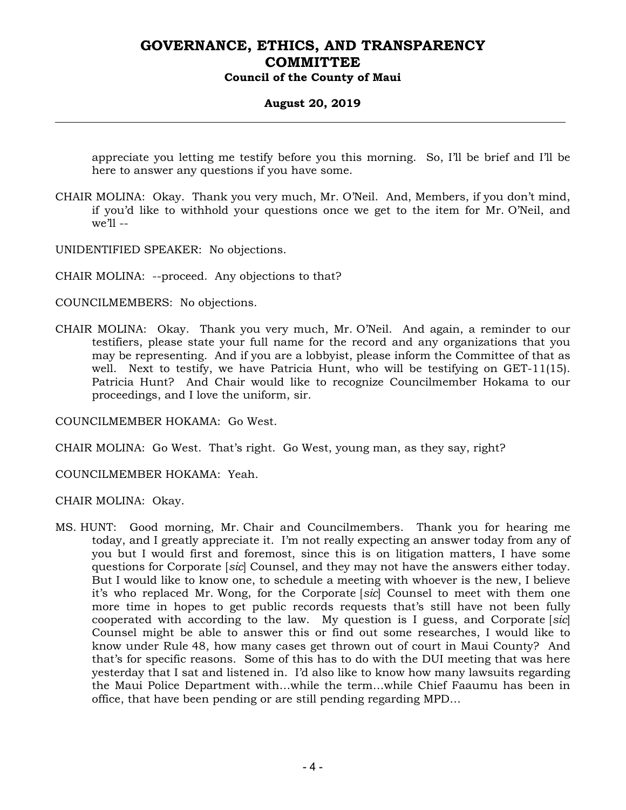#### **August 20, 2019**

appreciate you letting me testify before you this morning. So, I'll be brief and I'll be here to answer any questions if you have some.

CHAIR MOLINA: Okay. Thank you very much, Mr. O'Neil. And, Members, if you don't mind, if you'd like to withhold your questions once we get to the item for Mr. O'Neil, and we'll --

UNIDENTIFIED SPEAKER: No objections.

CHAIR MOLINA: --proceed. Any objections to that?

COUNCILMEMBERS: No objections.

CHAIR MOLINA: Okay. Thank you very much, Mr. O'Neil. And again, a reminder to our testifiers, please state your full name for the record and any organizations that you may be representing. And if you are a lobbyist, please inform the Committee of that as well. Next to testify, we have Patricia Hunt, who will be testifying on GET-11(15). Patricia Hunt? And Chair would like to recognize Councilmember Hokama to our proceedings, and I love the uniform, sir.

COUNCILMEMBER HOKAMA: Go West.

CHAIR MOLINA: Go West. That's right. Go West, young man, as they say, right?

COUNCILMEMBER HOKAMA: Yeah.

CHAIR MOLINA: Okay.

MS. HUNT: Good morning, Mr. Chair and Councilmembers. Thank you for hearing me today, and I greatly appreciate it. I'm not really expecting an answer today from any of you but I would first and foremost, since this is on litigation matters, I have some questions for Corporate [*sic*] Counsel, and they may not have the answers either today. But I would like to know one, to schedule a meeting with whoever is the new, I believe it's who replaced Mr. Wong, for the Corporate [*sic*] Counsel to meet with them one more time in hopes to get public records requests that's still have not been fully cooperated with according to the law. My question is I guess, and Corporate [*sic*] Counsel might be able to answer this or find out some researches, I would like to know under Rule 48, how many cases get thrown out of court in Maui County? And that's for specific reasons. Some of this has to do with the DUI meeting that was here yesterday that I sat and listened in. I'd also like to know how many lawsuits regarding the Maui Police Department with…while the term…while Chief Faaumu has been in office, that have been pending or are still pending regarding MPD…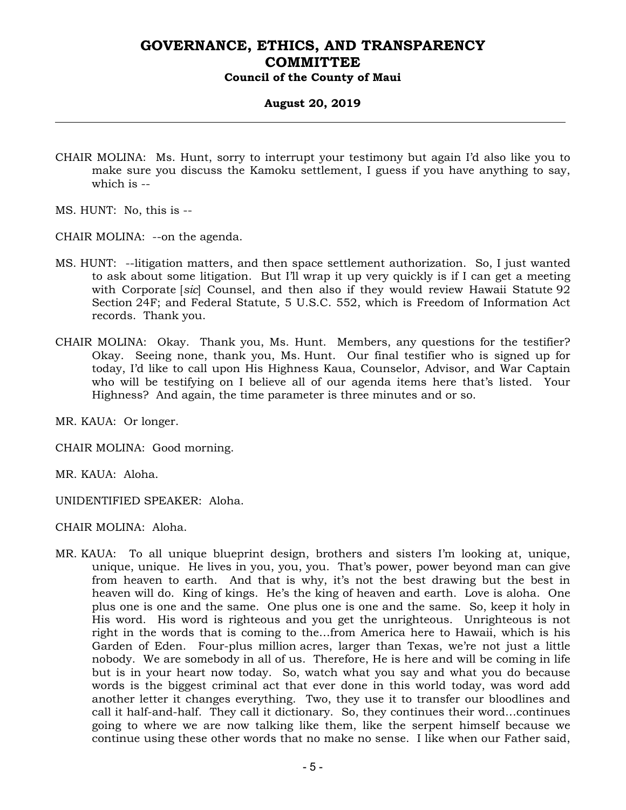#### **August 20, 2019**

- CHAIR MOLINA: Ms. Hunt, sorry to interrupt your testimony but again I'd also like you to make sure you discuss the Kamoku settlement, I guess if you have anything to say, which is --
- MS. HUNT: No, this is --
- CHAIR MOLINA: --on the agenda.
- MS. HUNT: --litigation matters, and then space settlement authorization. So, I just wanted to ask about some litigation. But I'll wrap it up very quickly is if I can get a meeting with Corporate [*sic*] Counsel, and then also if they would review Hawaii Statute 92 Section 24F; and Federal Statute, 5 U.S.C. 552, which is Freedom of Information Act records. Thank you.
- CHAIR MOLINA: Okay. Thank you, Ms. Hunt. Members, any questions for the testifier? Okay. Seeing none, thank you, Ms. Hunt. Our final testifier who is signed up for today, I'd like to call upon His Highness Kaua, Counselor, Advisor, and War Captain who will be testifying on I believe all of our agenda items here that's listed. Your Highness? And again, the time parameter is three minutes and or so.

MR. KAUA: Or longer.

CHAIR MOLINA: Good morning.

MR. KAUA: Aloha.

UNIDENTIFIED SPEAKER: Aloha.

CHAIR MOLINA: Aloha.

MR. KAUA: To all unique blueprint design, brothers and sisters I'm looking at, unique, unique, unique. He lives in you, you, you. That's power, power beyond man can give from heaven to earth. And that is why, it's not the best drawing but the best in heaven will do. King of kings. He's the king of heaven and earth. Love is aloha. One plus one is one and the same. One plus one is one and the same. So, keep it holy in His word. His word is righteous and you get the unrighteous. Unrighteous is not right in the words that is coming to the…from America here to Hawaii, which is his Garden of Eden. Four-plus million acres, larger than Texas, we're not just a little nobody. We are somebody in all of us. Therefore, He is here and will be coming in life but is in your heart now today. So, watch what you say and what you do because words is the biggest criminal act that ever done in this world today, was word add another letter it changes everything. Two, they use it to transfer our bloodlines and call it half-and-half. They call it dictionary. So, they continues their word…continues going to where we are now talking like them, like the serpent himself because we continue using these other words that no make no sense. I like when our Father said,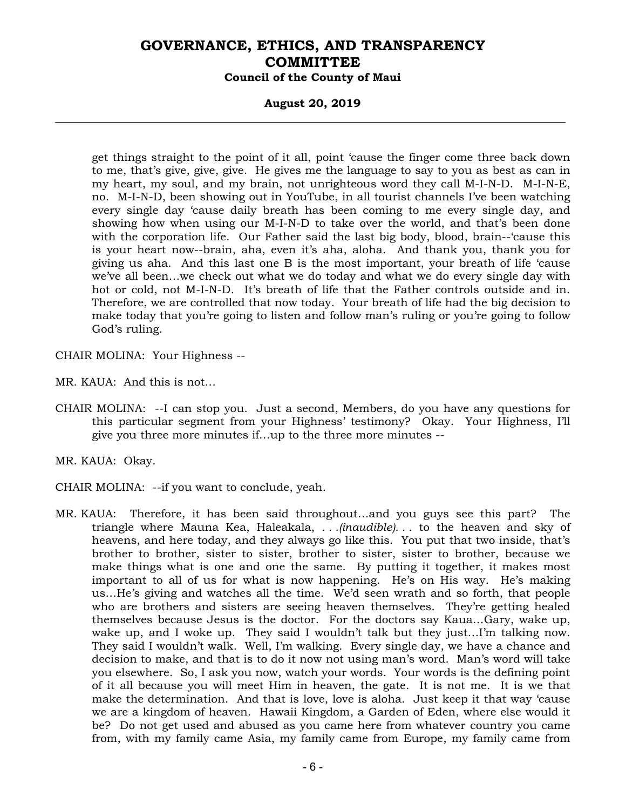### **August 20, 2019**

get things straight to the point of it all, point 'cause the finger come three back down to me, that's give, give, give. He gives me the language to say to you as best as can in my heart, my soul, and my brain, not unrighteous word they call M-I-N-D. M-I-N-E, no. M-I-N-D, been showing out in YouTube, in all tourist channels I've been watching every single day 'cause daily breath has been coming to me every single day, and showing how when using our M-I-N-D to take over the world, and that's been done with the corporation life. Our Father said the last big body, blood, brain--'cause this is your heart now--brain, aha, even it's aha, aloha. And thank you, thank you for giving us aha. And this last one B is the most important, your breath of life 'cause we've all been…we check out what we do today and what we do every single day with hot or cold, not M-I-N-D. It's breath of life that the Father controls outside and in. Therefore, we are controlled that now today. Your breath of life had the big decision to make today that you're going to listen and follow man's ruling or you're going to follow God's ruling.

CHAIR MOLINA: Your Highness --

MR. KAUA: And this is not…

CHAIR MOLINA: --I can stop you. Just a second, Members, do you have any questions for this particular segment from your Highness' testimony? Okay. Your Highness, I'll give you three more minutes if…up to the three more minutes --

MR. KAUA: Okay.

CHAIR MOLINA: --if you want to conclude, yeah.

MR. KAUA: Therefore, it has been said throughout…and you guys see this part? The triangle where Mauna Kea, Haleakala, *. . .(inaudible). . .* to the heaven and sky of heavens, and here today, and they always go like this. You put that two inside, that's brother to brother, sister to sister, brother to sister, sister to brother, because we make things what is one and one the same. By putting it together, it makes most important to all of us for what is now happening. He's on His way. He's making us…He's giving and watches all the time. We'd seen wrath and so forth, that people who are brothers and sisters are seeing heaven themselves. They're getting healed themselves because Jesus is the doctor. For the doctors say Kaua…Gary, wake up, wake up, and I woke up. They said I wouldn't talk but they just...I'm talking now. They said I wouldn't walk. Well, I'm walking. Every single day, we have a chance and decision to make, and that is to do it now not using man's word. Man's word will take you elsewhere. So, I ask you now, watch your words. Your words is the defining point of it all because you will meet Him in heaven, the gate. It is not me. It is we that make the determination. And that is love, love is aloha. Just keep it that way 'cause we are a kingdom of heaven. Hawaii Kingdom, a Garden of Eden, where else would it be? Do not get used and abused as you came here from whatever country you came from, with my family came Asia, my family came from Europe, my family came from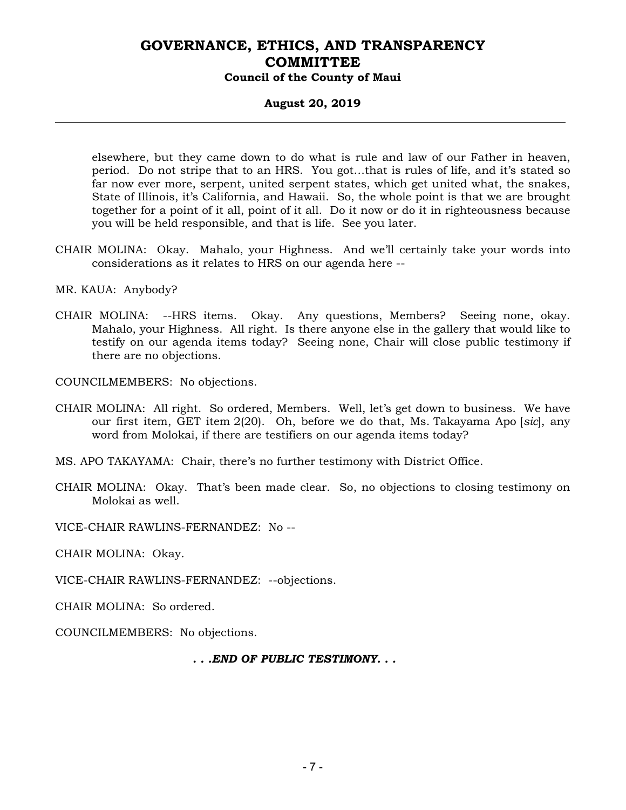### **August 20, 2019**

elsewhere, but they came down to do what is rule and law of our Father in heaven, period. Do not stripe that to an HRS. You got…that is rules of life, and it's stated so far now ever more, serpent, united serpent states, which get united what, the snakes, State of Illinois, it's California, and Hawaii. So, the whole point is that we are brought together for a point of it all, point of it all. Do it now or do it in righteousness because you will be held responsible, and that is life. See you later.

CHAIR MOLINA: Okay. Mahalo, your Highness. And we'll certainly take your words into considerations as it relates to HRS on our agenda here --

MR. KAUA: Anybody?

CHAIR MOLINA: --HRS items. Okay. Any questions, Members? Seeing none, okay. Mahalo, your Highness. All right. Is there anyone else in the gallery that would like to testify on our agenda items today? Seeing none, Chair will close public testimony if there are no objections.

COUNCILMEMBERS: No objections.

- CHAIR MOLINA: All right. So ordered, Members. Well, let's get down to business. We have our first item, GET item 2(20). Oh, before we do that, Ms. Takayama Apo [*sic*], any word from Molokai, if there are testifiers on our agenda items today?
- MS. APO TAKAYAMA: Chair, there's no further testimony with District Office.
- CHAIR MOLINA: Okay. That's been made clear. So, no objections to closing testimony on Molokai as well.

VICE-CHAIR RAWLINS-FERNANDEZ: No --

CHAIR MOLINA: Okay.

VICE-CHAIR RAWLINS-FERNANDEZ: --objections.

CHAIR MOLINA: So ordered.

COUNCILMEMBERS: No objections.

*. . .END OF PUBLIC TESTIMONY. . .*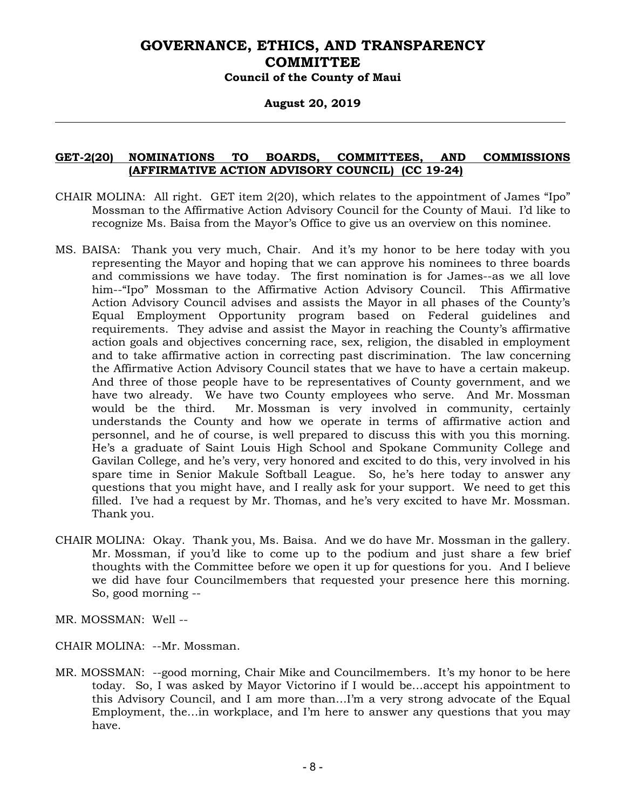#### **August 20, 2019**

### **GET-2(20) NOMINATIONS TO BOARDS, COMMITTEES, AND COMMISSIONS (AFFIRMATIVE ACTION ADVISORY COUNCIL) (CC 19-24)**

- CHAIR MOLINA: All right. GET item 2(20), which relates to the appointment of James "Ipo" Mossman to the Affirmative Action Advisory Council for the County of Maui. I'd like to recognize Ms. Baisa from the Mayor's Office to give us an overview on this nominee.
- MS. BAISA: Thank you very much, Chair. And it's my honor to be here today with you representing the Mayor and hoping that we can approve his nominees to three boards and commissions we have today. The first nomination is for James--as we all love him--"Ipo" Mossman to the Affirmative Action Advisory Council. This Affirmative Action Advisory Council advises and assists the Mayor in all phases of the County's Equal Employment Opportunity program based on Federal guidelines and requirements. They advise and assist the Mayor in reaching the County's affirmative action goals and objectives concerning race, sex, religion, the disabled in employment and to take affirmative action in correcting past discrimination. The law concerning the Affirmative Action Advisory Council states that we have to have a certain makeup. And three of those people have to be representatives of County government, and we have two already. We have two County employees who serve. And Mr. Mossman would be the third. Mr. Mossman is very involved in community, certainly understands the County and how we operate in terms of affirmative action and personnel, and he of course, is well prepared to discuss this with you this morning. He's a graduate of Saint Louis High School and Spokane Community College and Gavilan College, and he's very, very honored and excited to do this, very involved in his spare time in Senior Makule Softball League. So, he's here today to answer any questions that you might have, and I really ask for your support. We need to get this filled. I've had a request by Mr. Thomas, and he's very excited to have Mr. Mossman. Thank you.
- CHAIR MOLINA: Okay. Thank you, Ms. Baisa. And we do have Mr. Mossman in the gallery. Mr. Mossman, if you'd like to come up to the podium and just share a few brief thoughts with the Committee before we open it up for questions for you. And I believe we did have four Councilmembers that requested your presence here this morning. So, good morning --

MR. MOSSMAN: Well --

- CHAIR MOLINA: --Mr. Mossman.
- MR. MOSSMAN: --good morning, Chair Mike and Councilmembers. It's my honor to be here today. So, I was asked by Mayor Victorino if I would be…accept his appointment to this Advisory Council, and I am more than…I'm a very strong advocate of the Equal Employment, the…in workplace, and I'm here to answer any questions that you may have.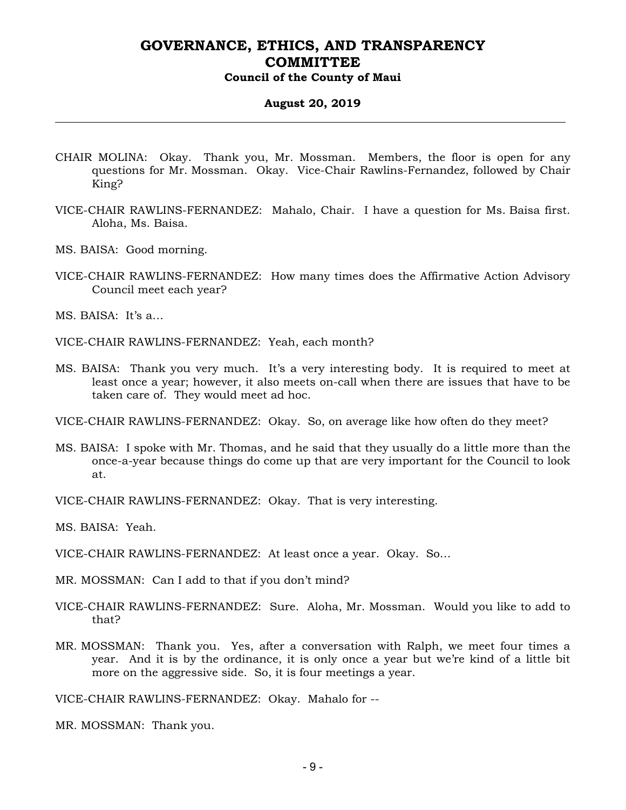# **August 20, 2019**

- CHAIR MOLINA: Okay. Thank you, Mr. Mossman. Members, the floor is open for any questions for Mr. Mossman. Okay. Vice-Chair Rawlins-Fernandez, followed by Chair King?
- VICE-CHAIR RAWLINS-FERNANDEZ: Mahalo, Chair. I have a question for Ms. Baisa first. Aloha, Ms. Baisa.
- MS. BAISA: Good morning.
- VICE-CHAIR RAWLINS-FERNANDEZ: How many times does the Affirmative Action Advisory Council meet each year?

MS. BAISA: It's a…

VICE-CHAIR RAWLINS-FERNANDEZ: Yeah, each month?

MS. BAISA: Thank you very much. It's a very interesting body. It is required to meet at least once a year; however, it also meets on-call when there are issues that have to be taken care of. They would meet ad hoc.

VICE-CHAIR RAWLINS-FERNANDEZ: Okay. So, on average like how often do they meet?

MS. BAISA: I spoke with Mr. Thomas, and he said that they usually do a little more than the once-a-year because things do come up that are very important for the Council to look at.

VICE-CHAIR RAWLINS-FERNANDEZ: Okay. That is very interesting.

MS. BAISA: Yeah.

VICE-CHAIR RAWLINS-FERNANDEZ: At least once a year. Okay. So…

MR. MOSSMAN: Can I add to that if you don't mind?

- VICE-CHAIR RAWLINS-FERNANDEZ: Sure. Aloha, Mr. Mossman. Would you like to add to that?
- MR. MOSSMAN: Thank you. Yes, after a conversation with Ralph, we meet four times a year. And it is by the ordinance, it is only once a year but we're kind of a little bit more on the aggressive side. So, it is four meetings a year.

VICE-CHAIR RAWLINS-FERNANDEZ: Okay. Mahalo for --

MR. MOSSMAN: Thank you.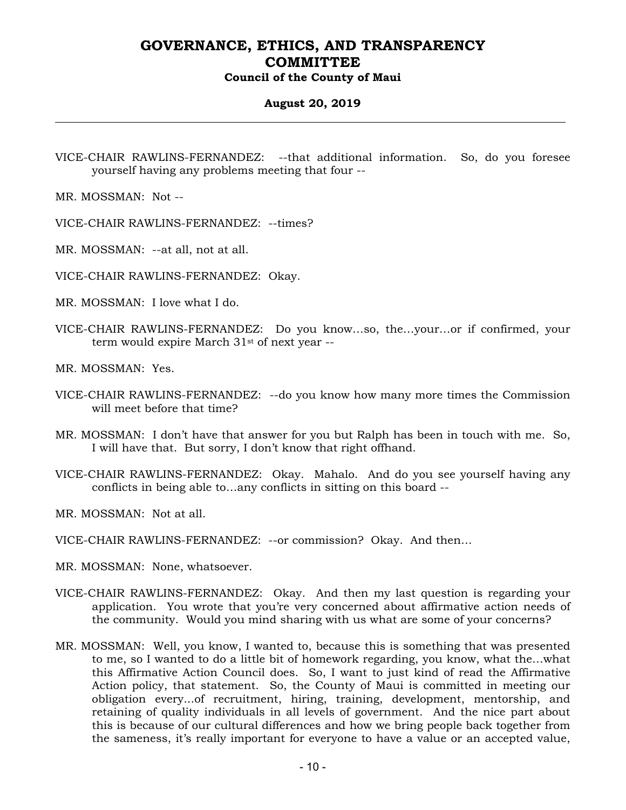### **August 20, 2019**

VICE-CHAIR RAWLINS-FERNANDEZ: --that additional information. So, do you foresee yourself having any problems meeting that four --

MR. MOSSMAN: Not --

VICE-CHAIR RAWLINS-FERNANDEZ: --times?

MR. MOSSMAN: --at all, not at all.

VICE-CHAIR RAWLINS-FERNANDEZ: Okay.

MR. MOSSMAN: I love what I do.

VICE-CHAIR RAWLINS-FERNANDEZ: Do you know…so, the…your…or if confirmed, your term would expire March 31st of next year --

MR. MOSSMAN: Yes.

- VICE-CHAIR RAWLINS-FERNANDEZ: --do you know how many more times the Commission will meet before that time?
- MR. MOSSMAN: I don't have that answer for you but Ralph has been in touch with me. So, I will have that. But sorry, I don't know that right offhand.
- VICE-CHAIR RAWLINS-FERNANDEZ: Okay. Mahalo. And do you see yourself having any conflicts in being able to…any conflicts in sitting on this board --

MR. MOSSMAN: Not at all.

VICE-CHAIR RAWLINS-FERNANDEZ: --or commission? Okay. And then…

MR. MOSSMAN: None, whatsoever.

- VICE-CHAIR RAWLINS-FERNANDEZ: Okay. And then my last question is regarding your application. You wrote that you're very concerned about affirmative action needs of the community. Would you mind sharing with us what are some of your concerns?
- MR. MOSSMAN: Well, you know, I wanted to, because this is something that was presented to me, so I wanted to do a little bit of homework regarding, you know, what the…what this Affirmative Action Council does. So, I want to just kind of read the Affirmative Action policy, that statement. So, the County of Maui is committed in meeting our obligation every...of recruitment, hiring, training, development, mentorship, and retaining of quality individuals in all levels of government. And the nice part about this is because of our cultural differences and how we bring people back together from the sameness, it's really important for everyone to have a value or an accepted value,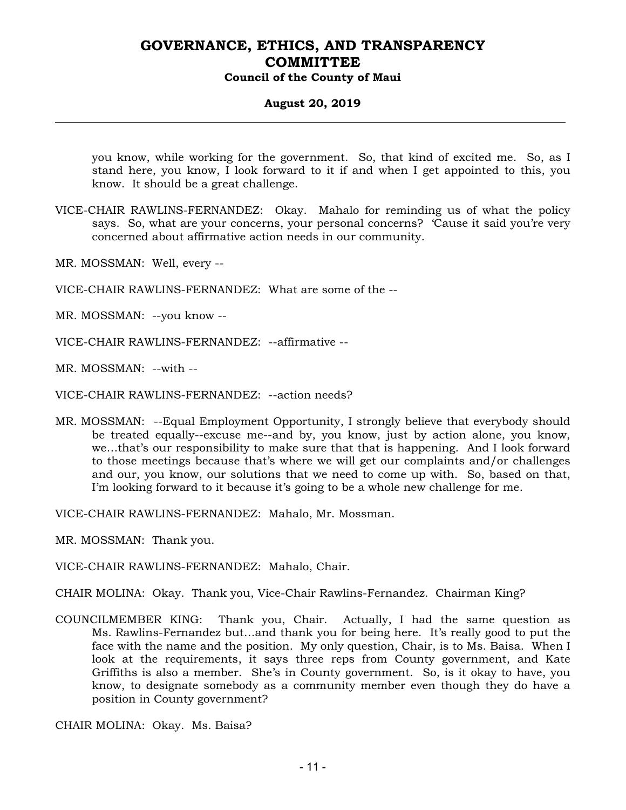### **August 20, 2019**

you know, while working for the government. So, that kind of excited me. So, as I stand here, you know, I look forward to it if and when I get appointed to this, you know. It should be a great challenge.

- VICE-CHAIR RAWLINS-FERNANDEZ: Okay. Mahalo for reminding us of what the policy says. So, what are your concerns, your personal concerns? 'Cause it said you're very concerned about affirmative action needs in our community.
- MR. MOSSMAN: Well, every --
- VICE-CHAIR RAWLINS-FERNANDEZ: What are some of the --
- MR. MOSSMAN: --you know --
- VICE-CHAIR RAWLINS-FERNANDEZ: --affirmative --
- MR. MOSSMAN: --with --
- VICE-CHAIR RAWLINS-FERNANDEZ: --action needs?
- MR. MOSSMAN: --Equal Employment Opportunity, I strongly believe that everybody should be treated equally--excuse me--and by, you know, just by action alone, you know, we…that's our responsibility to make sure that that is happening. And I look forward to those meetings because that's where we will get our complaints and/or challenges and our, you know, our solutions that we need to come up with. So, based on that, I'm looking forward to it because it's going to be a whole new challenge for me.

VICE-CHAIR RAWLINS-FERNANDEZ: Mahalo, Mr. Mossman.

MR. MOSSMAN: Thank you.

- VICE-CHAIR RAWLINS-FERNANDEZ: Mahalo, Chair.
- CHAIR MOLINA: Okay. Thank you, Vice-Chair Rawlins-Fernandez. Chairman King?
- COUNCILMEMBER KING: Thank you, Chair. Actually, I had the same question as Ms. Rawlins-Fernandez but…and thank you for being here. It's really good to put the face with the name and the position. My only question, Chair, is to Ms. Baisa. When I look at the requirements, it says three reps from County government, and Kate Griffiths is also a member. She's in County government. So, is it okay to have, you know, to designate somebody as a community member even though they do have a position in County government?
- CHAIR MOLINA: Okay. Ms. Baisa?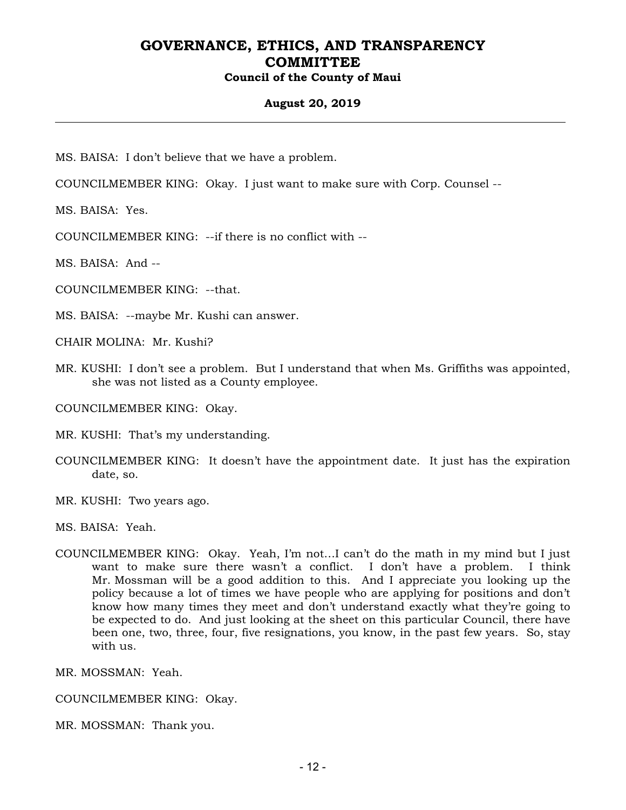#### **August 20, 2019**

MS. BAISA: I don't believe that we have a problem.

COUNCILMEMBER KING: Okay. I just want to make sure with Corp. Counsel --

MS. BAISA: Yes.

COUNCILMEMBER KING: --if there is no conflict with --

MS. BAISA: And --

COUNCILMEMBER KING: --that.

MS. BAISA: --maybe Mr. Kushi can answer.

CHAIR MOLINA: Mr. Kushi?

MR. KUSHI: I don't see a problem. But I understand that when Ms. Griffiths was appointed, she was not listed as a County employee.

COUNCILMEMBER KING: Okay.

MR. KUSHI: That's my understanding.

- COUNCILMEMBER KING: It doesn't have the appointment date. It just has the expiration date, so.
- MR. KUSHI: Two years ago.

MS. BAISA: Yeah.

COUNCILMEMBER KING: Okay. Yeah, I'm not…I can't do the math in my mind but I just want to make sure there wasn't a conflict. I don't have a problem. I think Mr. Mossman will be a good addition to this. And I appreciate you looking up the policy because a lot of times we have people who are applying for positions and don't know how many times they meet and don't understand exactly what they're going to be expected to do. And just looking at the sheet on this particular Council, there have been one, two, three, four, five resignations, you know, in the past few years. So, stay with us.

MR. MOSSMAN: Yeah.

COUNCILMEMBER KING: Okay.

MR. MOSSMAN: Thank you.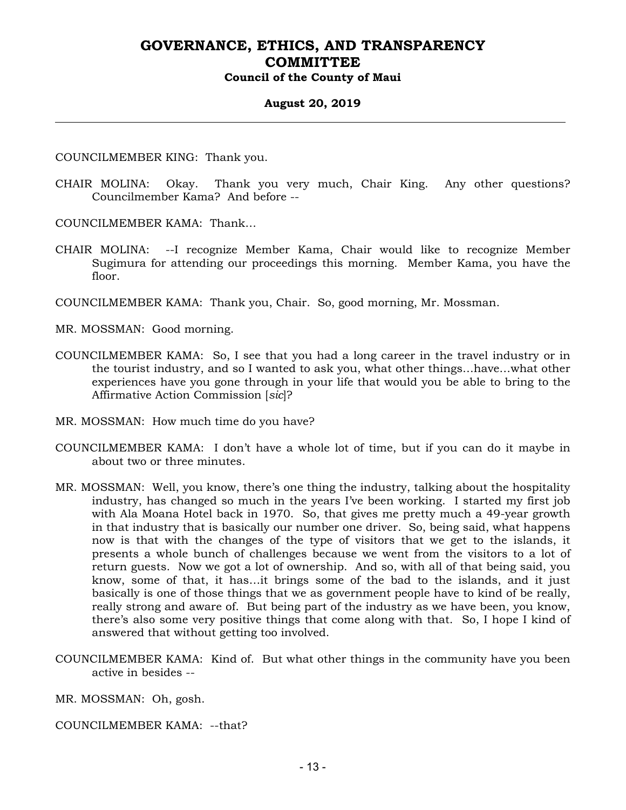#### **August 20, 2019**

COUNCILMEMBER KING: Thank you.

CHAIR MOLINA: Okay. Thank you very much, Chair King. Any other questions? Councilmember Kama? And before --

COUNCILMEMBER KAMA: Thank…

CHAIR MOLINA: --I recognize Member Kama, Chair would like to recognize Member Sugimura for attending our proceedings this morning. Member Kama, you have the floor.

COUNCILMEMBER KAMA: Thank you, Chair. So, good morning, Mr. Mossman.

MR. MOSSMAN: Good morning.

- COUNCILMEMBER KAMA: So, I see that you had a long career in the travel industry or in the tourist industry, and so I wanted to ask you, what other things…have…what other experiences have you gone through in your life that would you be able to bring to the Affirmative Action Commission [*sic*]?
- MR. MOSSMAN: How much time do you have?
- COUNCILMEMBER KAMA: I don't have a whole lot of time, but if you can do it maybe in about two or three minutes.
- MR. MOSSMAN: Well, you know, there's one thing the industry, talking about the hospitality industry, has changed so much in the years I've been working. I started my first job with Ala Moana Hotel back in 1970. So, that gives me pretty much a 49-year growth in that industry that is basically our number one driver. So, being said, what happens now is that with the changes of the type of visitors that we get to the islands, it presents a whole bunch of challenges because we went from the visitors to a lot of return guests. Now we got a lot of ownership. And so, with all of that being said, you know, some of that, it has…it brings some of the bad to the islands, and it just basically is one of those things that we as government people have to kind of be really, really strong and aware of. But being part of the industry as we have been, you know, there's also some very positive things that come along with that. So, I hope I kind of answered that without getting too involved.
- COUNCILMEMBER KAMA: Kind of. But what other things in the community have you been active in besides --

MR. MOSSMAN: Oh, gosh.

COUNCILMEMBER KAMA: --that?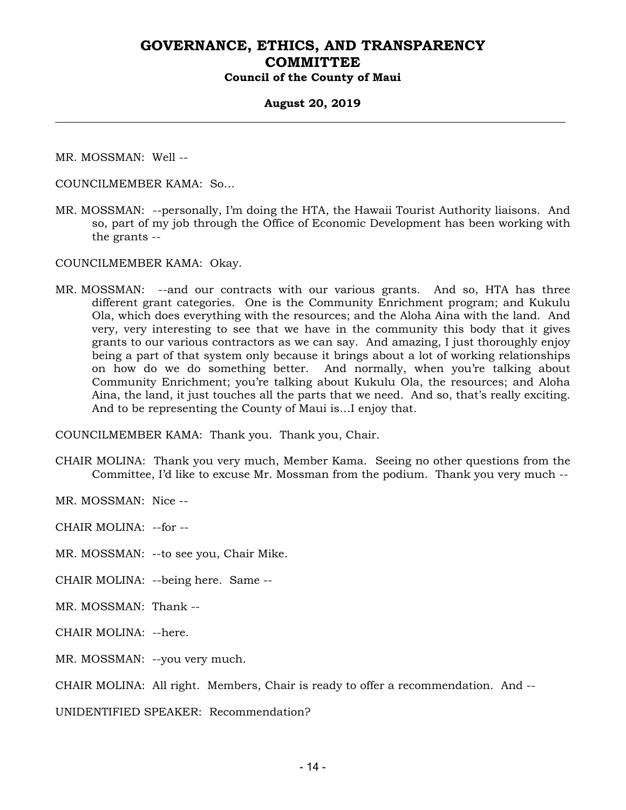#### **August 20, 2019**

MR. MOSSMAN: Well --

COUNCILMEMBER KAMA: So…

MR. MOSSMAN: --personally, I'm doing the HTA, the Hawaii Tourist Authority liaisons. And so, part of my job through the Office of Economic Development has been working with the grants --

COUNCILMEMBER KAMA: Okay.

MR. MOSSMAN: --and our contracts with our various grants. And so, HTA has three different grant categories. One is the Community Enrichment program; and Kukulu Ola, which does everything with the resources; and the Aloha Aina with the land. And very, very interesting to see that we have in the community this body that it gives grants to our various contractors as we can say. And amazing, I just thoroughly enjoy being a part of that system only because it brings about a lot of working relationships on how do we do something better. And normally, when you're talking about Community Enrichment; you're talking about Kukulu Ola, the resources; and Aloha Aina, the land, it just touches all the parts that we need. And so, that's really exciting. And to be representing the County of Maui is…I enjoy that.

COUNCILMEMBER KAMA: Thank you. Thank you, Chair.

CHAIR MOLINA: Thank you very much, Member Kama. Seeing no other questions from the Committee, I'd like to excuse Mr. Mossman from the podium. Thank you very much --

MR. MOSSMAN: Nice --

CHAIR MOLINA: --for --

MR. MOSSMAN: --to see you, Chair Mike.

CHAIR MOLINA: --being here. Same --

MR. MOSSMAN: Thank --

CHAIR MOLINA: --here.

MR. MOSSMAN: --you very much.

CHAIR MOLINA: All right. Members, Chair is ready to offer a recommendation. And --

UNIDENTIFIED SPEAKER: Recommendation?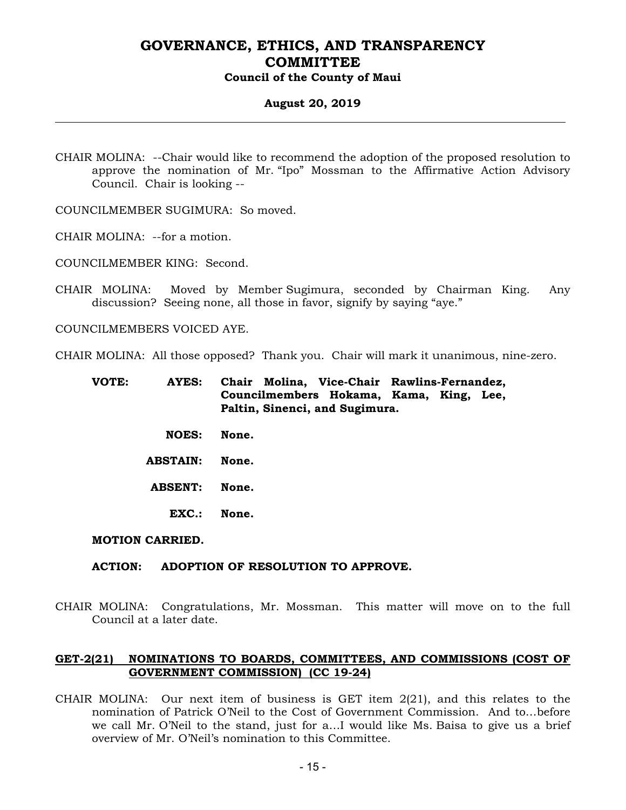#### **August 20, 2019**

CHAIR MOLINA: --Chair would like to recommend the adoption of the proposed resolution to approve the nomination of Mr. "Ipo" Mossman to the Affirmative Action Advisory Council. Chair is looking --

COUNCILMEMBER SUGIMURA: So moved.

CHAIR MOLINA: --for a motion.

COUNCILMEMBER KING: Second.

CHAIR MOLINA: Moved by Member Sugimura, seconded by Chairman King. Any discussion? Seeing none, all those in favor, signify by saying "aye."

COUNCILMEMBERS VOICED AYE.

CHAIR MOLINA: All those opposed? Thank you. Chair will mark it unanimous, nine-zero.

- **VOTE: AYES: Chair Molina, Vice-Chair Rawlins-Fernandez, Councilmembers Hokama, Kama, King, Lee, Paltin, Sinenci, and Sugimura.** 
	- **NOES: None.**
	- **ABSTAIN: None.**
	- **ABSENT: None.** 
		- **EXC.: None.**

#### **MOTION CARRIED.**

#### **ACTION: ADOPTION OF RESOLUTION TO APPROVE.**

CHAIR MOLINA: Congratulations, Mr. Mossman. This matter will move on to the full Council at a later date.

### **GET-2(21) NOMINATIONS TO BOARDS, COMMITTEES, AND COMMISSIONS (COST OF GOVERNMENT COMMISSION) (CC 19-24)**

CHAIR MOLINA: Our next item of business is GET item  $2(21)$ , and this relates to the nomination of Patrick O'Neil to the Cost of Government Commission. And to…before we call Mr. O'Neil to the stand, just for a…I would like Ms. Baisa to give us a brief overview of Mr. O'Neil's nomination to this Committee.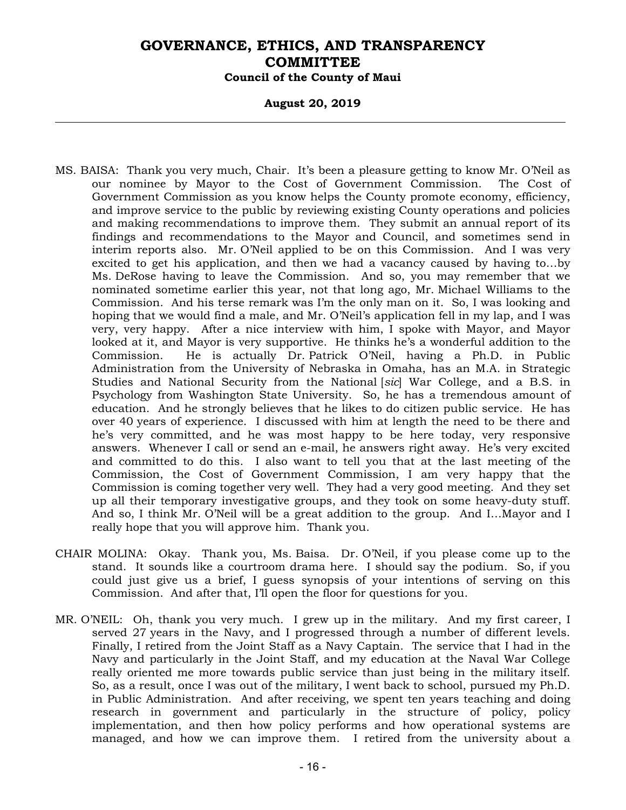#### **August 20, 2019**

- MS. BAISA: Thank you very much, Chair. It's been a pleasure getting to know Mr. O'Neil as our nominee by Mayor to the Cost of Government Commission. The Cost of Government Commission as you know helps the County promote economy, efficiency, and improve service to the public by reviewing existing County operations and policies and making recommendations to improve them. They submit an annual report of its findings and recommendations to the Mayor and Council, and sometimes send in interim reports also. Mr. O'Neil applied to be on this Commission. And I was very excited to get his application, and then we had a vacancy caused by having to…by Ms. DeRose having to leave the Commission. And so, you may remember that we nominated sometime earlier this year, not that long ago, Mr. Michael Williams to the Commission. And his terse remark was I'm the only man on it. So, I was looking and hoping that we would find a male, and Mr. O'Neil's application fell in my lap, and I was very, very happy. After a nice interview with him, I spoke with Mayor, and Mayor looked at it, and Mayor is very supportive. He thinks he's a wonderful addition to the Commission. He is actually Dr. Patrick O'Neil, having a Ph.D. in Public Administration from the University of Nebraska in Omaha, has an M.A. in Strategic Studies and National Security from the National [*sic*] War College, and a B.S. in Psychology from Washington State University. So, he has a tremendous amount of education. And he strongly believes that he likes to do citizen public service. He has over 40 years of experience. I discussed with him at length the need to be there and he's very committed, and he was most happy to be here today, very responsive answers. Whenever I call or send an e-mail, he answers right away. He's very excited and committed to do this. I also want to tell you that at the last meeting of the Commission, the Cost of Government Commission, I am very happy that the Commission is coming together very well. They had a very good meeting. And they set up all their temporary investigative groups, and they took on some heavy-duty stuff. And so, I think Mr. O'Neil will be a great addition to the group. And I…Mayor and I really hope that you will approve him. Thank you.
- CHAIR MOLINA: Okay. Thank you, Ms. Baisa. Dr. O'Neil, if you please come up to the stand. It sounds like a courtroom drama here. I should say the podium. So, if you could just give us a brief, I guess synopsis of your intentions of serving on this Commission. And after that, I'll open the floor for questions for you.
- MR. O'NEIL: Oh, thank you very much. I grew up in the military. And my first career, I served 27 years in the Navy, and I progressed through a number of different levels. Finally, I retired from the Joint Staff as a Navy Captain. The service that I had in the Navy and particularly in the Joint Staff, and my education at the Naval War College really oriented me more towards public service than just being in the military itself. So, as a result, once I was out of the military, I went back to school, pursued my Ph.D. in Public Administration. And after receiving, we spent ten years teaching and doing research in government and particularly in the structure of policy, policy implementation, and then how policy performs and how operational systems are managed, and how we can improve them. I retired from the university about a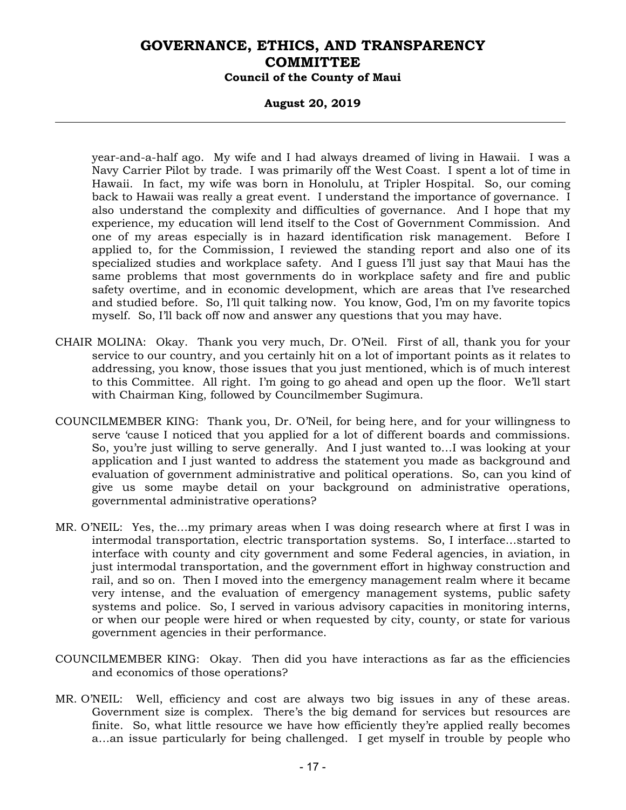#### **August 20, 2019**

year-and-a-half ago. My wife and I had always dreamed of living in Hawaii. I was a Navy Carrier Pilot by trade. I was primarily off the West Coast. I spent a lot of time in Hawaii. In fact, my wife was born in Honolulu, at Tripler Hospital. So, our coming back to Hawaii was really a great event. I understand the importance of governance. I also understand the complexity and difficulties of governance. And I hope that my experience, my education will lend itself to the Cost of Government Commission. And one of my areas especially is in hazard identification risk management. Before I applied to, for the Commission, I reviewed the standing report and also one of its specialized studies and workplace safety. And I guess I'll just say that Maui has the same problems that most governments do in workplace safety and fire and public safety overtime, and in economic development, which are areas that I've researched and studied before. So, I'll quit talking now. You know, God, I'm on my favorite topics myself. So, I'll back off now and answer any questions that you may have.

- CHAIR MOLINA: Okay. Thank you very much, Dr. O'Neil. First of all, thank you for your service to our country, and you certainly hit on a lot of important points as it relates to addressing, you know, those issues that you just mentioned, which is of much interest to this Committee. All right. I'm going to go ahead and open up the floor. We'll start with Chairman King, followed by Councilmember Sugimura.
- COUNCILMEMBER KING: Thank you, Dr. O'Neil, for being here, and for your willingness to serve 'cause I noticed that you applied for a lot of different boards and commissions. So, you're just willing to serve generally. And I just wanted to…I was looking at your application and I just wanted to address the statement you made as background and evaluation of government administrative and political operations. So, can you kind of give us some maybe detail on your background on administrative operations, governmental administrative operations?
- MR. O'NEIL: Yes, the…my primary areas when I was doing research where at first I was in intermodal transportation, electric transportation systems. So, I interface…started to interface with county and city government and some Federal agencies, in aviation, in just intermodal transportation, and the government effort in highway construction and rail, and so on. Then I moved into the emergency management realm where it became very intense, and the evaluation of emergency management systems, public safety systems and police. So, I served in various advisory capacities in monitoring interns, or when our people were hired or when requested by city, county, or state for various government agencies in their performance.
- COUNCILMEMBER KING: Okay. Then did you have interactions as far as the efficiencies and economics of those operations?
- MR. O'NEIL: Well, efficiency and cost are always two big issues in any of these areas. Government size is complex. There's the big demand for services but resources are finite. So, what little resource we have how efficiently they're applied really becomes a…an issue particularly for being challenged. I get myself in trouble by people who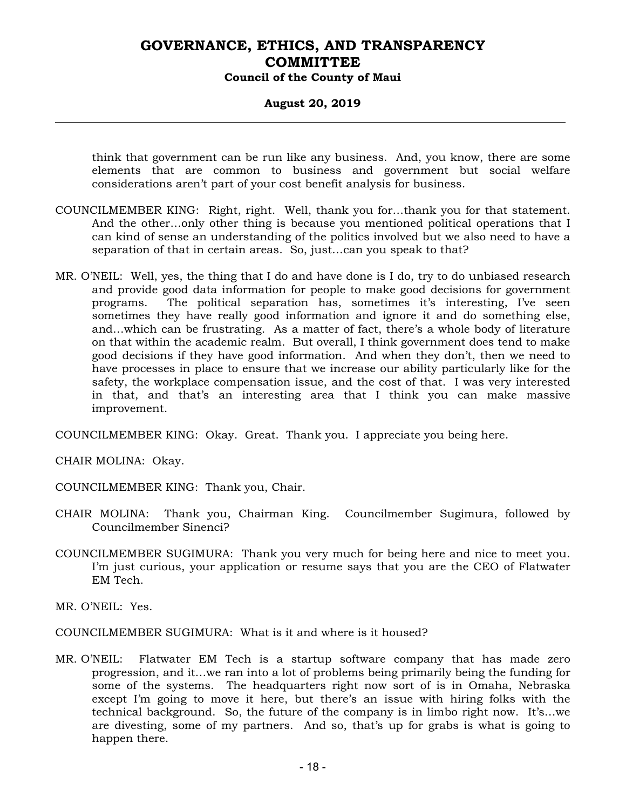#### **August 20, 2019**

think that government can be run like any business. And, you know, there are some elements that are common to business and government but social welfare considerations aren't part of your cost benefit analysis for business.

- COUNCILMEMBER KING: Right, right. Well, thank you for…thank you for that statement. And the other…only other thing is because you mentioned political operations that I can kind of sense an understanding of the politics involved but we also need to have a separation of that in certain areas. So, just…can you speak to that?
- MR. O'NEIL: Well, yes, the thing that I do and have done is I do, try to do unbiased research and provide good data information for people to make good decisions for government programs. The political separation has, sometimes it's interesting, I've seen sometimes they have really good information and ignore it and do something else, and…which can be frustrating. As a matter of fact, there's a whole body of literature on that within the academic realm. But overall, I think government does tend to make good decisions if they have good information. And when they don't, then we need to have processes in place to ensure that we increase our ability particularly like for the safety, the workplace compensation issue, and the cost of that. I was very interested in that, and that's an interesting area that I think you can make massive improvement.

COUNCILMEMBER KING: Okay. Great. Thank you. I appreciate you being here.

CHAIR MOLINA: Okay.

COUNCILMEMBER KING: Thank you, Chair.

- CHAIR MOLINA: Thank you, Chairman King. Councilmember Sugimura, followed by Councilmember Sinenci?
- COUNCILMEMBER SUGIMURA: Thank you very much for being here and nice to meet you. I'm just curious, your application or resume says that you are the CEO of Flatwater EM Tech.

MR. O'NEIL: Yes.

COUNCILMEMBER SUGIMURA: What is it and where is it housed?

MR. O'NEIL: Flatwater EM Tech is a startup software company that has made zero progression, and it…we ran into a lot of problems being primarily being the funding for some of the systems. The headquarters right now sort of is in Omaha, Nebraska except I'm going to move it here, but there's an issue with hiring folks with the technical background. So, the future of the company is in limbo right now. It's…we are divesting, some of my partners. And so, that's up for grabs is what is going to happen there.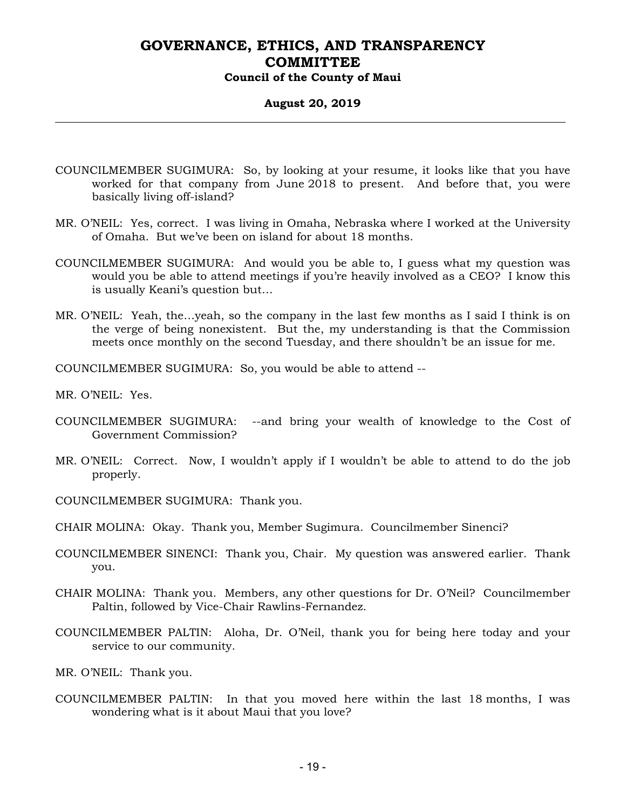#### **August 20, 2019**

- COUNCILMEMBER SUGIMURA: So, by looking at your resume, it looks like that you have worked for that company from June 2018 to present. And before that, you were basically living off-island?
- MR. O'NEIL: Yes, correct. I was living in Omaha, Nebraska where I worked at the University of Omaha. But we've been on island for about 18 months.
- COUNCILMEMBER SUGIMURA: And would you be able to, I guess what my question was would you be able to attend meetings if you're heavily involved as a CEO? I know this is usually Keani's question but…
- MR. O'NEIL: Yeah, the…yeah, so the company in the last few months as I said I think is on the verge of being nonexistent. But the, my understanding is that the Commission meets once monthly on the second Tuesday, and there shouldn't be an issue for me.

COUNCILMEMBER SUGIMURA: So, you would be able to attend --

MR. O'NEIL: Yes.

- COUNCILMEMBER SUGIMURA: --and bring your wealth of knowledge to the Cost of Government Commission?
- MR. O'NEIL: Correct. Now, I wouldn't apply if I wouldn't be able to attend to do the job properly.
- COUNCILMEMBER SUGIMURA: Thank you.
- CHAIR MOLINA: Okay. Thank you, Member Sugimura. Councilmember Sinenci?
- COUNCILMEMBER SINENCI: Thank you, Chair. My question was answered earlier. Thank you.
- CHAIR MOLINA: Thank you. Members, any other questions for Dr. O'Neil? Councilmember Paltin, followed by Vice-Chair Rawlins-Fernandez.
- COUNCILMEMBER PALTIN: Aloha, Dr. O'Neil, thank you for being here today and your service to our community.
- MR. O'NEIL: Thank you.
- COUNCILMEMBER PALTIN: In that you moved here within the last 18 months, I was wondering what is it about Maui that you love?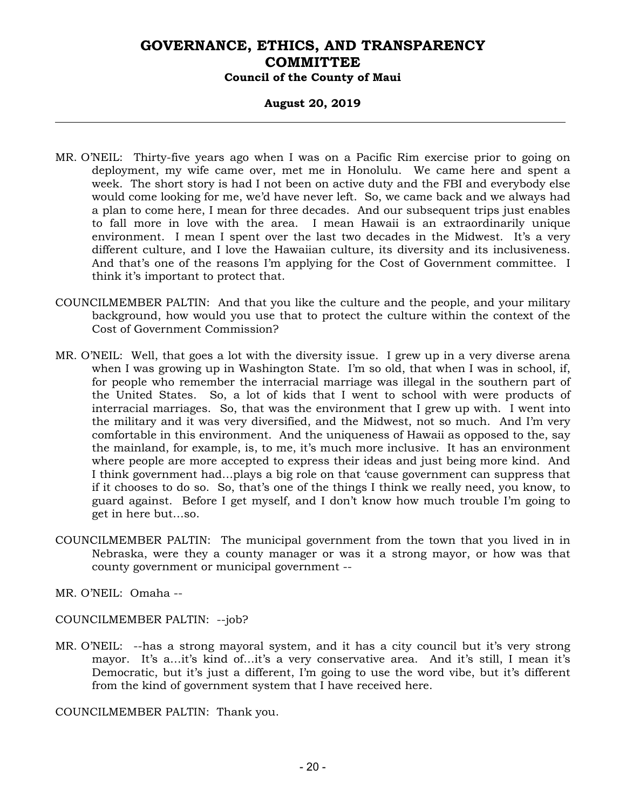### **August 20, 2019**

- MR. O'NEIL: Thirty-five years ago when I was on a Pacific Rim exercise prior to going on deployment, my wife came over, met me in Honolulu. We came here and spent a week. The short story is had I not been on active duty and the FBI and everybody else would come looking for me, we'd have never left. So, we came back and we always had a plan to come here, I mean for three decades. And our subsequent trips just enables to fall more in love with the area. I mean Hawaii is an extraordinarily unique environment. I mean I spent over the last two decades in the Midwest. It's a very different culture, and I love the Hawaiian culture, its diversity and its inclusiveness. And that's one of the reasons I'm applying for the Cost of Government committee. I think it's important to protect that.
- COUNCILMEMBER PALTIN: And that you like the culture and the people, and your military background, how would you use that to protect the culture within the context of the Cost of Government Commission?
- MR. O'NEIL: Well, that goes a lot with the diversity issue. I grew up in a very diverse arena when I was growing up in Washington State. I'm so old, that when I was in school, if, for people who remember the interracial marriage was illegal in the southern part of the United States. So, a lot of kids that I went to school with were products of interracial marriages. So, that was the environment that I grew up with. I went into the military and it was very diversified, and the Midwest, not so much. And I'm very comfortable in this environment. And the uniqueness of Hawaii as opposed to the, say the mainland, for example, is, to me, it's much more inclusive. It has an environment where people are more accepted to express their ideas and just being more kind. And I think government had…plays a big role on that 'cause government can suppress that if it chooses to do so. So, that's one of the things I think we really need, you know, to guard against. Before I get myself, and I don't know how much trouble I'm going to get in here but…so.
- COUNCILMEMBER PALTIN: The municipal government from the town that you lived in in Nebraska, were they a county manager or was it a strong mayor, or how was that county government or municipal government --

MR. O'NEIL: Omaha --

COUNCILMEMBER PALTIN: --job?

MR. O'NEIL: --has a strong mayoral system, and it has a city council but it's very strong mayor. It's a…it's kind of…it's a very conservative area. And it's still, I mean it's Democratic, but it's just a different, I'm going to use the word vibe, but it's different from the kind of government system that I have received here.

COUNCILMEMBER PALTIN: Thank you.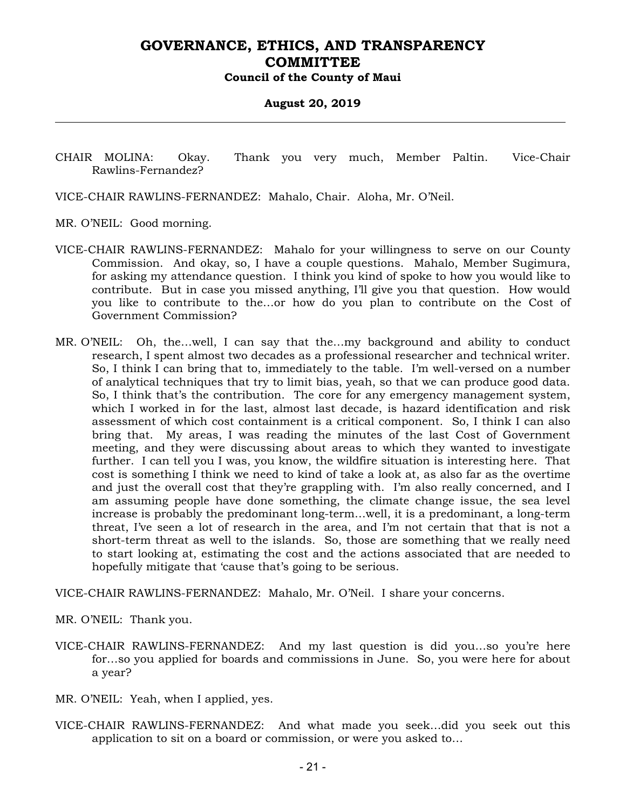#### **August 20, 2019**

CHAIR MOLINA: Okay. Thank you very much, Member Paltin. Vice-Chair Rawlins-Fernandez?

VICE-CHAIR RAWLINS-FERNANDEZ: Mahalo, Chair. Aloha, Mr. O'Neil.

MR. O'NEIL: Good morning.

- VICE-CHAIR RAWLINS-FERNANDEZ: Mahalo for your willingness to serve on our County Commission. And okay, so, I have a couple questions. Mahalo, Member Sugimura, for asking my attendance question. I think you kind of spoke to how you would like to contribute. But in case you missed anything, I'll give you that question. How would you like to contribute to the…or how do you plan to contribute on the Cost of Government Commission?
- MR. O'NEIL: Oh, the…well, I can say that the…my background and ability to conduct research, I spent almost two decades as a professional researcher and technical writer. So, I think I can bring that to, immediately to the table. I'm well-versed on a number of analytical techniques that try to limit bias, yeah, so that we can produce good data. So, I think that's the contribution. The core for any emergency management system, which I worked in for the last, almost last decade, is hazard identification and risk assessment of which cost containment is a critical component. So, I think I can also bring that. My areas, I was reading the minutes of the last Cost of Government meeting, and they were discussing about areas to which they wanted to investigate further. I can tell you I was, you know, the wildfire situation is interesting here. That cost is something I think we need to kind of take a look at, as also far as the overtime and just the overall cost that they're grappling with. I'm also really concerned, and I am assuming people have done something, the climate change issue, the sea level increase is probably the predominant long-term…well, it is a predominant, a long-term threat, I've seen a lot of research in the area, and I'm not certain that that is not a short-term threat as well to the islands. So, those are something that we really need to start looking at, estimating the cost and the actions associated that are needed to hopefully mitigate that 'cause that's going to be serious.

VICE-CHAIR RAWLINS-FERNANDEZ: Mahalo, Mr. O'Neil. I share your concerns.

MR. O'NEIL: Thank you.

- VICE-CHAIR RAWLINS-FERNANDEZ: And my last question is did you…so you're here for…so you applied for boards and commissions in June. So, you were here for about a year?
- MR. O'NEIL: Yeah, when I applied, yes.
- VICE-CHAIR RAWLINS-FERNANDEZ: And what made you seek…did you seek out this application to sit on a board or commission, or were you asked to…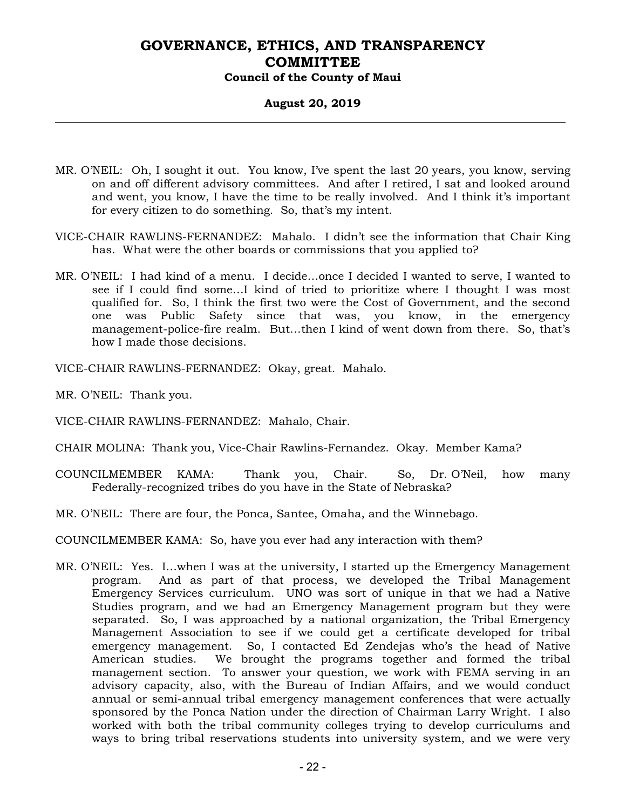### **August 20, 2019**

- MR. O'NEIL: Oh, I sought it out. You know, I've spent the last 20 years, you know, serving on and off different advisory committees. And after I retired, I sat and looked around and went, you know, I have the time to be really involved. And I think it's important for every citizen to do something. So, that's my intent.
- VICE-CHAIR RAWLINS-FERNANDEZ: Mahalo. I didn't see the information that Chair King has. What were the other boards or commissions that you applied to?
- MR. O'NEIL: I had kind of a menu. I decide…once I decided I wanted to serve, I wanted to see if I could find some…I kind of tried to prioritize where I thought I was most qualified for. So, I think the first two were the Cost of Government, and the second one was Public Safety since that was, you know, in the emergency management-police-fire realm. But…then I kind of went down from there. So, that's how I made those decisions.

VICE-CHAIR RAWLINS-FERNANDEZ: Okay, great. Mahalo.

MR. O'NEIL: Thank you.

VICE-CHAIR RAWLINS-FERNANDEZ: Mahalo, Chair.

- CHAIR MOLINA: Thank you, Vice-Chair Rawlins-Fernandez. Okay. Member Kama?
- COUNCILMEMBER KAMA: Thank you, Chair. So, Dr. O'Neil, how many Federally-recognized tribes do you have in the State of Nebraska?
- MR. O'NEIL: There are four, the Ponca, Santee, Omaha, and the Winnebago.

COUNCILMEMBER KAMA: So, have you ever had any interaction with them?

MR. O'NEIL: Yes. I…when I was at the university, I started up the Emergency Management program. And as part of that process, we developed the Tribal Management Emergency Services curriculum. UNO was sort of unique in that we had a Native Studies program, and we had an Emergency Management program but they were separated. So, I was approached by a national organization, the Tribal Emergency Management Association to see if we could get a certificate developed for tribal emergency management. So, I contacted Ed Zendejas who's the head of Native American studies. We brought the programs together and formed the tribal management section. To answer your question, we work with FEMA serving in an advisory capacity, also, with the Bureau of Indian Affairs, and we would conduct annual or semi-annual tribal emergency management conferences that were actually sponsored by the Ponca Nation under the direction of Chairman Larry Wright. I also worked with both the tribal community colleges trying to develop curriculums and ways to bring tribal reservations students into university system, and we were very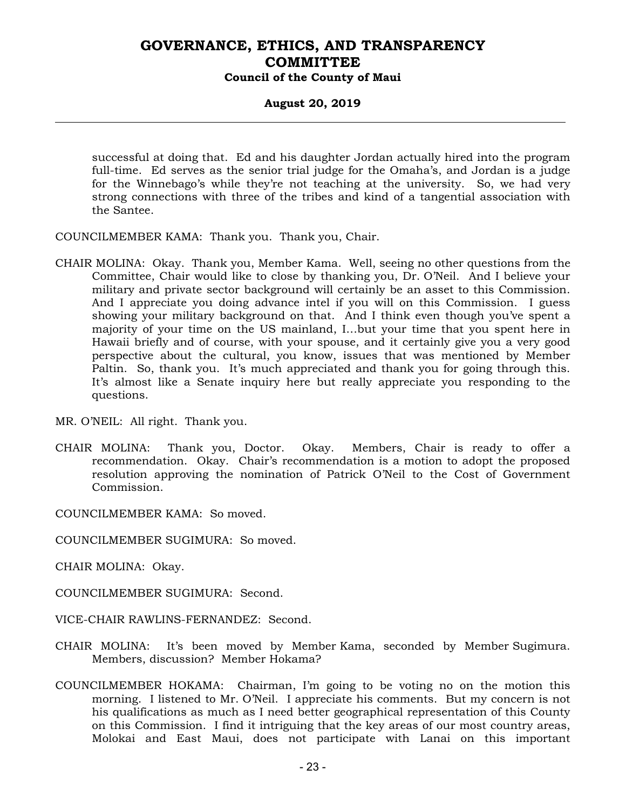### **August 20, 2019**

successful at doing that. Ed and his daughter Jordan actually hired into the program full-time. Ed serves as the senior trial judge for the Omaha's, and Jordan is a judge for the Winnebago's while they're not teaching at the university. So, we had very strong connections with three of the tribes and kind of a tangential association with the Santee.

COUNCILMEMBER KAMA: Thank you. Thank you, Chair.

CHAIR MOLINA: Okay. Thank you, Member Kama. Well, seeing no other questions from the Committee, Chair would like to close by thanking you, Dr. O'Neil. And I believe your military and private sector background will certainly be an asset to this Commission. And I appreciate you doing advance intel if you will on this Commission. I guess showing your military background on that. And I think even though you've spent a majority of your time on the US mainland, I…but your time that you spent here in Hawaii briefly and of course, with your spouse, and it certainly give you a very good perspective about the cultural, you know, issues that was mentioned by Member Paltin. So, thank you. It's much appreciated and thank you for going through this. It's almost like a Senate inquiry here but really appreciate you responding to the questions.

MR. O'NEIL: All right. Thank you.

CHAIR MOLINA: Thank you, Doctor. Okay. Members, Chair is ready to offer a recommendation. Okay. Chair's recommendation is a motion to adopt the proposed resolution approving the nomination of Patrick O'Neil to the Cost of Government Commission.

COUNCILMEMBER KAMA: So moved.

COUNCILMEMBER SUGIMURA: So moved.

CHAIR MOLINA: Okay.

COUNCILMEMBER SUGIMURA: Second.

- VICE-CHAIR RAWLINS-FERNANDEZ: Second.
- CHAIR MOLINA: It's been moved by Member Kama, seconded by Member Sugimura. Members, discussion? Member Hokama?
- COUNCILMEMBER HOKAMA: Chairman, I'm going to be voting no on the motion this morning. I listened to Mr. O'Neil. I appreciate his comments. But my concern is not his qualifications as much as I need better geographical representation of this County on this Commission. I find it intriguing that the key areas of our most country areas, Molokai and East Maui, does not participate with Lanai on this important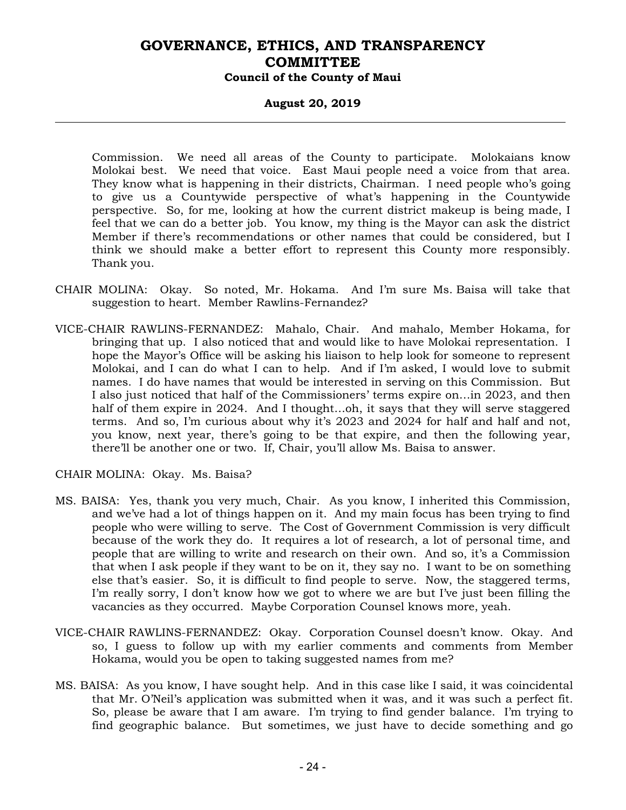#### **August 20, 2019**

Commission. We need all areas of the County to participate. Molokaians know Molokai best. We need that voice. East Maui people need a voice from that area. They know what is happening in their districts, Chairman. I need people who's going to give us a Countywide perspective of what's happening in the Countywide perspective. So, for me, looking at how the current district makeup is being made, I feel that we can do a better job. You know, my thing is the Mayor can ask the district Member if there's recommendations or other names that could be considered, but I think we should make a better effort to represent this County more responsibly. Thank you.

- CHAIR MOLINA: Okay. So noted, Mr. Hokama. And I'm sure Ms. Baisa will take that suggestion to heart. Member Rawlins-Fernandez?
- VICE-CHAIR RAWLINS-FERNANDEZ: Mahalo, Chair. And mahalo, Member Hokama, for bringing that up. I also noticed that and would like to have Molokai representation. I hope the Mayor's Office will be asking his liaison to help look for someone to represent Molokai, and I can do what I can to help. And if I'm asked, I would love to submit names. I do have names that would be interested in serving on this Commission. But I also just noticed that half of the Commissioners' terms expire on…in 2023, and then half of them expire in 2024. And I thought…oh, it says that they will serve staggered terms. And so, I'm curious about why it's 2023 and 2024 for half and half and not, you know, next year, there's going to be that expire, and then the following year, there'll be another one or two. If, Chair, you'll allow Ms. Baisa to answer.

CHAIR MOLINA: Okay. Ms. Baisa?

- MS. BAISA: Yes, thank you very much, Chair. As you know, I inherited this Commission, and we've had a lot of things happen on it. And my main focus has been trying to find people who were willing to serve. The Cost of Government Commission is very difficult because of the work they do. It requires a lot of research, a lot of personal time, and people that are willing to write and research on their own. And so, it's a Commission that when I ask people if they want to be on it, they say no. I want to be on something else that's easier. So, it is difficult to find people to serve. Now, the staggered terms, I'm really sorry, I don't know how we got to where we are but I've just been filling the vacancies as they occurred. Maybe Corporation Counsel knows more, yeah.
- VICE-CHAIR RAWLINS-FERNANDEZ: Okay. Corporation Counsel doesn't know. Okay. And so, I guess to follow up with my earlier comments and comments from Member Hokama, would you be open to taking suggested names from me?
- MS. BAISA: As you know, I have sought help. And in this case like I said, it was coincidental that Mr. O'Neil's application was submitted when it was, and it was such a perfect fit. So, please be aware that I am aware. I'm trying to find gender balance. I'm trying to find geographic balance. But sometimes, we just have to decide something and go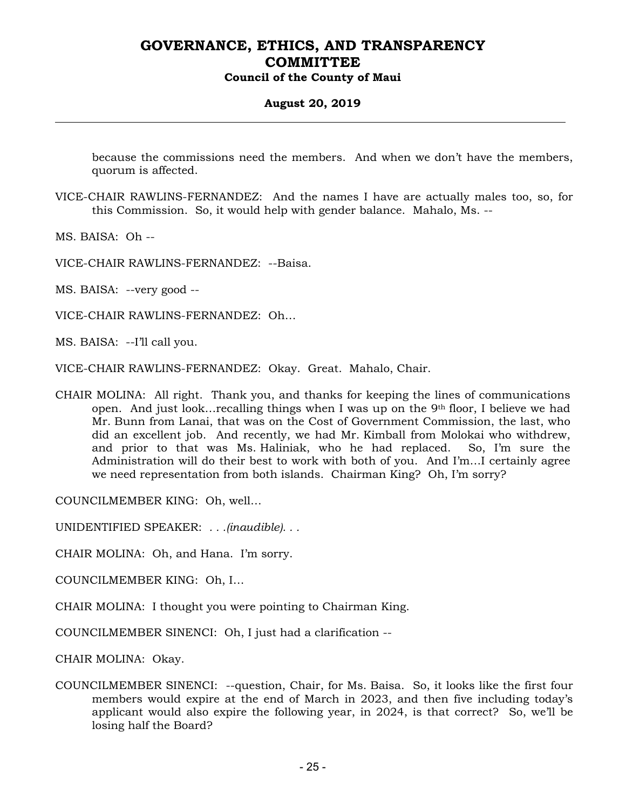#### **August 20, 2019**

because the commissions need the members. And when we don't have the members, quorum is affected.

VICE-CHAIR RAWLINS-FERNANDEZ: And the names I have are actually males too, so, for this Commission. So, it would help with gender balance. Mahalo, Ms. --

MS. BAISA: Oh --

VICE-CHAIR RAWLINS-FERNANDEZ: --Baisa.

MS. BAISA: --very good --

VICE-CHAIR RAWLINS-FERNANDEZ: Oh…

MS. BAISA: --I'll call you.

VICE-CHAIR RAWLINS-FERNANDEZ: Okay. Great. Mahalo, Chair.

CHAIR MOLINA: All right. Thank you, and thanks for keeping the lines of communications open. And just look…recalling things when I was up on the 9th floor, I believe we had Mr. Bunn from Lanai, that was on the Cost of Government Commission, the last, who did an excellent job. And recently, we had Mr. Kimball from Molokai who withdrew, and prior to that was Ms. Haliniak, who he had replaced. So, I'm sure the Administration will do their best to work with both of you. And I'm…I certainly agree we need representation from both islands. Chairman King? Oh, I'm sorry?

COUNCILMEMBER KING: Oh, well…

UNIDENTIFIED SPEAKER: *. . .(inaudible). . .*

CHAIR MOLINA: Oh, and Hana. I'm sorry.

COUNCILMEMBER KING: Oh, I…

CHAIR MOLINA: I thought you were pointing to Chairman King.

COUNCILMEMBER SINENCI: Oh, I just had a clarification --

CHAIR MOLINA: Okay.

COUNCILMEMBER SINENCI: --question, Chair, for Ms. Baisa. So, it looks like the first four members would expire at the end of March in 2023, and then five including today's applicant would also expire the following year, in 2024, is that correct? So, we'll be losing half the Board?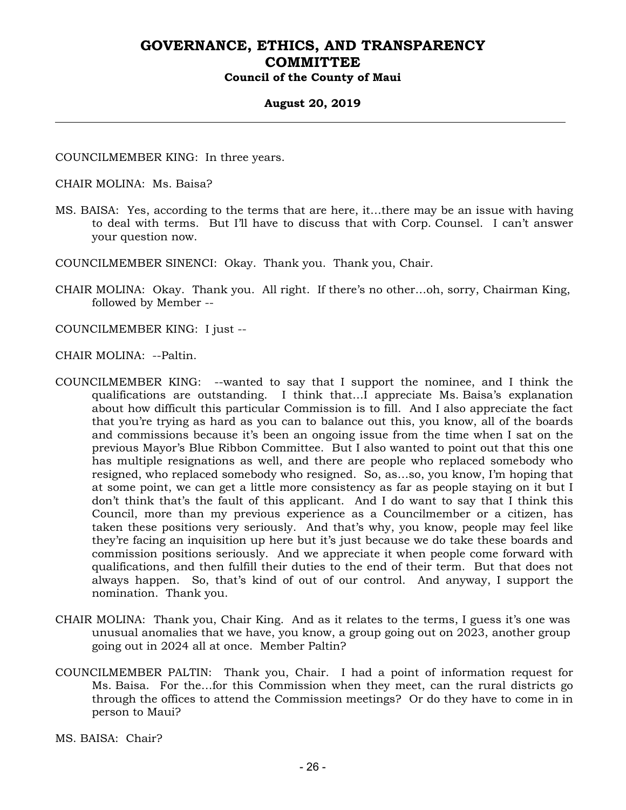#### **August 20, 2019**

COUNCILMEMBER KING: In three years.

CHAIR MOLINA: Ms. Baisa?

MS. BAISA: Yes, according to the terms that are here, it…there may be an issue with having to deal with terms. But I'll have to discuss that with Corp. Counsel. I can't answer your question now.

COUNCILMEMBER SINENCI: Okay. Thank you. Thank you, Chair.

- CHAIR MOLINA: Okay. Thank you. All right. If there's no other…oh, sorry, Chairman King, followed by Member --
- COUNCILMEMBER KING: I just --
- CHAIR MOLINA: --Paltin.
- COUNCILMEMBER KING: --wanted to say that I support the nominee, and I think the qualifications are outstanding. I think that…I appreciate Ms. Baisa's explanation about how difficult this particular Commission is to fill. And I also appreciate the fact that you're trying as hard as you can to balance out this, you know, all of the boards and commissions because it's been an ongoing issue from the time when I sat on the previous Mayor's Blue Ribbon Committee. But I also wanted to point out that this one has multiple resignations as well, and there are people who replaced somebody who resigned, who replaced somebody who resigned. So, as…so, you know, I'm hoping that at some point, we can get a little more consistency as far as people staying on it but I don't think that's the fault of this applicant. And I do want to say that I think this Council, more than my previous experience as a Councilmember or a citizen, has taken these positions very seriously. And that's why, you know, people may feel like they're facing an inquisition up here but it's just because we do take these boards and commission positions seriously. And we appreciate it when people come forward with qualifications, and then fulfill their duties to the end of their term. But that does not always happen. So, that's kind of out of our control. And anyway, I support the nomination. Thank you.
- CHAIR MOLINA: Thank you, Chair King. And as it relates to the terms, I guess it's one was unusual anomalies that we have, you know, a group going out on 2023, another group going out in 2024 all at once. Member Paltin?
- COUNCILMEMBER PALTIN: Thank you, Chair. I had a point of information request for Ms. Baisa. For the…for this Commission when they meet, can the rural districts go through the offices to attend the Commission meetings? Or do they have to come in in person to Maui?

MS. BAISA: Chair?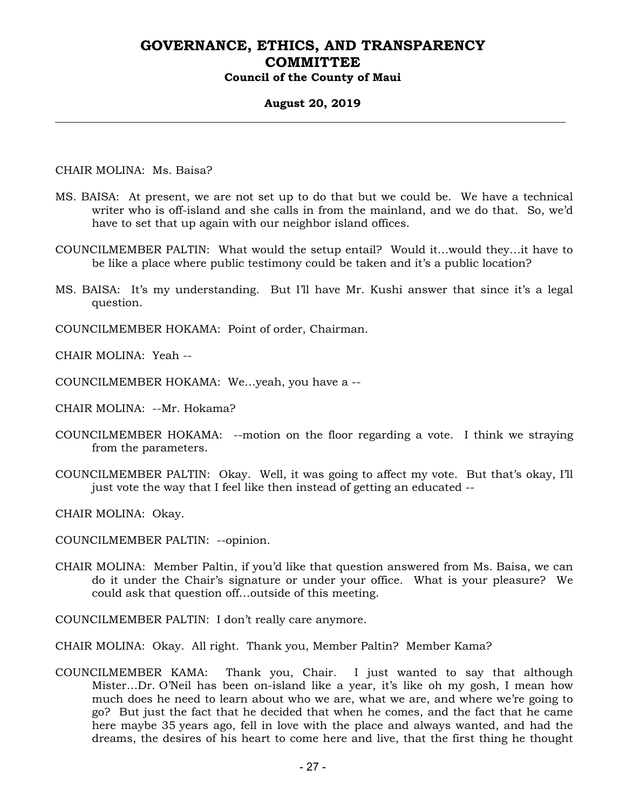#### **August 20, 2019**

CHAIR MOLINA: Ms. Baisa?

- MS. BAISA: At present, we are not set up to do that but we could be. We have a technical writer who is off-island and she calls in from the mainland, and we do that. So, we'd have to set that up again with our neighbor island offices.
- COUNCILMEMBER PALTIN: What would the setup entail? Would it…would they…it have to be like a place where public testimony could be taken and it's a public location?
- MS. BAISA: It's my understanding. But I'll have Mr. Kushi answer that since it's a legal question.

COUNCILMEMBER HOKAMA: Point of order, Chairman.

CHAIR MOLINA: Yeah --

COUNCILMEMBER HOKAMA: We…yeah, you have a --

CHAIR MOLINA: --Mr. Hokama?

- COUNCILMEMBER HOKAMA: --motion on the floor regarding a vote. I think we straying from the parameters.
- COUNCILMEMBER PALTIN: Okay. Well, it was going to affect my vote. But that's okay, I'll just vote the way that I feel like then instead of getting an educated --

CHAIR MOLINA: Okay.

COUNCILMEMBER PALTIN: --opinion.

- CHAIR MOLINA: Member Paltin, if you'd like that question answered from Ms. Baisa, we can do it under the Chair's signature or under your office. What is your pleasure? We could ask that question off…outside of this meeting.
- COUNCILMEMBER PALTIN: I don't really care anymore.

CHAIR MOLINA: Okay. All right. Thank you, Member Paltin? Member Kama?

COUNCILMEMBER KAMA: Thank you, Chair. I just wanted to say that although Mister…Dr. O'Neil has been on-island like a year, it's like oh my gosh, I mean how much does he need to learn about who we are, what we are, and where we're going to go? But just the fact that he decided that when he comes, and the fact that he came here maybe 35 years ago, fell in love with the place and always wanted, and had the dreams, the desires of his heart to come here and live, that the first thing he thought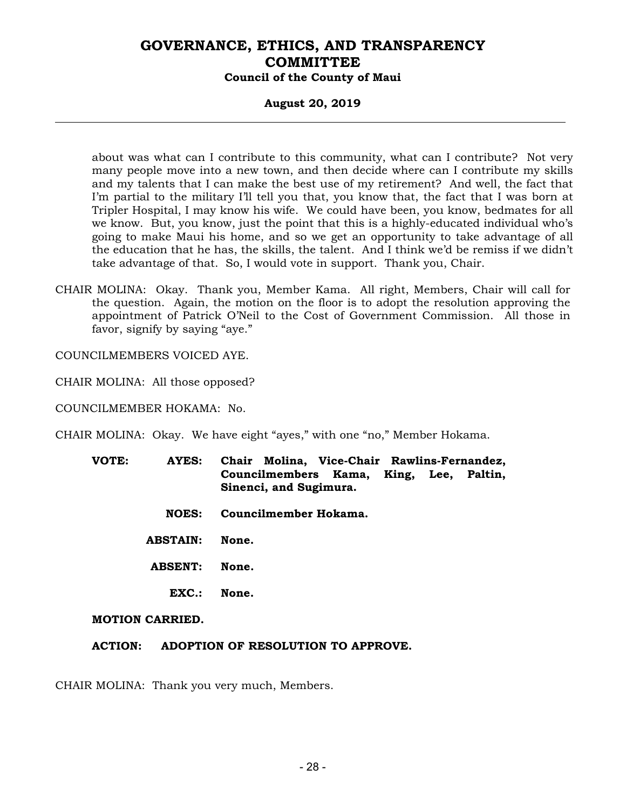### **August 20, 2019**

about was what can I contribute to this community, what can I contribute? Not very many people move into a new town, and then decide where can I contribute my skills and my talents that I can make the best use of my retirement? And well, the fact that I'm partial to the military I'll tell you that, you know that, the fact that I was born at Tripler Hospital, I may know his wife. We could have been, you know, bedmates for all we know. But, you know, just the point that this is a highly-educated individual who's going to make Maui his home, and so we get an opportunity to take advantage of all the education that he has, the skills, the talent. And I think we'd be remiss if we didn't take advantage of that. So, I would vote in support. Thank you, Chair.

CHAIR MOLINA: Okay. Thank you, Member Kama. All right, Members, Chair will call for the question. Again, the motion on the floor is to adopt the resolution approving the appointment of Patrick O'Neil to the Cost of Government Commission. All those in favor, signify by saying "aye."

COUNCILMEMBERS VOICED AYE.

CHAIR MOLINA: All those opposed?

COUNCILMEMBER HOKAMA: No.

CHAIR MOLINA: Okay. We have eight "ayes," with one "no," Member Hokama.

- **VOTE: AYES: Chair Molina, Vice-Chair Rawlins-Fernandez, Councilmembers Kama, King, Lee, Paltin, Sinenci, and Sugimura.** 
	- **NOES: Councilmember Hokama.**
	- **ABSTAIN: None.**
	- **ABSENT: None.** 
		- **EXC.: None.**

#### **MOTION CARRIED.**

**ACTION: ADOPTION OF RESOLUTION TO APPROVE.** 

CHAIR MOLINA: Thank you very much, Members.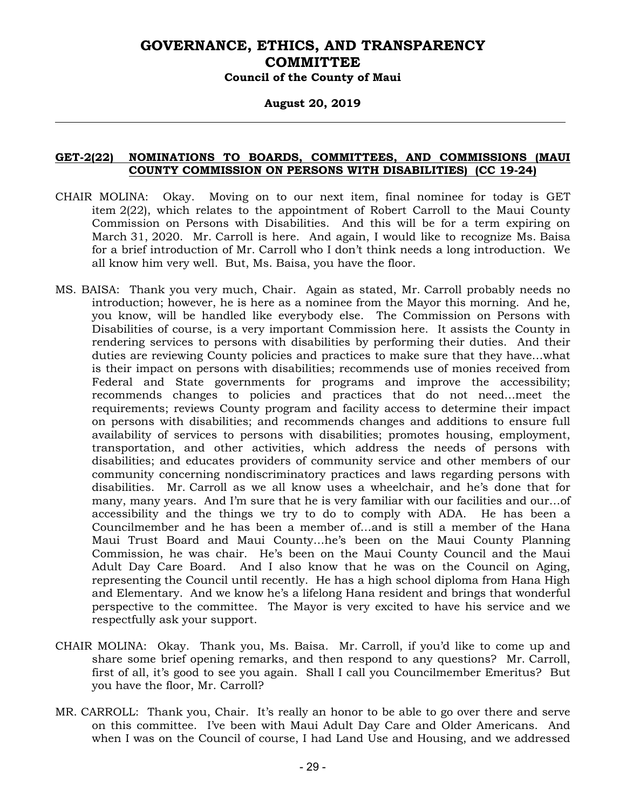#### **August 20, 2019**

### **GET-2(22) NOMINATIONS TO BOARDS, COMMITTEES, AND COMMISSIONS (MAUI COUNTY COMMISSION ON PERSONS WITH DISABILITIES) (CC 19-24)**

- CHAIR MOLINA: Okay. Moving on to our next item, final nominee for today is GET item 2(22), which relates to the appointment of Robert Carroll to the Maui County Commission on Persons with Disabilities. And this will be for a term expiring on March 31, 2020. Mr. Carroll is here. And again, I would like to recognize Ms. Baisa for a brief introduction of Mr. Carroll who I don't think needs a long introduction. We all know him very well. But, Ms. Baisa, you have the floor.
- MS. BAISA: Thank you very much, Chair. Again as stated, Mr. Carroll probably needs no introduction; however, he is here as a nominee from the Mayor this morning. And he, you know, will be handled like everybody else. The Commission on Persons with Disabilities of course, is a very important Commission here. It assists the County in rendering services to persons with disabilities by performing their duties. And their duties are reviewing County policies and practices to make sure that they have…what is their impact on persons with disabilities; recommends use of monies received from Federal and State governments for programs and improve the accessibility; recommends changes to policies and practices that do not need…meet the requirements; reviews County program and facility access to determine their impact on persons with disabilities; and recommends changes and additions to ensure full availability of services to persons with disabilities; promotes housing, employment, transportation, and other activities, which address the needs of persons with disabilities; and educates providers of community service and other members of our community concerning nondiscriminatory practices and laws regarding persons with disabilities. Mr. Carroll as we all know uses a wheelchair, and he's done that for many, many years. And I'm sure that he is very familiar with our facilities and our…of accessibility and the things we try to do to comply with ADA. He has been a Councilmember and he has been a member of…and is still a member of the Hana Maui Trust Board and Maui County…he's been on the Maui County Planning Commission, he was chair. He's been on the Maui County Council and the Maui Adult Day Care Board. And I also know that he was on the Council on Aging, representing the Council until recently. He has a high school diploma from Hana High and Elementary. And we know he's a lifelong Hana resident and brings that wonderful perspective to the committee. The Mayor is very excited to have his service and we respectfully ask your support.
- CHAIR MOLINA: Okay. Thank you, Ms. Baisa. Mr. Carroll, if you'd like to come up and share some brief opening remarks, and then respond to any questions? Mr. Carroll, first of all, it's good to see you again. Shall I call you Councilmember Emeritus? But you have the floor, Mr. Carroll?
- MR. CARROLL: Thank you, Chair. It's really an honor to be able to go over there and serve on this committee. I've been with Maui Adult Day Care and Older Americans. And when I was on the Council of course, I had Land Use and Housing, and we addressed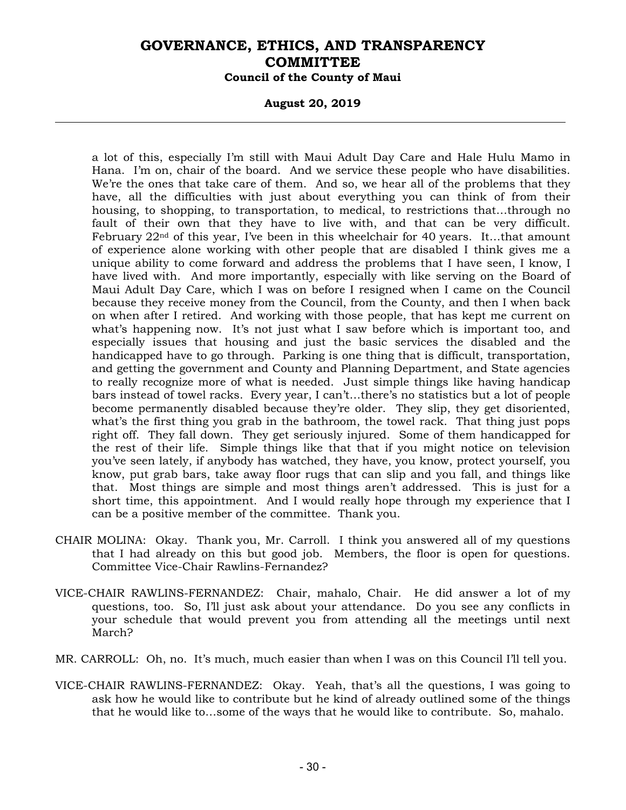#### **August 20, 2019**

a lot of this, especially I'm still with Maui Adult Day Care and Hale Hulu Mamo in Hana. I'm on, chair of the board. And we service these people who have disabilities. We're the ones that take care of them. And so, we hear all of the problems that they have, all the difficulties with just about everything you can think of from their housing, to shopping, to transportation, to medical, to restrictions that…through no fault of their own that they have to live with, and that can be very difficult. February 22nd of this year, I've been in this wheelchair for 40 years. It…that amount of experience alone working with other people that are disabled I think gives me a unique ability to come forward and address the problems that I have seen, I know, I have lived with. And more importantly, especially with like serving on the Board of Maui Adult Day Care, which I was on before I resigned when I came on the Council because they receive money from the Council, from the County, and then I when back on when after I retired. And working with those people, that has kept me current on what's happening now. It's not just what I saw before which is important too, and especially issues that housing and just the basic services the disabled and the handicapped have to go through. Parking is one thing that is difficult, transportation, and getting the government and County and Planning Department, and State agencies to really recognize more of what is needed. Just simple things like having handicap bars instead of towel racks. Every year, I can't…there's no statistics but a lot of people become permanently disabled because they're older. They slip, they get disoriented, what's the first thing you grab in the bathroom, the towel rack. That thing just pops right off. They fall down. They get seriously injured. Some of them handicapped for the rest of their life. Simple things like that that if you might notice on television you've seen lately, if anybody has watched, they have, you know, protect yourself, you know, put grab bars, take away floor rugs that can slip and you fall, and things like that. Most things are simple and most things aren't addressed. This is just for a short time, this appointment. And I would really hope through my experience that I can be a positive member of the committee. Thank you.

- CHAIR MOLINA: Okay. Thank you, Mr. Carroll. I think you answered all of my questions that I had already on this but good job. Members, the floor is open for questions. Committee Vice-Chair Rawlins-Fernandez?
- VICE-CHAIR RAWLINS-FERNANDEZ: Chair, mahalo, Chair. He did answer a lot of my questions, too. So, I'll just ask about your attendance. Do you see any conflicts in your schedule that would prevent you from attending all the meetings until next March?
- MR. CARROLL: Oh, no. It's much, much easier than when I was on this Council I'll tell you.
- VICE-CHAIR RAWLINS-FERNANDEZ: Okay. Yeah, that's all the questions, I was going to ask how he would like to contribute but he kind of already outlined some of the things that he would like to…some of the ways that he would like to contribute. So, mahalo.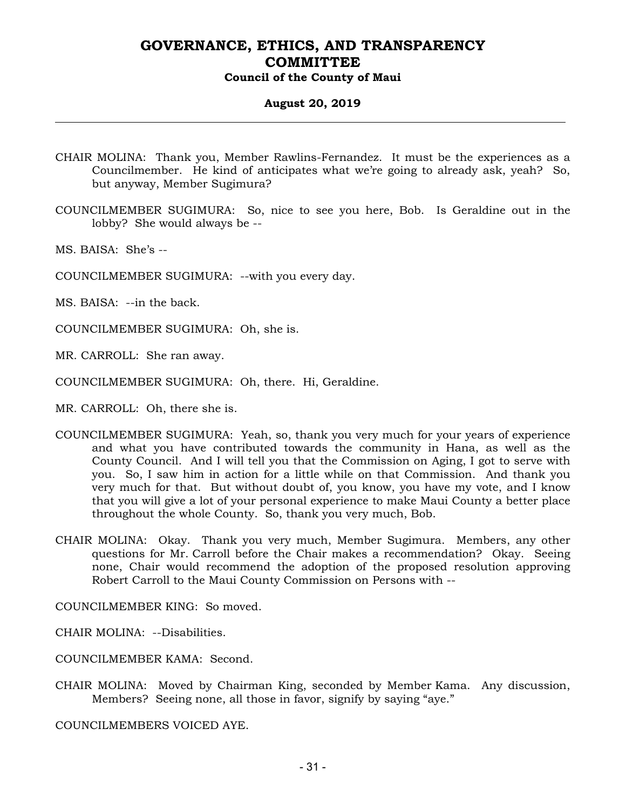### **August 20, 2019**

- CHAIR MOLINA: Thank you, Member Rawlins-Fernandez. It must be the experiences as a Councilmember. He kind of anticipates what we're going to already ask, yeah? So, but anyway, Member Sugimura?
- COUNCILMEMBER SUGIMURA: So, nice to see you here, Bob. Is Geraldine out in the lobby? She would always be --
- MS. BAISA: She's --
- COUNCILMEMBER SUGIMURA: --with you every day.
- MS. BAISA: --in the back.
- COUNCILMEMBER SUGIMURA: Oh, she is.
- MR. CARROLL: She ran away.
- COUNCILMEMBER SUGIMURA: Oh, there. Hi, Geraldine.
- MR. CARROLL: Oh, there she is.
- COUNCILMEMBER SUGIMURA: Yeah, so, thank you very much for your years of experience and what you have contributed towards the community in Hana, as well as the County Council. And I will tell you that the Commission on Aging, I got to serve with you. So, I saw him in action for a little while on that Commission. And thank you very much for that. But without doubt of, you know, you have my vote, and I know that you will give a lot of your personal experience to make Maui County a better place throughout the whole County. So, thank you very much, Bob.
- CHAIR MOLINA: Okay. Thank you very much, Member Sugimura. Members, any other questions for Mr. Carroll before the Chair makes a recommendation? Okay. Seeing none, Chair would recommend the adoption of the proposed resolution approving Robert Carroll to the Maui County Commission on Persons with --

COUNCILMEMBER KING: So moved.

CHAIR MOLINA: --Disabilities.

COUNCILMEMBER KAMA: Second.

CHAIR MOLINA: Moved by Chairman King, seconded by Member Kama. Any discussion, Members? Seeing none, all those in favor, signify by saying "aye."

COUNCILMEMBERS VOICED AYE.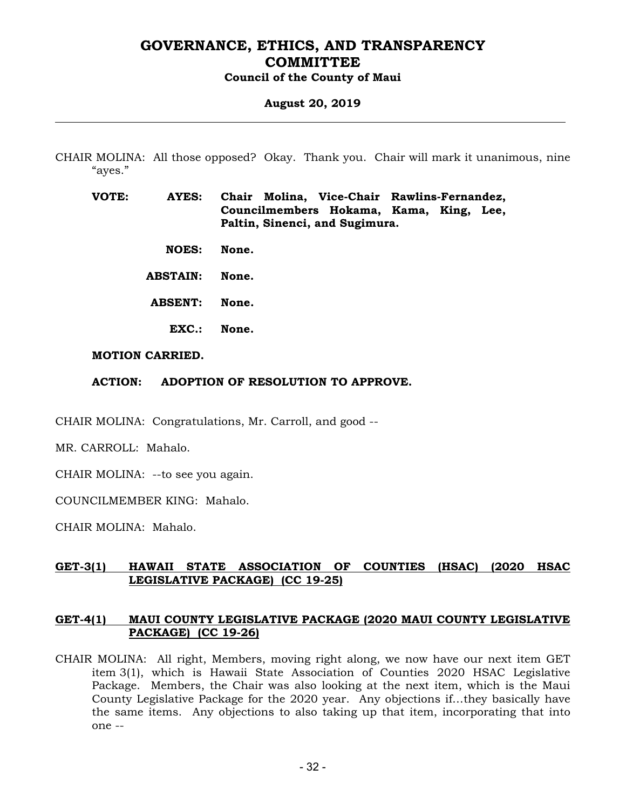#### **August 20, 2019**

CHAIR MOLINA: All those opposed? Okay. Thank you. Chair will mark it unanimous, nine "ayes."

**VOTE: AYES: Chair Molina, Vice-Chair Rawlins-Fernandez, Councilmembers Hokama, Kama, King, Lee, Paltin, Sinenci, and Sugimura.** 

 **NOES: None.** 

 **ABSTAIN: None.** 

- **ABSENT: None.** 
	- **EXC.: None.**

#### **MOTION CARRIED.**

#### **ACTION: ADOPTION OF RESOLUTION TO APPROVE.**

CHAIR MOLINA: Congratulations, Mr. Carroll, and good --

MR. CARROLL: Mahalo.

CHAIR MOLINA: --to see you again.

COUNCILMEMBER KING: Mahalo.

CHAIR MOLINA: Mahalo.

### **GET-3(1) HAWAII STATE ASSOCIATION OF COUNTIES (HSAC) (2020 HSAC LEGISLATIVE PACKAGE) (CC 19-25)**

#### **GET-4(1) MAUI COUNTY LEGISLATIVE PACKAGE (2020 MAUI COUNTY LEGISLATIVE PACKAGE) (CC 19-26)**

CHAIR MOLINA: All right, Members, moving right along, we now have our next item GET item 3(1), which is Hawaii State Association of Counties 2020 HSAC Legislative Package. Members, the Chair was also looking at the next item, which is the Maui County Legislative Package for the 2020 year. Any objections if…they basically have the same items. Any objections to also taking up that item, incorporating that into one --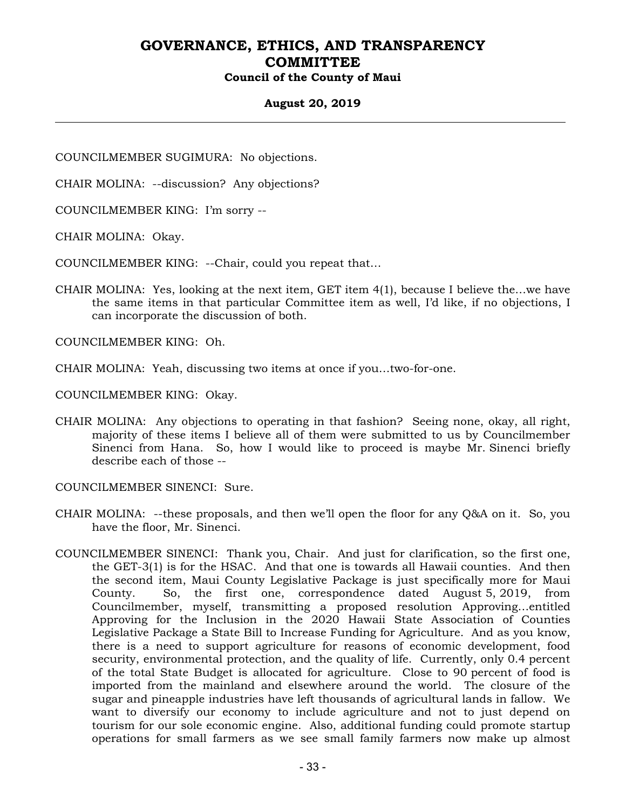### **August 20, 2019**

COUNCILMEMBER SUGIMURA: No objections.

CHAIR MOLINA: --discussion? Any objections?

COUNCILMEMBER KING: I'm sorry --

CHAIR MOLINA: Okay.

COUNCILMEMBER KING: --Chair, could you repeat that…

CHAIR MOLINA: Yes, looking at the next item, GET item 4(1), because I believe the…we have the same items in that particular Committee item as well, I'd like, if no objections, I can incorporate the discussion of both.

COUNCILMEMBER KING: Oh.

CHAIR MOLINA: Yeah, discussing two items at once if you…two-for-one.

COUNCILMEMBER KING: Okay.

CHAIR MOLINA: Any objections to operating in that fashion? Seeing none, okay, all right, majority of these items I believe all of them were submitted to us by Councilmember Sinenci from Hana. So, how I would like to proceed is maybe Mr. Sinenci briefly describe each of those --

COUNCILMEMBER SINENCI: Sure.

- CHAIR MOLINA: --these proposals, and then we'll open the floor for any Q&A on it. So, you have the floor, Mr. Sinenci.
- COUNCILMEMBER SINENCI: Thank you, Chair. And just for clarification, so the first one, the GET-3(1) is for the HSAC. And that one is towards all Hawaii counties. And then the second item, Maui County Legislative Package is just specifically more for Maui County. So, the first one, correspondence dated August 5, 2019, from Councilmember, myself, transmitting a proposed resolution Approving…entitled Approving for the Inclusion in the 2020 Hawaii State Association of Counties Legislative Package a State Bill to Increase Funding for Agriculture. And as you know, there is a need to support agriculture for reasons of economic development, food security, environmental protection, and the quality of life. Currently, only 0.4 percent of the total State Budget is allocated for agriculture. Close to 90 percent of food is imported from the mainland and elsewhere around the world. The closure of the sugar and pineapple industries have left thousands of agricultural lands in fallow. We want to diversify our economy to include agriculture and not to just depend on tourism for our sole economic engine. Also, additional funding could promote startup operations for small farmers as we see small family farmers now make up almost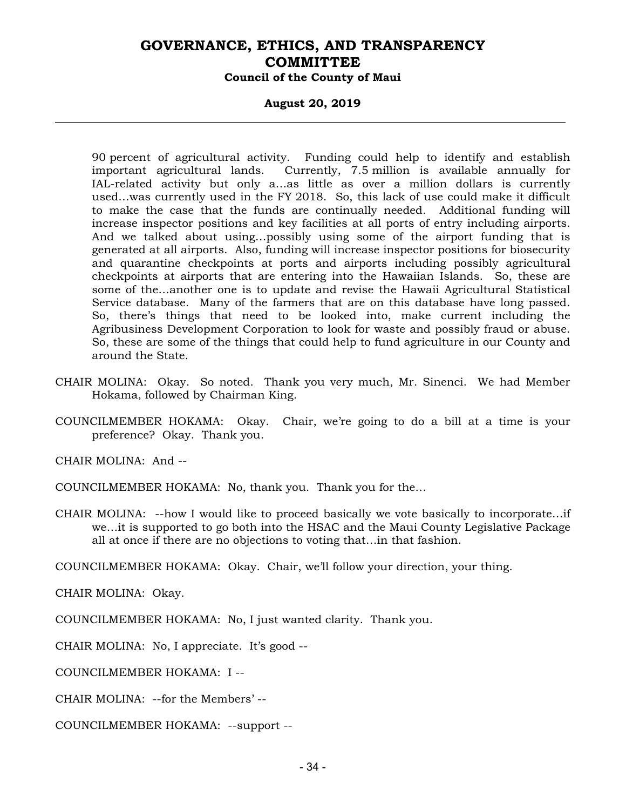### **August 20, 2019**

90 percent of agricultural activity. Funding could help to identify and establish important agricultural lands. Currently, 7.5 million is available annually for IAL-related activity but only a…as little as over a million dollars is currently used…was currently used in the FY 2018. So, this lack of use could make it difficult to make the case that the funds are continually needed. Additional funding will increase inspector positions and key facilities at all ports of entry including airports. And we talked about using…possibly using some of the airport funding that is generated at all airports. Also, funding will increase inspector positions for biosecurity and quarantine checkpoints at ports and airports including possibly agricultural checkpoints at airports that are entering into the Hawaiian Islands. So, these are some of the…another one is to update and revise the Hawaii Agricultural Statistical Service database. Many of the farmers that are on this database have long passed. So, there's things that need to be looked into, make current including the Agribusiness Development Corporation to look for waste and possibly fraud or abuse. So, these are some of the things that could help to fund agriculture in our County and around the State.

- CHAIR MOLINA: Okay. So noted. Thank you very much, Mr. Sinenci. We had Member Hokama, followed by Chairman King.
- COUNCILMEMBER HOKAMA: Okay. Chair, we're going to do a bill at a time is your preference? Okay. Thank you.

CHAIR MOLINA: And --

COUNCILMEMBER HOKAMA: No, thank you. Thank you for the…

CHAIR MOLINA: --how I would like to proceed basically we vote basically to incorporate…if we…it is supported to go both into the HSAC and the Maui County Legislative Package all at once if there are no objections to voting that…in that fashion.

COUNCILMEMBER HOKAMA: Okay. Chair, we'll follow your direction, your thing.

CHAIR MOLINA: Okay.

COUNCILMEMBER HOKAMA: No, I just wanted clarity. Thank you.

CHAIR MOLINA: No, I appreciate. It's good --

COUNCILMEMBER HOKAMA: I --

CHAIR MOLINA: --for the Members' --

COUNCILMEMBER HOKAMA: --support --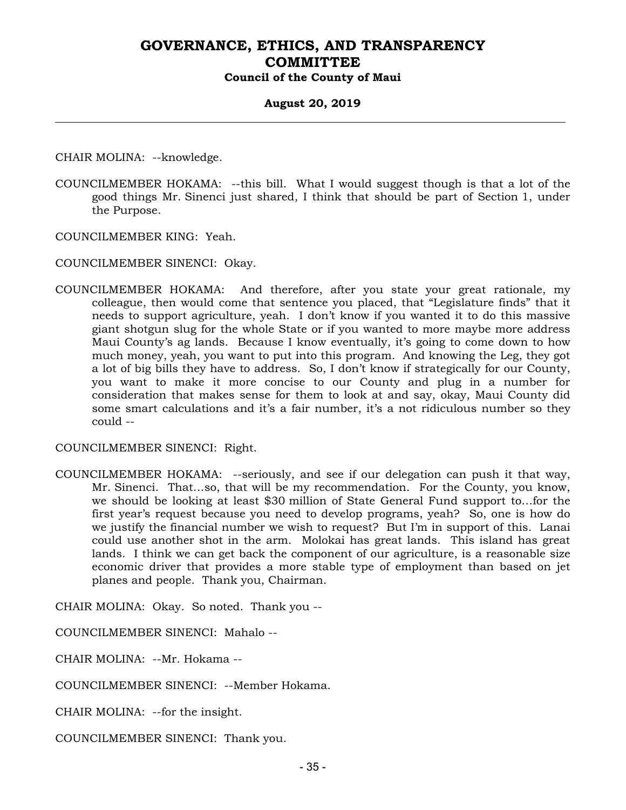#### **August 20, 2019**

CHAIR MOLINA: --knowledge.

COUNCILMEMBER HOKAMA: --this bill. What I would suggest though is that a lot of the good things Mr. Sinenci just shared, I think that should be part of Section 1, under the Purpose.

COUNCILMEMBER KING: Yeah.

COUNCILMEMBER SINENCI: Okay.

COUNCILMEMBER HOKAMA: And therefore, after you state your great rationale, my colleague, then would come that sentence you placed, that "Legislature finds" that it needs to support agriculture, yeah. I don't know if you wanted it to do this massive giant shotgun slug for the whole State or if you wanted to more maybe more address Maui County's ag lands. Because I know eventually, it's going to come down to how much money, yeah, you want to put into this program. And knowing the Leg, they got a lot of big bills they have to address. So, I don't know if strategically for our County, you want to make it more concise to our County and plug in a number for consideration that makes sense for them to look at and say, okay, Maui County did some smart calculations and it's a fair number, it's a not ridiculous number so they could --

COUNCILMEMBER SINENCI: Right.

COUNCILMEMBER HOKAMA: --seriously, and see if our delegation can push it that way, Mr. Sinenci. That…so, that will be my recommendation. For the County, you know, we should be looking at least \$30 million of State General Fund support to…for the first year's request because you need to develop programs, yeah? So, one is how do we justify the financial number we wish to request? But I'm in support of this. Lanai could use another shot in the arm. Molokai has great lands. This island has great lands. I think we can get back the component of our agriculture, is a reasonable size economic driver that provides a more stable type of employment than based on jet planes and people. Thank you, Chairman.

CHAIR MOLINA: Okay. So noted. Thank you --

COUNCILMEMBER SINENCI: Mahalo --

CHAIR MOLINA: --Mr. Hokama --

COUNCILMEMBER SINENCI: --Member Hokama.

CHAIR MOLINA: --for the insight.

COUNCILMEMBER SINENCI: Thank you.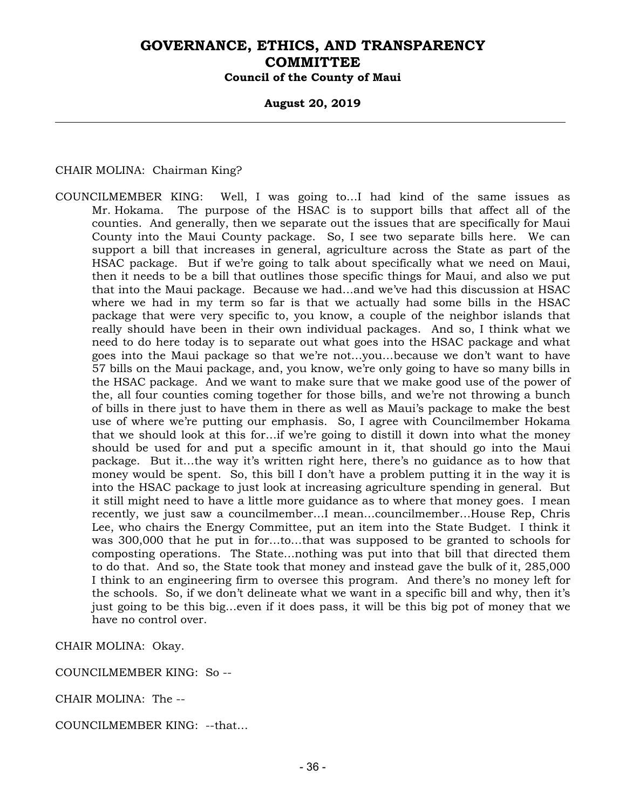#### **August 20, 2019**

CHAIR MOLINA: Chairman King?

COUNCILMEMBER KING: Well, I was going to…I had kind of the same issues as Mr. Hokama. The purpose of the HSAC is to support bills that affect all of the counties. And generally, then we separate out the issues that are specifically for Maui County into the Maui County package. So, I see two separate bills here. We can support a bill that increases in general, agriculture across the State as part of the HSAC package. But if we're going to talk about specifically what we need on Maui, then it needs to be a bill that outlines those specific things for Maui, and also we put that into the Maui package. Because we had…and we've had this discussion at HSAC where we had in my term so far is that we actually had some bills in the HSAC package that were very specific to, you know, a couple of the neighbor islands that really should have been in their own individual packages. And so, I think what we need to do here today is to separate out what goes into the HSAC package and what goes into the Maui package so that we're not…you…because we don't want to have 57 bills on the Maui package, and, you know, we're only going to have so many bills in the HSAC package. And we want to make sure that we make good use of the power of the, all four counties coming together for those bills, and we're not throwing a bunch of bills in there just to have them in there as well as Maui's package to make the best use of where we're putting our emphasis. So, I agree with Councilmember Hokama that we should look at this for…if we're going to distill it down into what the money should be used for and put a specific amount in it, that should go into the Maui package. But it…the way it's written right here, there's no guidance as to how that money would be spent. So, this bill I don't have a problem putting it in the way it is into the HSAC package to just look at increasing agriculture spending in general. But it still might need to have a little more guidance as to where that money goes. I mean recently, we just saw a councilmember…I mean…councilmember…House Rep, Chris Lee, who chairs the Energy Committee, put an item into the State Budget. I think it was 300,000 that he put in for…to…that was supposed to be granted to schools for composting operations. The State…nothing was put into that bill that directed them to do that. And so, the State took that money and instead gave the bulk of it, 285,000 I think to an engineering firm to oversee this program. And there's no money left for the schools. So, if we don't delineate what we want in a specific bill and why, then it's just going to be this big…even if it does pass, it will be this big pot of money that we have no control over.

CHAIR MOLINA: Okay.

COUNCILMEMBER KING: So --

CHAIR MOLINA: The --

COUNCILMEMBER KING: --that…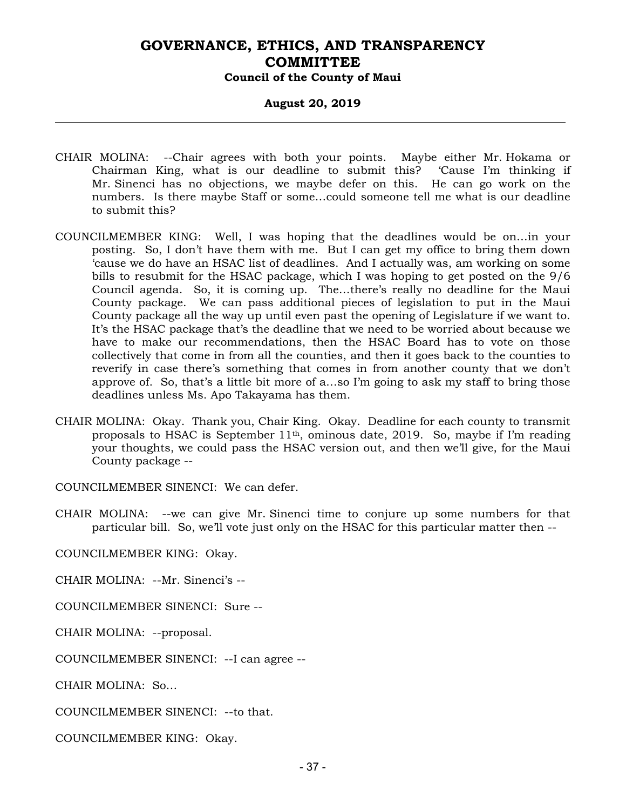#### **August 20, 2019**

- CHAIR MOLINA: --Chair agrees with both your points. Maybe either Mr. Hokama or Chairman King, what is our deadline to submit this? 'Cause I'm thinking if Mr. Sinenci has no objections, we maybe defer on this. He can go work on the numbers. Is there maybe Staff or some…could someone tell me what is our deadline to submit this?
- COUNCILMEMBER KING: Well, I was hoping that the deadlines would be on…in your posting. So, I don't have them with me. But I can get my office to bring them down 'cause we do have an HSAC list of deadlines. And I actually was, am working on some bills to resubmit for the HSAC package, which I was hoping to get posted on the 9/6 Council agenda. So, it is coming up. The…there's really no deadline for the Maui County package. We can pass additional pieces of legislation to put in the Maui County package all the way up until even past the opening of Legislature if we want to. It's the HSAC package that's the deadline that we need to be worried about because we have to make our recommendations, then the HSAC Board has to vote on those collectively that come in from all the counties, and then it goes back to the counties to reverify in case there's something that comes in from another county that we don't approve of. So, that's a little bit more of a…so I'm going to ask my staff to bring those deadlines unless Ms. Apo Takayama has them.
- CHAIR MOLINA: Okay. Thank you, Chair King. Okay. Deadline for each county to transmit proposals to HSAC is September  $11<sup>th</sup>$ , ominous date, 2019. So, maybe if I'm reading your thoughts, we could pass the HSAC version out, and then we'll give, for the Maui County package --

COUNCILMEMBER SINENCI: We can defer.

CHAIR MOLINA: --we can give Mr. Sinenci time to conjure up some numbers for that particular bill. So, we'll vote just only on the HSAC for this particular matter then --

COUNCILMEMBER KING: Okay.

CHAIR MOLINA: --Mr. Sinenci's --

COUNCILMEMBER SINENCI: Sure --

CHAIR MOLINA: --proposal.

COUNCILMEMBER SINENCI: --I can agree --

CHAIR MOLINA: So…

COUNCILMEMBER SINENCI: --to that.

COUNCILMEMBER KING: Okay.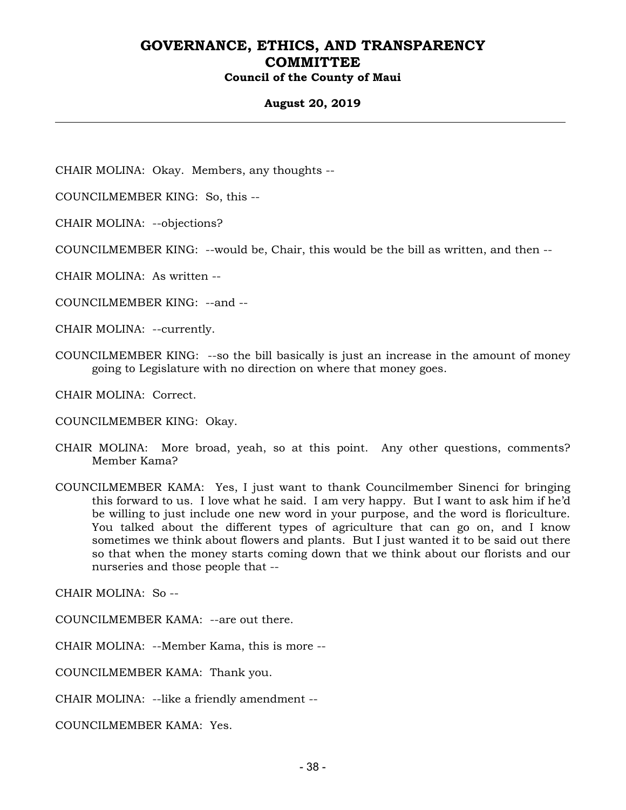#### **August 20, 2019**

CHAIR MOLINA: Okay. Members, any thoughts --

COUNCILMEMBER KING: So, this --

CHAIR MOLINA: --objections?

COUNCILMEMBER KING: --would be, Chair, this would be the bill as written, and then --

CHAIR MOLINA: As written --

COUNCILMEMBER KING: --and --

CHAIR MOLINA: --currently.

COUNCILMEMBER KING: --so the bill basically is just an increase in the amount of money going to Legislature with no direction on where that money goes.

CHAIR MOLINA: Correct.

COUNCILMEMBER KING: Okay.

- CHAIR MOLINA: More broad, yeah, so at this point. Any other questions, comments? Member Kama?
- COUNCILMEMBER KAMA: Yes, I just want to thank Councilmember Sinenci for bringing this forward to us. I love what he said. I am very happy. But I want to ask him if he'd be willing to just include one new word in your purpose, and the word is floriculture. You talked about the different types of agriculture that can go on, and I know sometimes we think about flowers and plants. But I just wanted it to be said out there so that when the money starts coming down that we think about our florists and our nurseries and those people that --

CHAIR MOLINA: So --

COUNCILMEMBER KAMA: --are out there.

CHAIR MOLINA: --Member Kama, this is more --

COUNCILMEMBER KAMA: Thank you.

CHAIR MOLINA: --like a friendly amendment --

COUNCILMEMBER KAMA: Yes.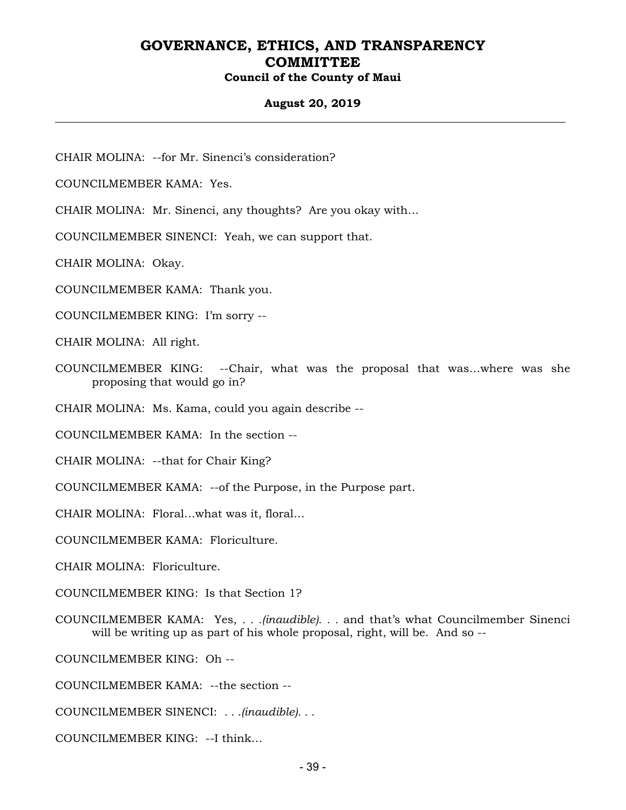### **August 20, 2019**

CHAIR MOLINA: --for Mr. Sinenci's consideration?

COUNCILMEMBER KAMA: Yes.

CHAIR MOLINA: Mr. Sinenci, any thoughts? Are you okay with…

COUNCILMEMBER SINENCI: Yeah, we can support that.

CHAIR MOLINA: Okay.

COUNCILMEMBER KAMA: Thank you.

COUNCILMEMBER KING: I'm sorry --

CHAIR MOLINA: All right.

COUNCILMEMBER KING: --Chair, what was the proposal that was…where was she proposing that would go in?

CHAIR MOLINA: Ms. Kama, could you again describe --

COUNCILMEMBER KAMA: In the section --

CHAIR MOLINA: --that for Chair King?

COUNCILMEMBER KAMA: --of the Purpose, in the Purpose part.

CHAIR MOLINA: Floral…what was it, floral…

COUNCILMEMBER KAMA: Floriculture.

CHAIR MOLINA: Floriculture.

COUNCILMEMBER KING: Is that Section 1?

COUNCILMEMBER KAMA: Yes, *. . .(inaudible). . .* and that's what Councilmember Sinenci will be writing up as part of his whole proposal, right, will be. And so --

COUNCILMEMBER KING: Oh --

COUNCILMEMBER KAMA: --the section --

COUNCILMEMBER SINENCI: *. . .(inaudible). . .*

COUNCILMEMBER KING: --I think…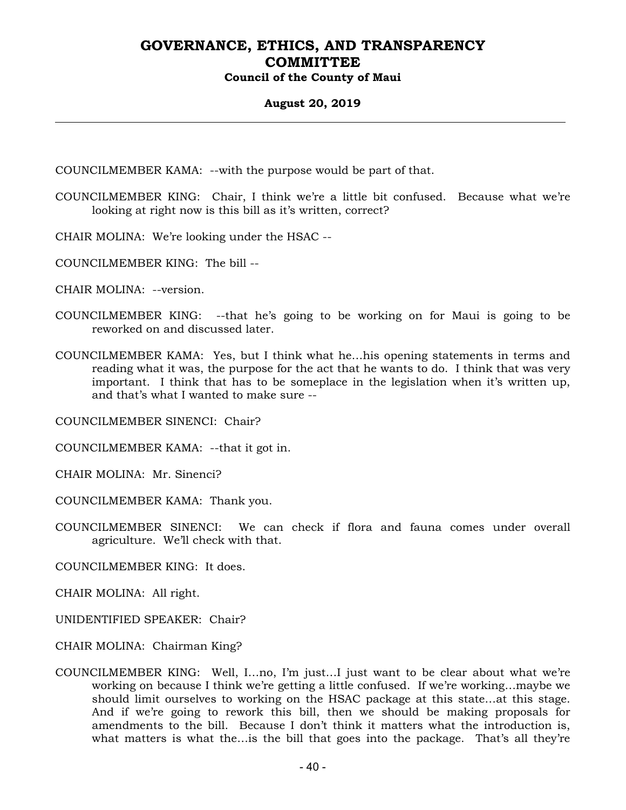#### **August 20, 2019**

COUNCILMEMBER KAMA: --with the purpose would be part of that.

- COUNCILMEMBER KING: Chair, I think we're a little bit confused. Because what we're looking at right now is this bill as it's written, correct?
- CHAIR MOLINA: We're looking under the HSAC --
- COUNCILMEMBER KING: The bill --
- CHAIR MOLINA: --version.
- COUNCILMEMBER KING: --that he's going to be working on for Maui is going to be reworked on and discussed later.
- COUNCILMEMBER KAMA: Yes, but I think what he…his opening statements in terms and reading what it was, the purpose for the act that he wants to do. I think that was very important. I think that has to be someplace in the legislation when it's written up, and that's what I wanted to make sure --

COUNCILMEMBER SINENCI: Chair?

COUNCILMEMBER KAMA: --that it got in.

CHAIR MOLINA: Mr. Sinenci?

COUNCILMEMBER KAMA: Thank you.

COUNCILMEMBER SINENCI: We can check if flora and fauna comes under overall agriculture. We'll check with that.

COUNCILMEMBER KING: It does.

CHAIR MOLINA: All right.

UNIDENTIFIED SPEAKER: Chair?

CHAIR MOLINA: Chairman King?

COUNCILMEMBER KING: Well, I…no, I'm just…I just want to be clear about what we're working on because I think we're getting a little confused. If we're working…maybe we should limit ourselves to working on the HSAC package at this state…at this stage. And if we're going to rework this bill, then we should be making proposals for amendments to the bill. Because I don't think it matters what the introduction is, what matters is what the…is the bill that goes into the package. That's all they're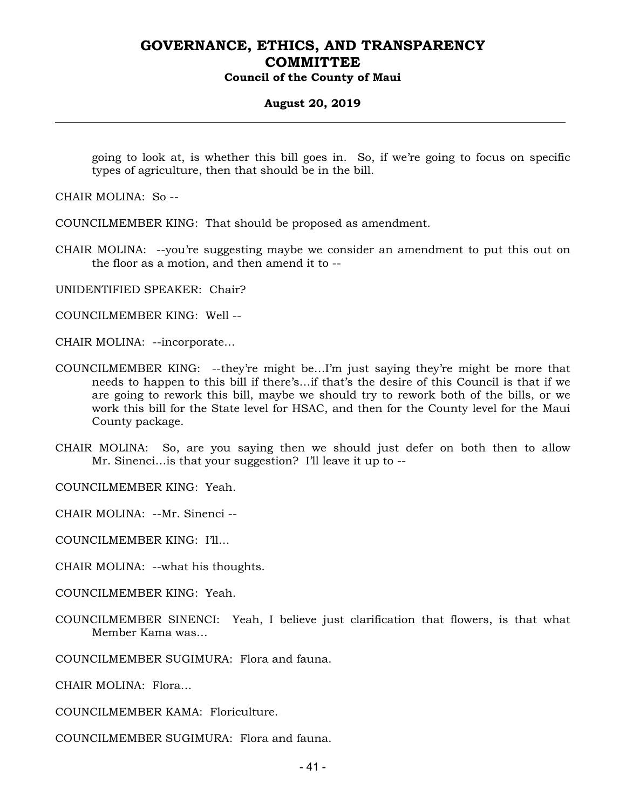#### **August 20, 2019**

going to look at, is whether this bill goes in. So, if we're going to focus on specific types of agriculture, then that should be in the bill.

CHAIR MOLINA: So --

COUNCILMEMBER KING: That should be proposed as amendment.

CHAIR MOLINA: --you're suggesting maybe we consider an amendment to put this out on the floor as a motion, and then amend it to --

UNIDENTIFIED SPEAKER: Chair?

COUNCILMEMBER KING: Well --

CHAIR MOLINA: --incorporate…

- COUNCILMEMBER KING: --they're might be…I'm just saying they're might be more that needs to happen to this bill if there's…if that's the desire of this Council is that if we are going to rework this bill, maybe we should try to rework both of the bills, or we work this bill for the State level for HSAC, and then for the County level for the Maui County package.
- CHAIR MOLINA: So, are you saying then we should just defer on both then to allow Mr. Sinenci... is that your suggestion? I'll leave it up to --

COUNCILMEMBER KING: Yeah.

CHAIR MOLINA: --Mr. Sinenci --

COUNCILMEMBER KING: I'll…

CHAIR MOLINA: --what his thoughts.

COUNCILMEMBER KING: Yeah.

COUNCILMEMBER SINENCI: Yeah, I believe just clarification that flowers, is that what Member Kama was…

COUNCILMEMBER SUGIMURA: Flora and fauna.

CHAIR MOLINA: Flora…

COUNCILMEMBER KAMA: Floriculture.

COUNCILMEMBER SUGIMURA: Flora and fauna.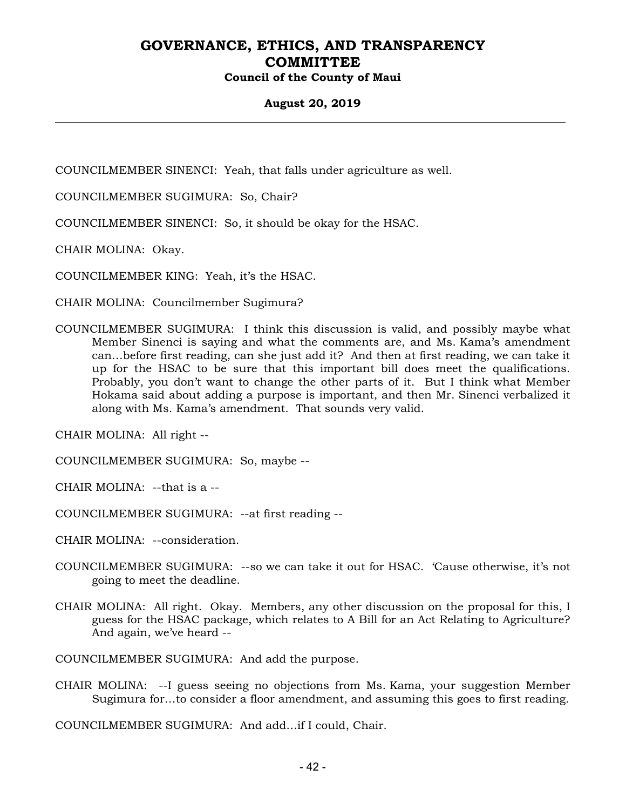### **August 20, 2019**

COUNCILMEMBER SINENCI: Yeah, that falls under agriculture as well.

COUNCILMEMBER SUGIMURA: So, Chair?

COUNCILMEMBER SINENCI: So, it should be okay for the HSAC.

CHAIR MOLINA: Okay.

COUNCILMEMBER KING: Yeah, it's the HSAC.

CHAIR MOLINA: Councilmember Sugimura?

COUNCILMEMBER SUGIMURA: I think this discussion is valid, and possibly maybe what Member Sinenci is saying and what the comments are, and Ms. Kama's amendment can…before first reading, can she just add it? And then at first reading, we can take it up for the HSAC to be sure that this important bill does meet the qualifications. Probably, you don't want to change the other parts of it. But I think what Member Hokama said about adding a purpose is important, and then Mr. Sinenci verbalized it along with Ms. Kama's amendment. That sounds very valid.

CHAIR MOLINA: All right --

COUNCILMEMBER SUGIMURA: So, maybe --

CHAIR MOLINA: --that is a --

COUNCILMEMBER SUGIMURA: --at first reading --

CHAIR MOLINA: --consideration.

- COUNCILMEMBER SUGIMURA: --so we can take it out for HSAC. 'Cause otherwise, it's not going to meet the deadline.
- CHAIR MOLINA: All right. Okay. Members, any other discussion on the proposal for this, I guess for the HSAC package, which relates to A Bill for an Act Relating to Agriculture? And again, we've heard --

COUNCILMEMBER SUGIMURA: And add the purpose.

CHAIR MOLINA: --I guess seeing no objections from Ms. Kama, your suggestion Member Sugimura for…to consider a floor amendment, and assuming this goes to first reading.

COUNCILMEMBER SUGIMURA: And add…if I could, Chair.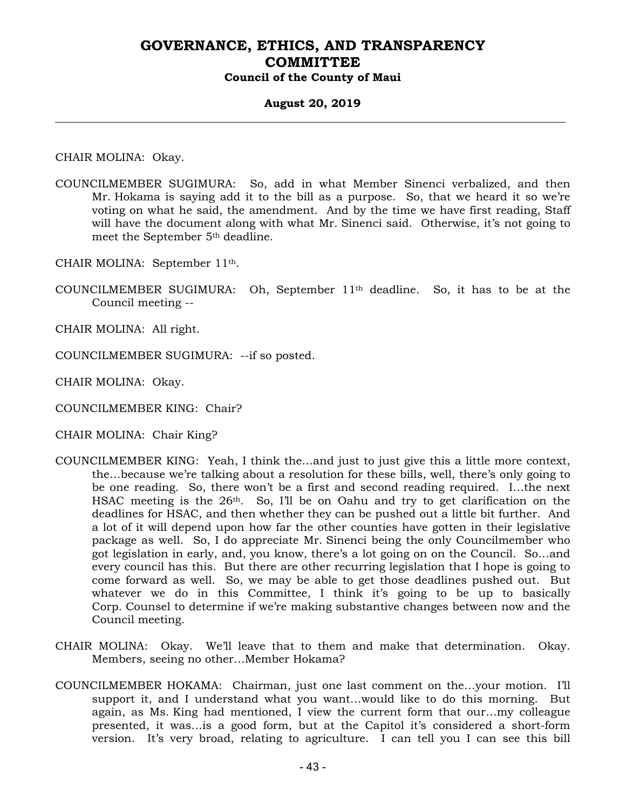#### **August 20, 2019**

CHAIR MOLINA: Okay.

COUNCILMEMBER SUGIMURA: So, add in what Member Sinenci verbalized, and then Mr. Hokama is saying add it to the bill as a purpose. So, that we heard it so we're voting on what he said, the amendment. And by the time we have first reading, Staff will have the document along with what Mr. Sinenci said. Otherwise, it's not going to meet the September 5th deadline.

CHAIR MOLINA: September 11th.

COUNCILMEMBER SUGIMURA: Oh, September  $11<sup>th</sup>$  deadline. So, it has to be at the Council meeting --

CHAIR MOLINA: All right.

COUNCILMEMBER SUGIMURA: --if so posted.

CHAIR MOLINA: Okay.

COUNCILMEMBER KING: Chair?

CHAIR MOLINA: Chair King?

- COUNCILMEMBER KING: Yeah, I think the…and just to just give this a little more context, the…because we're talking about a resolution for these bills, well, there's only going to be one reading. So, there won't be a first and second reading required. I…the next HSAC meeting is the 26<sup>th</sup>. So, I'll be on Oahu and try to get clarification on the deadlines for HSAC, and then whether they can be pushed out a little bit further. And a lot of it will depend upon how far the other counties have gotten in their legislative package as well. So, I do appreciate Mr. Sinenci being the only Councilmember who got legislation in early, and, you know, there's a lot going on on the Council. So…and every council has this. But there are other recurring legislation that I hope is going to come forward as well. So, we may be able to get those deadlines pushed out. But whatever we do in this Committee, I think it's going to be up to basically Corp. Counsel to determine if we're making substantive changes between now and the Council meeting.
- CHAIR MOLINA: Okay. We'll leave that to them and make that determination. Okay. Members, seeing no other…Member Hokama?
- COUNCILMEMBER HOKAMA: Chairman, just one last comment on the…your motion. I'll support it, and I understand what you want…would like to do this morning. But again, as Ms. King had mentioned, I view the current form that our…my colleague presented, it was…is a good form, but at the Capitol it's considered a short-form version. It's very broad, relating to agriculture. I can tell you I can see this bill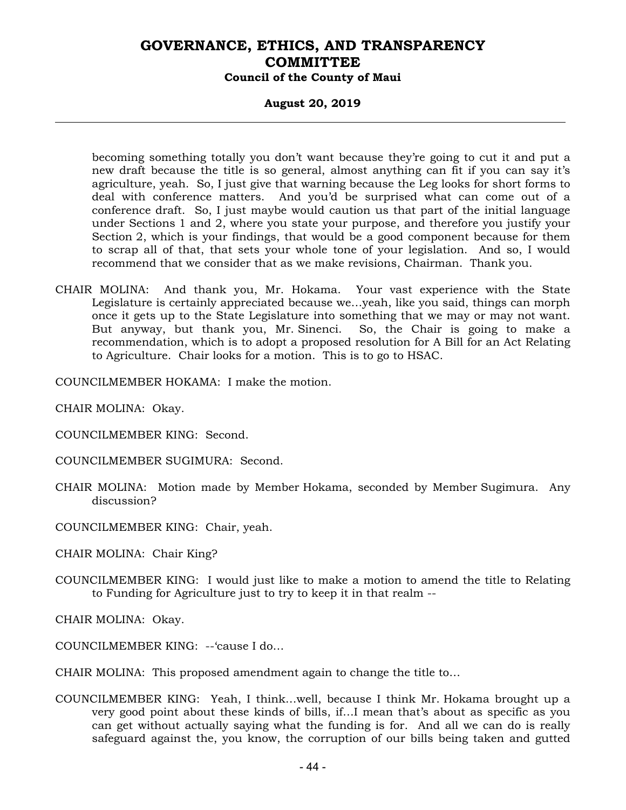#### **August 20, 2019**

becoming something totally you don't want because they're going to cut it and put a new draft because the title is so general, almost anything can fit if you can say it's agriculture, yeah. So, I just give that warning because the Leg looks for short forms to deal with conference matters. And you'd be surprised what can come out of a conference draft. So, I just maybe would caution us that part of the initial language under Sections 1 and 2, where you state your purpose, and therefore you justify your Section 2, which is your findings, that would be a good component because for them to scrap all of that, that sets your whole tone of your legislation. And so, I would recommend that we consider that as we make revisions, Chairman. Thank you.

CHAIR MOLINA: And thank you, Mr. Hokama. Your vast experience with the State Legislature is certainly appreciated because we…yeah, like you said, things can morph once it gets up to the State Legislature into something that we may or may not want. But anyway, but thank you, Mr. Sinenci. So, the Chair is going to make a recommendation, which is to adopt a proposed resolution for A Bill for an Act Relating to Agriculture. Chair looks for a motion. This is to go to HSAC.

COUNCILMEMBER HOKAMA: I make the motion.

CHAIR MOLINA: Okay.

- COUNCILMEMBER KING: Second.
- COUNCILMEMBER SUGIMURA: Second.
- CHAIR MOLINA: Motion made by Member Hokama, seconded by Member Sugimura. Any discussion?
- COUNCILMEMBER KING: Chair, yeah.

CHAIR MOLINA: Chair King?

COUNCILMEMBER KING: I would just like to make a motion to amend the title to Relating to Funding for Agriculture just to try to keep it in that realm --

CHAIR MOLINA: Okay.

- COUNCILMEMBER KING: --'cause I do…
- CHAIR MOLINA: This proposed amendment again to change the title to…
- COUNCILMEMBER KING: Yeah, I think…well, because I think Mr. Hokama brought up a very good point about these kinds of bills, if…I mean that's about as specific as you can get without actually saying what the funding is for. And all we can do is really safeguard against the, you know, the corruption of our bills being taken and gutted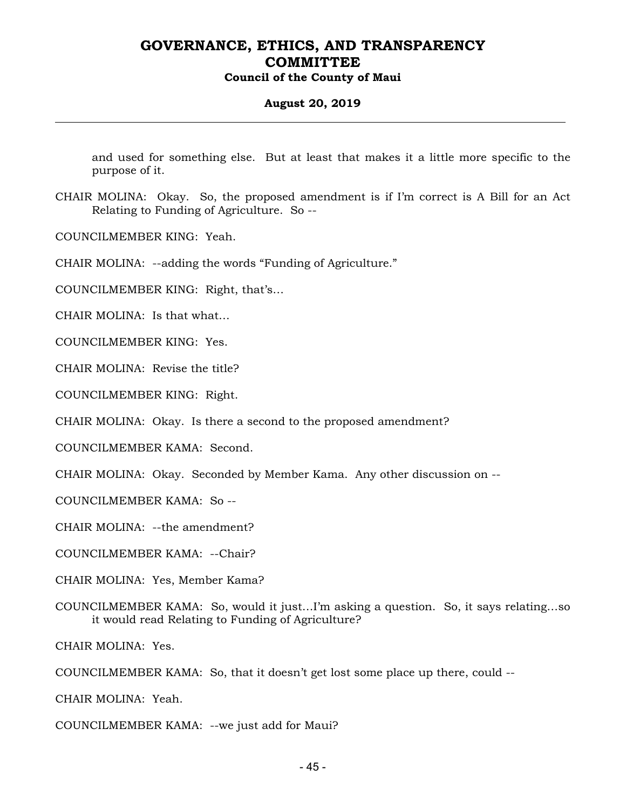#### **August 20, 2019**

and used for something else. But at least that makes it a little more specific to the purpose of it.

CHAIR MOLINA: Okay. So, the proposed amendment is if I'm correct is A Bill for an Act Relating to Funding of Agriculture. So --

COUNCILMEMBER KING: Yeah.

CHAIR MOLINA: --adding the words "Funding of Agriculture."

COUNCILMEMBER KING: Right, that's…

CHAIR MOLINA: Is that what…

COUNCILMEMBER KING: Yes.

CHAIR MOLINA: Revise the title?

COUNCILMEMBER KING: Right.

CHAIR MOLINA: Okay. Is there a second to the proposed amendment?

COUNCILMEMBER KAMA: Second.

CHAIR MOLINA: Okay. Seconded by Member Kama. Any other discussion on --

COUNCILMEMBER KAMA: So --

CHAIR MOLINA: --the amendment?

COUNCILMEMBER KAMA: --Chair?

CHAIR MOLINA: Yes, Member Kama?

COUNCILMEMBER KAMA: So, would it just…I'm asking a question. So, it says relating…so it would read Relating to Funding of Agriculture?

CHAIR MOLINA: Yes.

COUNCILMEMBER KAMA: So, that it doesn't get lost some place up there, could --

CHAIR MOLINA: Yeah.

COUNCILMEMBER KAMA: --we just add for Maui?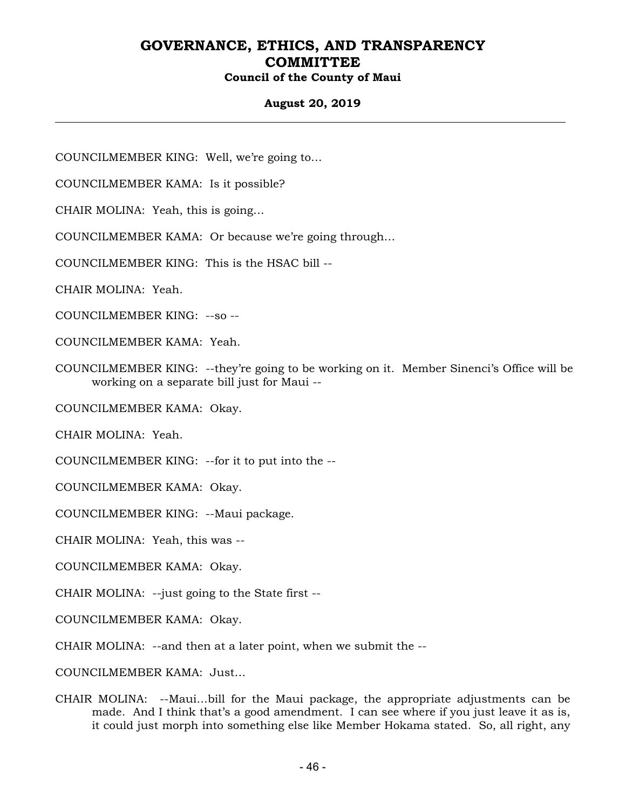### **August 20, 2019**

COUNCILMEMBER KING: Well, we're going to…

COUNCILMEMBER KAMA: Is it possible?

CHAIR MOLINA: Yeah, this is going…

COUNCILMEMBER KAMA: Or because we're going through…

COUNCILMEMBER KING: This is the HSAC bill --

CHAIR MOLINA: Yeah.

COUNCILMEMBER KING: --so --

COUNCILMEMBER KAMA: Yeah.

COUNCILMEMBER KING: --they're going to be working on it. Member Sinenci's Office will be working on a separate bill just for Maui --

COUNCILMEMBER KAMA: Okay.

CHAIR MOLINA: Yeah.

COUNCILMEMBER KING: --for it to put into the --

COUNCILMEMBER KAMA: Okay.

COUNCILMEMBER KING: --Maui package.

CHAIR MOLINA: Yeah, this was --

COUNCILMEMBER KAMA: Okay.

CHAIR MOLINA: --just going to the State first --

COUNCILMEMBER KAMA: Okay.

CHAIR MOLINA: --and then at a later point, when we submit the --

COUNCILMEMBER KAMA: Just…

CHAIR MOLINA: --Maui…bill for the Maui package, the appropriate adjustments can be made. And I think that's a good amendment. I can see where if you just leave it as is, it could just morph into something else like Member Hokama stated. So, all right, any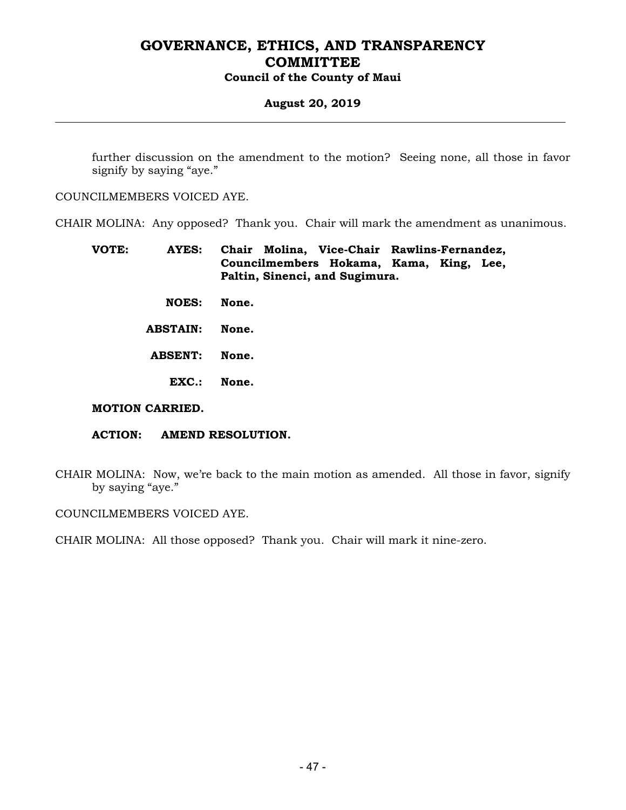### **August 20, 2019**

further discussion on the amendment to the motion? Seeing none, all those in favor signify by saying "aye."

COUNCILMEMBERS VOICED AYE.

CHAIR MOLINA: Any opposed? Thank you. Chair will mark the amendment as unanimous.

| VOTE: | AYES: |                                |  |                                         | Chair Molina, Vice-Chair Rawlins-Fernandez, |  |  |
|-------|-------|--------------------------------|--|-----------------------------------------|---------------------------------------------|--|--|
|       |       |                                |  | Councilmembers Hokama, Kama, King, Lee, |                                             |  |  |
|       |       | Paltin, Sinenci, and Sugimura. |  |                                         |                                             |  |  |

- **NOES: None.**
- **ABSTAIN: None.**
- **ABSENT: None.** 
	- **EXC.: None.**

#### **MOTION CARRIED.**

- **ACTION: AMEND RESOLUTION.**
- CHAIR MOLINA: Now, we're back to the main motion as amended. All those in favor, signify by saying "aye."

COUNCILMEMBERS VOICED AYE.

CHAIR MOLINA: All those opposed? Thank you. Chair will mark it nine-zero.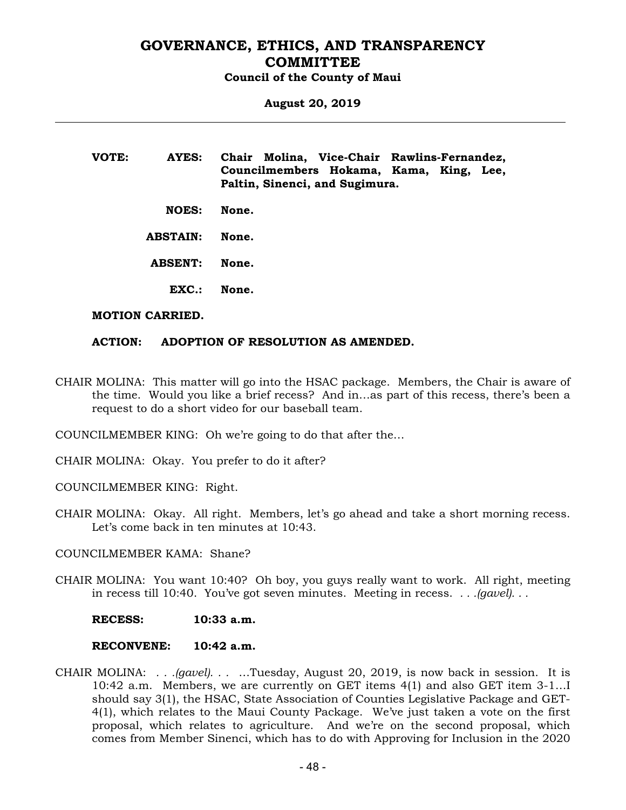**August 20, 2019** 

**VOTE: AYES: Chair Molina, Vice-Chair Rawlins-Fernandez, Councilmembers Hokama, Kama, King, Lee, Paltin, Sinenci, and Sugimura.** 

 **NOES: None.** 

 **ABSTAIN: None.** 

 **ABSENT: None.** 

 **EXC.: None.** 

#### **MOTION CARRIED.**

#### **ACTION: ADOPTION OF RESOLUTION AS AMENDED.**

CHAIR MOLINA: This matter will go into the HSAC package. Members, the Chair is aware of the time. Would you like a brief recess? And in…as part of this recess, there's been a request to do a short video for our baseball team.

COUNCILMEMBER KING: Oh we're going to do that after the…

CHAIR MOLINA: Okay. You prefer to do it after?

COUNCILMEMBER KING: Right.

CHAIR MOLINA: Okay. All right. Members, let's go ahead and take a short morning recess. Let's come back in ten minutes at 10:43.

COUNCILMEMBER KAMA: Shane?

- CHAIR MOLINA: You want 10:40? Oh boy, you guys really want to work. All right, meeting in recess till 10:40. You've got seven minutes. Meeting in recess. *. . .(gavel). . .*
	- **RECESS: 10:33 a.m.**

#### **RECONVENE: 10:42 a.m.**

CHAIR MOLINA: *. . .(gavel). . .* …Tuesday, August 20, 2019, is now back in session. It is 10:42 a.m. Members, we are currently on GET items 4(1) and also GET item 3-1…I should say 3(1), the HSAC, State Association of Counties Legislative Package and GET-4(1), which relates to the Maui County Package. We've just taken a vote on the first proposal, which relates to agriculture. And we're on the second proposal, which comes from Member Sinenci, which has to do with Approving for Inclusion in the 2020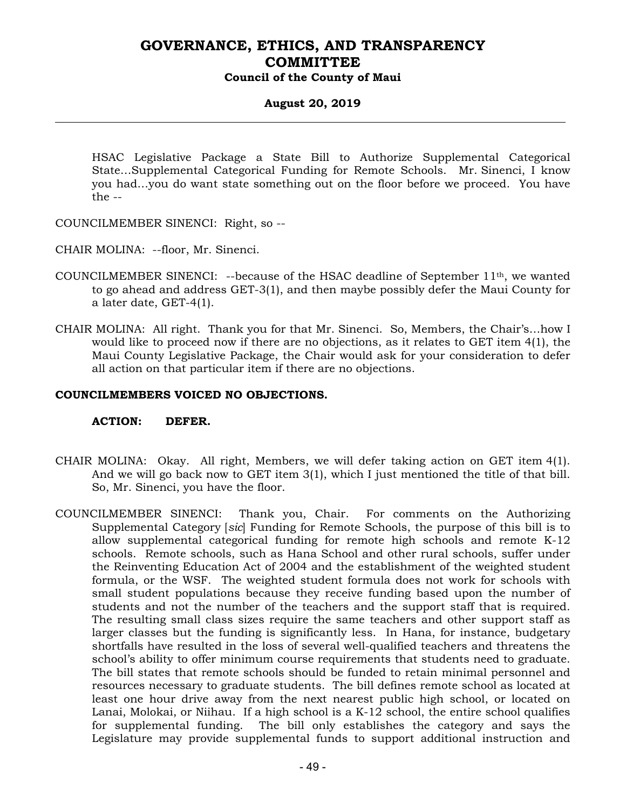### **August 20, 2019**

HSAC Legislative Package a State Bill to Authorize Supplemental Categorical State…Supplemental Categorical Funding for Remote Schools. Mr. Sinenci, I know you had…you do want state something out on the floor before we proceed. You have the --

COUNCILMEMBER SINENCI: Right, so --

CHAIR MOLINA: --floor, Mr. Sinenci.

- COUNCILMEMBER SINENCI: --because of the HSAC deadline of September  $11<sup>th</sup>$ , we wanted to go ahead and address GET-3(1), and then maybe possibly defer the Maui County for a later date, GET-4(1).
- CHAIR MOLINA: All right. Thank you for that Mr. Sinenci. So, Members, the Chair's…how I would like to proceed now if there are no objections, as it relates to GET item 4(1), the Maui County Legislative Package, the Chair would ask for your consideration to defer all action on that particular item if there are no objections.

#### **COUNCILMEMBERS VOICED NO OBJECTIONS.**

#### **ACTION: DEFER.**

- CHAIR MOLINA: Okay. All right, Members, we will defer taking action on GET item 4(1). And we will go back now to GET item 3(1), which I just mentioned the title of that bill. So, Mr. Sinenci, you have the floor.
- COUNCILMEMBER SINENCI: Thank you, Chair. For comments on the Authorizing Supplemental Category [*sic*] Funding for Remote Schools, the purpose of this bill is to allow supplemental categorical funding for remote high schools and remote K-12 schools. Remote schools, such as Hana School and other rural schools, suffer under the Reinventing Education Act of 2004 and the establishment of the weighted student formula, or the WSF. The weighted student formula does not work for schools with small student populations because they receive funding based upon the number of students and not the number of the teachers and the support staff that is required. The resulting small class sizes require the same teachers and other support staff as larger classes but the funding is significantly less. In Hana, for instance, budgetary shortfalls have resulted in the loss of several well-qualified teachers and threatens the school's ability to offer minimum course requirements that students need to graduate. The bill states that remote schools should be funded to retain minimal personnel and resources necessary to graduate students. The bill defines remote school as located at least one hour drive away from the next nearest public high school, or located on Lanai, Molokai, or Niihau. If a high school is a K-12 school, the entire school qualifies for supplemental funding. The bill only establishes the category and says the Legislature may provide supplemental funds to support additional instruction and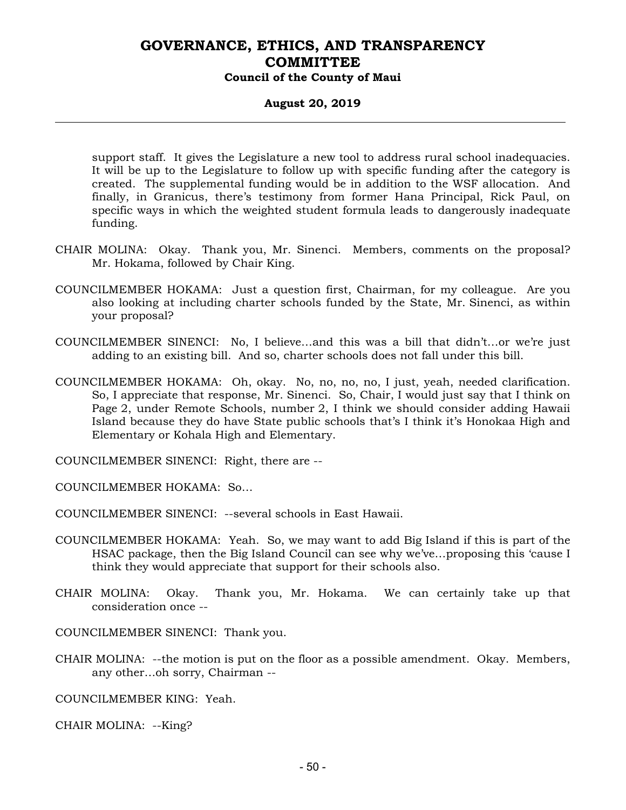#### **August 20, 2019**

support staff. It gives the Legislature a new tool to address rural school inadequacies. It will be up to the Legislature to follow up with specific funding after the category is created. The supplemental funding would be in addition to the WSF allocation. And finally, in Granicus, there's testimony from former Hana Principal, Rick Paul, on specific ways in which the weighted student formula leads to dangerously inadequate funding.

- CHAIR MOLINA: Okay. Thank you, Mr. Sinenci. Members, comments on the proposal? Mr. Hokama, followed by Chair King.
- COUNCILMEMBER HOKAMA: Just a question first, Chairman, for my colleague. Are you also looking at including charter schools funded by the State, Mr. Sinenci, as within your proposal?
- COUNCILMEMBER SINENCI: No, I believe…and this was a bill that didn't…or we're just adding to an existing bill. And so, charter schools does not fall under this bill.
- COUNCILMEMBER HOKAMA: Oh, okay. No, no, no, no, I just, yeah, needed clarification. So, I appreciate that response, Mr. Sinenci. So, Chair, I would just say that I think on Page 2, under Remote Schools, number 2, I think we should consider adding Hawaii Island because they do have State public schools that's I think it's Honokaa High and Elementary or Kohala High and Elementary.

COUNCILMEMBER SINENCI: Right, there are --

COUNCILMEMBER HOKAMA: So…

COUNCILMEMBER SINENCI: --several schools in East Hawaii.

- COUNCILMEMBER HOKAMA: Yeah. So, we may want to add Big Island if this is part of the HSAC package, then the Big Island Council can see why we've…proposing this 'cause I think they would appreciate that support for their schools also.
- CHAIR MOLINA: Okay. Thank you, Mr. Hokama. We can certainly take up that consideration once --

COUNCILMEMBER SINENCI: Thank you.

CHAIR MOLINA: --the motion is put on the floor as a possible amendment. Okay. Members, any other…oh sorry, Chairman --

COUNCILMEMBER KING: Yeah.

CHAIR MOLINA: --King?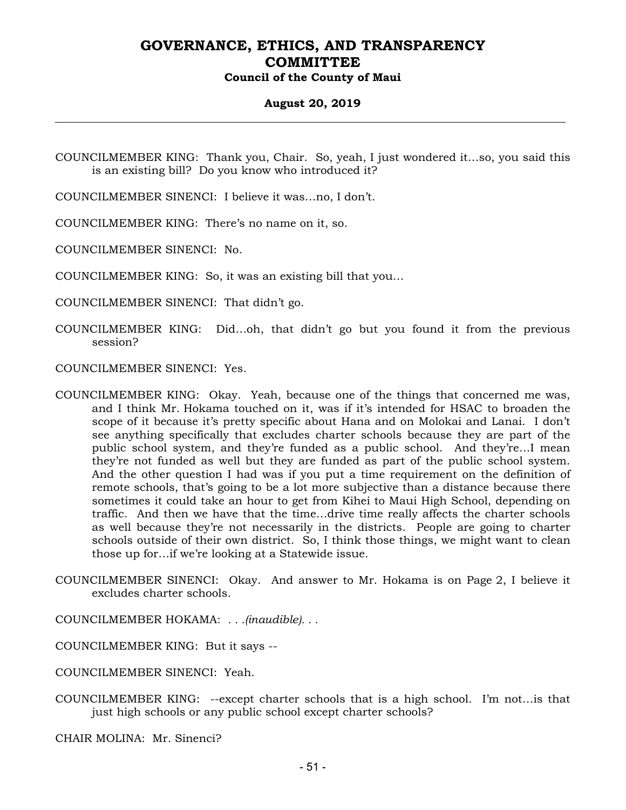### **August 20, 2019**

COUNCILMEMBER KING: Thank you, Chair. So, yeah, I just wondered it…so, you said this is an existing bill? Do you know who introduced it?

COUNCILMEMBER SINENCI: I believe it was…no, I don't.

COUNCILMEMBER KING: There's no name on it, so.

COUNCILMEMBER SINENCI: No.

COUNCILMEMBER KING: So, it was an existing bill that you…

COUNCILMEMBER SINENCI: That didn't go.

COUNCILMEMBER KING: Did…oh, that didn't go but you found it from the previous session?

COUNCILMEMBER SINENCI: Yes.

- COUNCILMEMBER KING: Okay. Yeah, because one of the things that concerned me was, and I think Mr. Hokama touched on it, was if it's intended for HSAC to broaden the scope of it because it's pretty specific about Hana and on Molokai and Lanai. I don't see anything specifically that excludes charter schools because they are part of the public school system, and they're funded as a public school. And they're…I mean they're not funded as well but they are funded as part of the public school system. And the other question I had was if you put a time requirement on the definition of remote schools, that's going to be a lot more subjective than a distance because there sometimes it could take an hour to get from Kihei to Maui High School, depending on traffic. And then we have that the time…drive time really affects the charter schools as well because they're not necessarily in the districts. People are going to charter schools outside of their own district. So, I think those things, we might want to clean those up for…if we're looking at a Statewide issue.
- COUNCILMEMBER SINENCI: Okay. And answer to Mr. Hokama is on Page 2, I believe it excludes charter schools.
- COUNCILMEMBER HOKAMA: *. . .(inaudible). . .*
- COUNCILMEMBER KING: But it says --

COUNCILMEMBER SINENCI: Yeah.

COUNCILMEMBER KING: --except charter schools that is a high school. I'm not…is that just high schools or any public school except charter schools?

CHAIR MOLINA: Mr. Sinenci?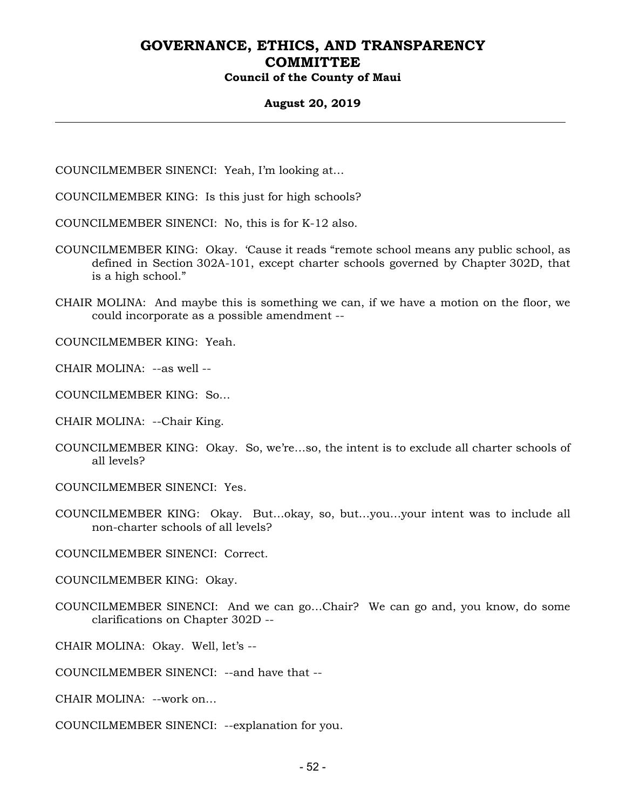### **August 20, 2019**

COUNCILMEMBER SINENCI: Yeah, I'm looking at…

- COUNCILMEMBER KING: Is this just for high schools?
- COUNCILMEMBER SINENCI: No, this is for K-12 also.
- COUNCILMEMBER KING: Okay. 'Cause it reads "remote school means any public school, as defined in Section 302A-101, except charter schools governed by Chapter 302D, that is a high school."
- CHAIR MOLINA: And maybe this is something we can, if we have a motion on the floor, we could incorporate as a possible amendment --

COUNCILMEMBER KING: Yeah.

CHAIR MOLINA: --as well --

COUNCILMEMBER KING: So…

CHAIR MOLINA: --Chair King.

COUNCILMEMBER KING: Okay. So, we're…so, the intent is to exclude all charter schools of all levels?

COUNCILMEMBER SINENCI: Yes.

COUNCILMEMBER KING: Okay. But…okay, so, but…you…your intent was to include all non-charter schools of all levels?

COUNCILMEMBER SINENCI: Correct.

COUNCILMEMBER KING: Okay.

COUNCILMEMBER SINENCI: And we can go…Chair? We can go and, you know, do some clarifications on Chapter 302D --

CHAIR MOLINA: Okay. Well, let's --

COUNCILMEMBER SINENCI: --and have that --

CHAIR MOLINA: --work on…

COUNCILMEMBER SINENCI: --explanation for you.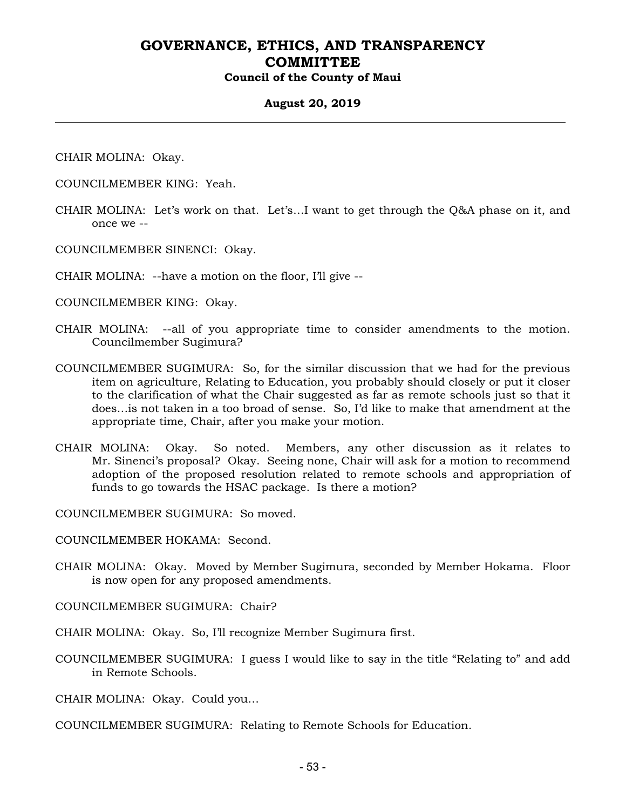#### **August 20, 2019**

CHAIR MOLINA: Okay.

- COUNCILMEMBER KING: Yeah.
- CHAIR MOLINA: Let's work on that. Let's…I want to get through the Q&A phase on it, and once we --
- COUNCILMEMBER SINENCI: Okay.

CHAIR MOLINA: --have a motion on the floor, I'll give --

COUNCILMEMBER KING: Okay.

- CHAIR MOLINA: --all of you appropriate time to consider amendments to the motion. Councilmember Sugimura?
- COUNCILMEMBER SUGIMURA: So, for the similar discussion that we had for the previous item on agriculture, Relating to Education, you probably should closely or put it closer to the clarification of what the Chair suggested as far as remote schools just so that it does…is not taken in a too broad of sense. So, I'd like to make that amendment at the appropriate time, Chair, after you make your motion.
- CHAIR MOLINA: Okay. So noted. Members, any other discussion as it relates to Mr. Sinenci's proposal? Okay. Seeing none, Chair will ask for a motion to recommend adoption of the proposed resolution related to remote schools and appropriation of funds to go towards the HSAC package. Is there a motion?

COUNCILMEMBER SUGIMURA: So moved.

COUNCILMEMBER HOKAMA: Second.

CHAIR MOLINA: Okay. Moved by Member Sugimura, seconded by Member Hokama. Floor is now open for any proposed amendments.

COUNCILMEMBER SUGIMURA: Chair?

CHAIR MOLINA: Okay. So, I'll recognize Member Sugimura first.

COUNCILMEMBER SUGIMURA: I guess I would like to say in the title "Relating to" and add in Remote Schools.

CHAIR MOLINA: Okay. Could you…

COUNCILMEMBER SUGIMURA: Relating to Remote Schools for Education.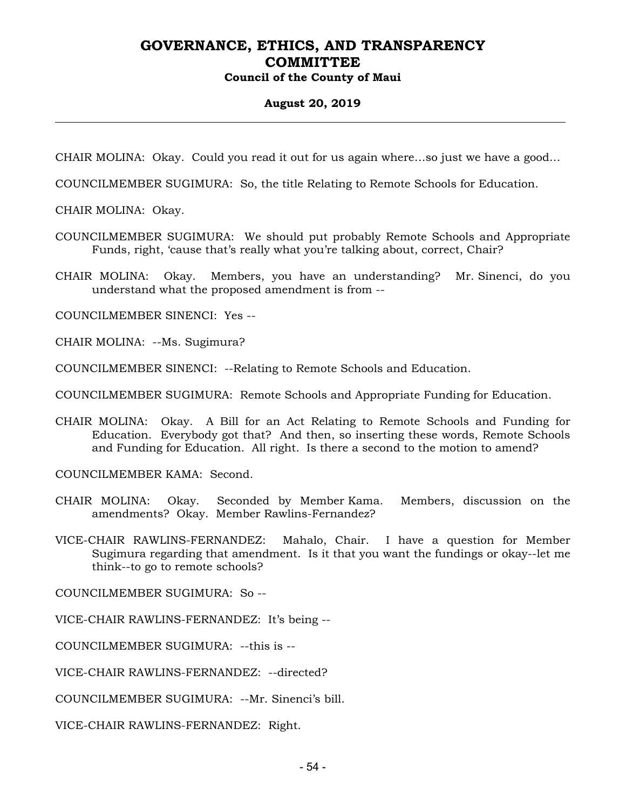# **August 20, 2019**

CHAIR MOLINA: Okay. Could you read it out for us again where…so just we have a good…

COUNCILMEMBER SUGIMURA: So, the title Relating to Remote Schools for Education.

CHAIR MOLINA: Okay.

COUNCILMEMBER SUGIMURA: We should put probably Remote Schools and Appropriate Funds, right, 'cause that's really what you're talking about, correct, Chair?

CHAIR MOLINA: Okay. Members, you have an understanding? Mr. Sinenci, do you understand what the proposed amendment is from --

COUNCILMEMBER SINENCI: Yes --

CHAIR MOLINA: --Ms. Sugimura?

COUNCILMEMBER SINENCI: --Relating to Remote Schools and Education.

COUNCILMEMBER SUGIMURA: Remote Schools and Appropriate Funding for Education.

CHAIR MOLINA: Okay. A Bill for an Act Relating to Remote Schools and Funding for Education. Everybody got that? And then, so inserting these words, Remote Schools and Funding for Education. All right. Is there a second to the motion to amend?

COUNCILMEMBER KAMA: Second.

- CHAIR MOLINA: Okay. Seconded by Member Kama. Members, discussion on the amendments? Okay. Member Rawlins-Fernandez?
- VICE-CHAIR RAWLINS-FERNANDEZ: Mahalo, Chair. I have a question for Member Sugimura regarding that amendment. Is it that you want the fundings or okay--let me think--to go to remote schools?

COUNCILMEMBER SUGIMURA: So --

VICE-CHAIR RAWLINS-FERNANDEZ: It's being --

COUNCILMEMBER SUGIMURA: --this is --

VICE-CHAIR RAWLINS-FERNANDEZ: --directed?

COUNCILMEMBER SUGIMURA: --Mr. Sinenci's bill.

VICE-CHAIR RAWLINS-FERNANDEZ: Right.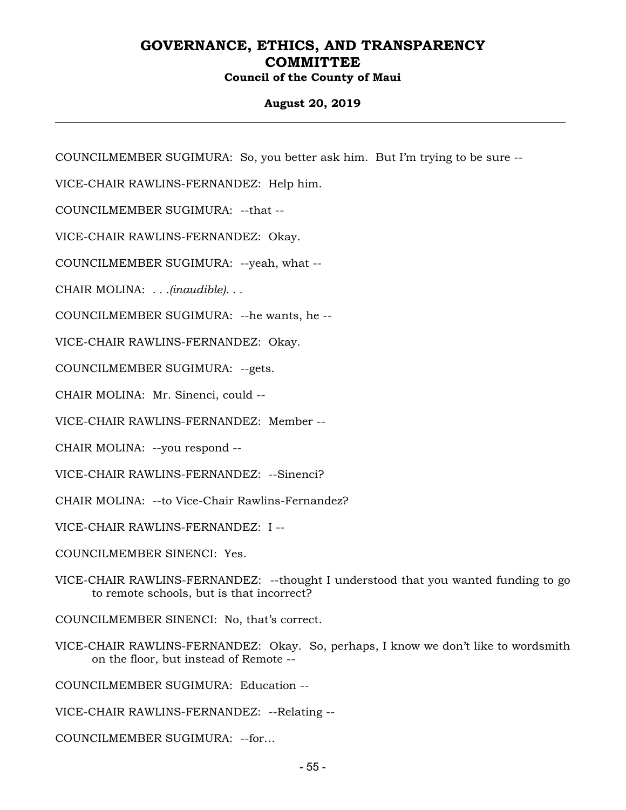### **August 20, 2019**

COUNCILMEMBER SUGIMURA: So, you better ask him. But I'm trying to be sure --

VICE-CHAIR RAWLINS-FERNANDEZ: Help him.

COUNCILMEMBER SUGIMURA: --that --

VICE-CHAIR RAWLINS-FERNANDEZ: Okay.

COUNCILMEMBER SUGIMURA: --yeah, what --

CHAIR MOLINA: *. . .(inaudible). . .*

COUNCILMEMBER SUGIMURA: --he wants, he --

VICE-CHAIR RAWLINS-FERNANDEZ: Okay.

COUNCILMEMBER SUGIMURA: --gets.

CHAIR MOLINA: Mr. Sinenci, could --

VICE-CHAIR RAWLINS-FERNANDEZ: Member --

CHAIR MOLINA: --you respond --

VICE-CHAIR RAWLINS-FERNANDEZ: --Sinenci?

CHAIR MOLINA: --to Vice-Chair Rawlins-Fernandez?

VICE-CHAIR RAWLINS-FERNANDEZ: I --

COUNCILMEMBER SINENCI: Yes.

VICE-CHAIR RAWLINS-FERNANDEZ: --thought I understood that you wanted funding to go to remote schools, but is that incorrect?

COUNCILMEMBER SINENCI: No, that's correct.

VICE-CHAIR RAWLINS-FERNANDEZ: Okay. So, perhaps, I know we don't like to wordsmith on the floor, but instead of Remote --

COUNCILMEMBER SUGIMURA: Education --

VICE-CHAIR RAWLINS-FERNANDEZ: --Relating --

COUNCILMEMBER SUGIMURA: --for…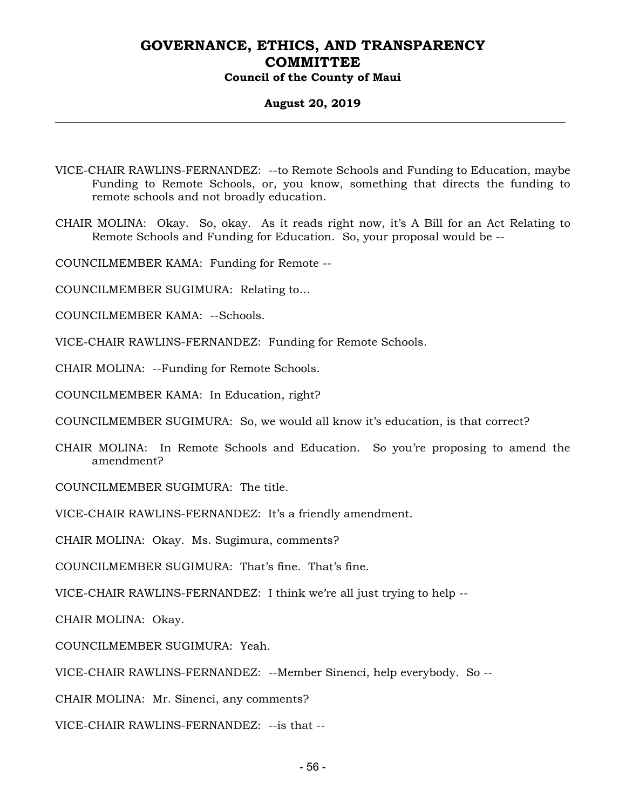#### **August 20, 2019**

- VICE-CHAIR RAWLINS-FERNANDEZ: --to Remote Schools and Funding to Education, maybe Funding to Remote Schools, or, you know, something that directs the funding to remote schools and not broadly education.
- CHAIR MOLINA: Okay. So, okay. As it reads right now, it's A Bill for an Act Relating to Remote Schools and Funding for Education. So, your proposal would be --
- COUNCILMEMBER KAMA: Funding for Remote --
- COUNCILMEMBER SUGIMURA: Relating to…
- COUNCILMEMBER KAMA: --Schools.
- VICE-CHAIR RAWLINS-FERNANDEZ: Funding for Remote Schools.
- CHAIR MOLINA: --Funding for Remote Schools.
- COUNCILMEMBER KAMA: In Education, right?
- COUNCILMEMBER SUGIMURA: So, we would all know it's education, is that correct?
- CHAIR MOLINA: In Remote Schools and Education. So you're proposing to amend the amendment?
- COUNCILMEMBER SUGIMURA: The title.
- VICE-CHAIR RAWLINS-FERNANDEZ: It's a friendly amendment.
- CHAIR MOLINA: Okay. Ms. Sugimura, comments?
- COUNCILMEMBER SUGIMURA: That's fine. That's fine.
- VICE-CHAIR RAWLINS-FERNANDEZ: I think we're all just trying to help --
- CHAIR MOLINA: Okay.
- COUNCILMEMBER SUGIMURA: Yeah.
- VICE-CHAIR RAWLINS-FERNANDEZ: --Member Sinenci, help everybody. So --
- CHAIR MOLINA: Mr. Sinenci, any comments?
- VICE-CHAIR RAWLINS-FERNANDEZ: --is that --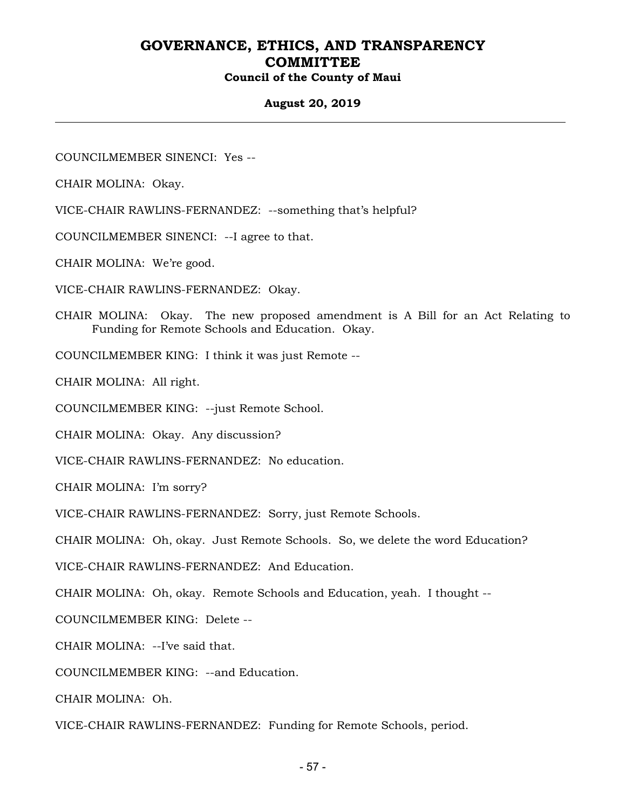#### **August 20, 2019**

COUNCILMEMBER SINENCI: Yes --

CHAIR MOLINA: Okay.

VICE-CHAIR RAWLINS-FERNANDEZ: --something that's helpful?

COUNCILMEMBER SINENCI: --I agree to that.

CHAIR MOLINA: We're good.

VICE-CHAIR RAWLINS-FERNANDEZ: Okay.

CHAIR MOLINA: Okay. The new proposed amendment is A Bill for an Act Relating to Funding for Remote Schools and Education. Okay.

COUNCILMEMBER KING: I think it was just Remote --

CHAIR MOLINA: All right.

COUNCILMEMBER KING: --just Remote School.

CHAIR MOLINA: Okay. Any discussion?

VICE-CHAIR RAWLINS-FERNANDEZ: No education.

CHAIR MOLINA: I'm sorry?

VICE-CHAIR RAWLINS-FERNANDEZ: Sorry, just Remote Schools.

CHAIR MOLINA: Oh, okay. Just Remote Schools. So, we delete the word Education?

VICE-CHAIR RAWLINS-FERNANDEZ: And Education.

CHAIR MOLINA: Oh, okay. Remote Schools and Education, yeah. I thought --

COUNCILMEMBER KING: Delete --

CHAIR MOLINA: --I've said that.

COUNCILMEMBER KING: --and Education.

CHAIR MOLINA: Oh.

VICE-CHAIR RAWLINS-FERNANDEZ: Funding for Remote Schools, period.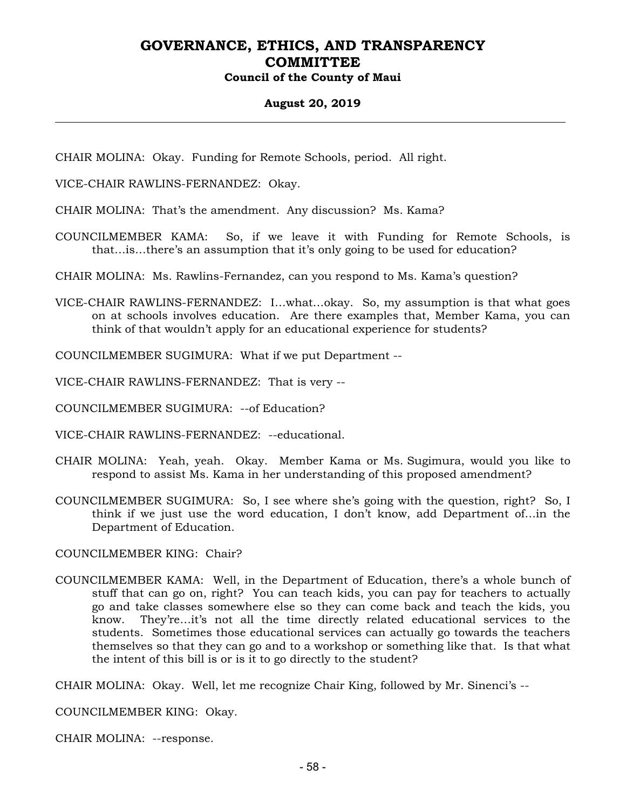#### **August 20, 2019**

CHAIR MOLINA: Okay. Funding for Remote Schools, period. All right.

VICE-CHAIR RAWLINS-FERNANDEZ: Okay.

CHAIR MOLINA: That's the amendment. Any discussion? Ms. Kama?

COUNCILMEMBER KAMA: So, if we leave it with Funding for Remote Schools, is that…is…there's an assumption that it's only going to be used for education?

CHAIR MOLINA: Ms. Rawlins-Fernandez, can you respond to Ms. Kama's question?

VICE-CHAIR RAWLINS-FERNANDEZ: I…what…okay. So, my assumption is that what goes on at schools involves education. Are there examples that, Member Kama, you can think of that wouldn't apply for an educational experience for students?

COUNCILMEMBER SUGIMURA: What if we put Department --

VICE-CHAIR RAWLINS-FERNANDEZ: That is very --

COUNCILMEMBER SUGIMURA: --of Education?

VICE-CHAIR RAWLINS-FERNANDEZ: --educational.

- CHAIR MOLINA: Yeah, yeah. Okay. Member Kama or Ms. Sugimura, would you like to respond to assist Ms. Kama in her understanding of this proposed amendment?
- COUNCILMEMBER SUGIMURA: So, I see where she's going with the question, right? So, I think if we just use the word education, I don't know, add Department of…in the Department of Education.

COUNCILMEMBER KING: Chair?

COUNCILMEMBER KAMA: Well, in the Department of Education, there's a whole bunch of stuff that can go on, right? You can teach kids, you can pay for teachers to actually go and take classes somewhere else so they can come back and teach the kids, you know. They're…it's not all the time directly related educational services to the students. Sometimes those educational services can actually go towards the teachers themselves so that they can go and to a workshop or something like that. Is that what the intent of this bill is or is it to go directly to the student?

CHAIR MOLINA: Okay. Well, let me recognize Chair King, followed by Mr. Sinenci's --

COUNCILMEMBER KING: Okay.

CHAIR MOLINA: --response.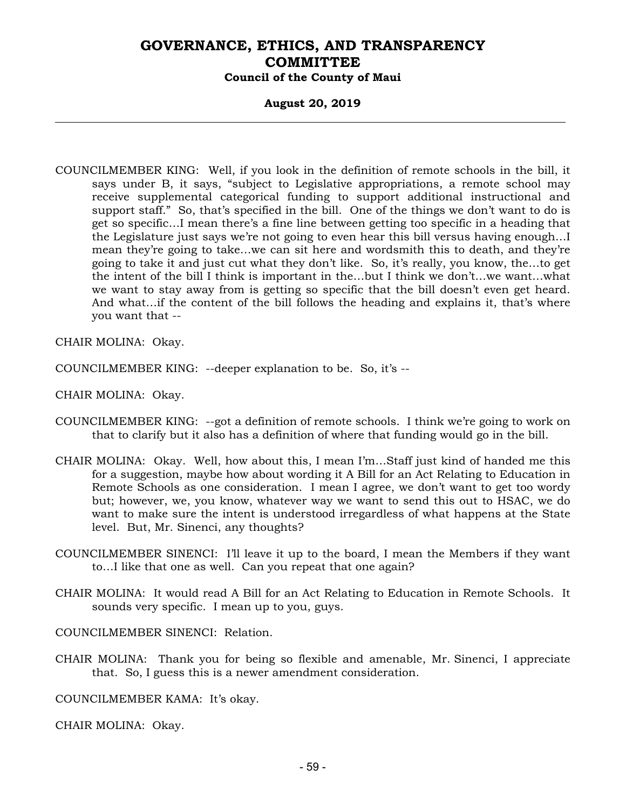#### **August 20, 2019**

COUNCILMEMBER KING: Well, if you look in the definition of remote schools in the bill, it says under B, it says, "subject to Legislative appropriations, a remote school may receive supplemental categorical funding to support additional instructional and support staff." So, that's specified in the bill. One of the things we don't want to do is get so specific…I mean there's a fine line between getting too specific in a heading that the Legislature just says we're not going to even hear this bill versus having enough…I mean they're going to take…we can sit here and wordsmith this to death, and they're going to take it and just cut what they don't like. So, it's really, you know, the…to get the intent of the bill I think is important in the…but I think we don't…we want…what we want to stay away from is getting so specific that the bill doesn't even get heard. And what…if the content of the bill follows the heading and explains it, that's where you want that --

CHAIR MOLINA: Okay.

COUNCILMEMBER KING: --deeper explanation to be. So, it's --

CHAIR MOLINA: Okay.

- COUNCILMEMBER KING: --got a definition of remote schools. I think we're going to work on that to clarify but it also has a definition of where that funding would go in the bill.
- CHAIR MOLINA: Okay. Well, how about this, I mean I'm…Staff just kind of handed me this for a suggestion, maybe how about wording it A Bill for an Act Relating to Education in Remote Schools as one consideration. I mean I agree, we don't want to get too wordy but; however, we, you know, whatever way we want to send this out to HSAC, we do want to make sure the intent is understood irregardless of what happens at the State level. But, Mr. Sinenci, any thoughts?
- COUNCILMEMBER SINENCI: I'll leave it up to the board, I mean the Members if they want to…I like that one as well. Can you repeat that one again?
- CHAIR MOLINA: It would read A Bill for an Act Relating to Education in Remote Schools. It sounds very specific. I mean up to you, guys.

COUNCILMEMBER SINENCI: Relation.

CHAIR MOLINA: Thank you for being so flexible and amenable, Mr. Sinenci, I appreciate that. So, I guess this is a newer amendment consideration.

COUNCILMEMBER KAMA: It's okay.

CHAIR MOLINA: Okay.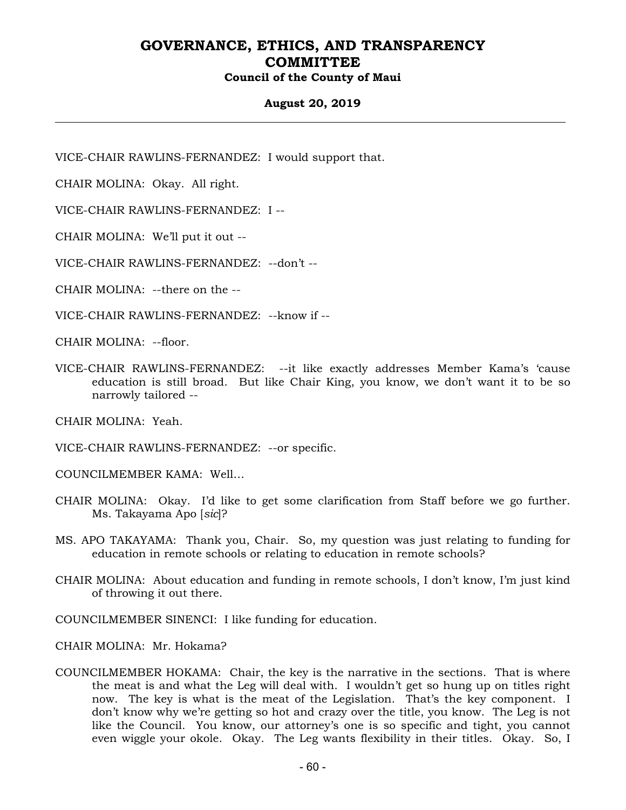### **August 20, 2019**

VICE-CHAIR RAWLINS-FERNANDEZ: I would support that.

CHAIR MOLINA: Okay. All right.

VICE-CHAIR RAWLINS-FERNANDEZ: I --

CHAIR MOLINA: We'll put it out --

VICE-CHAIR RAWLINS-FERNANDEZ: --don't --

CHAIR MOLINA: --there on the --

VICE-CHAIR RAWLINS-FERNANDEZ: --know if --

CHAIR MOLINA: --floor.

VICE-CHAIR RAWLINS-FERNANDEZ: --it like exactly addresses Member Kama's 'cause education is still broad. But like Chair King, you know, we don't want it to be so narrowly tailored --

CHAIR MOLINA: Yeah.

VICE-CHAIR RAWLINS-FERNANDEZ: --or specific.

COUNCILMEMBER KAMA: Well…

- CHAIR MOLINA: Okay. I'd like to get some clarification from Staff before we go further. Ms. Takayama Apo [*sic*]?
- MS. APO TAKAYAMA: Thank you, Chair. So, my question was just relating to funding for education in remote schools or relating to education in remote schools?
- CHAIR MOLINA: About education and funding in remote schools, I don't know, I'm just kind of throwing it out there.
- COUNCILMEMBER SINENCI: I like funding for education.

CHAIR MOLINA: Mr. Hokama?

COUNCILMEMBER HOKAMA: Chair, the key is the narrative in the sections. That is where the meat is and what the Leg will deal with. I wouldn't get so hung up on titles right now. The key is what is the meat of the Legislation. That's the key component. I don't know why we're getting so hot and crazy over the title, you know. The Leg is not like the Council. You know, our attorney's one is so specific and tight, you cannot even wiggle your okole. Okay. The Leg wants flexibility in their titles. Okay. So, I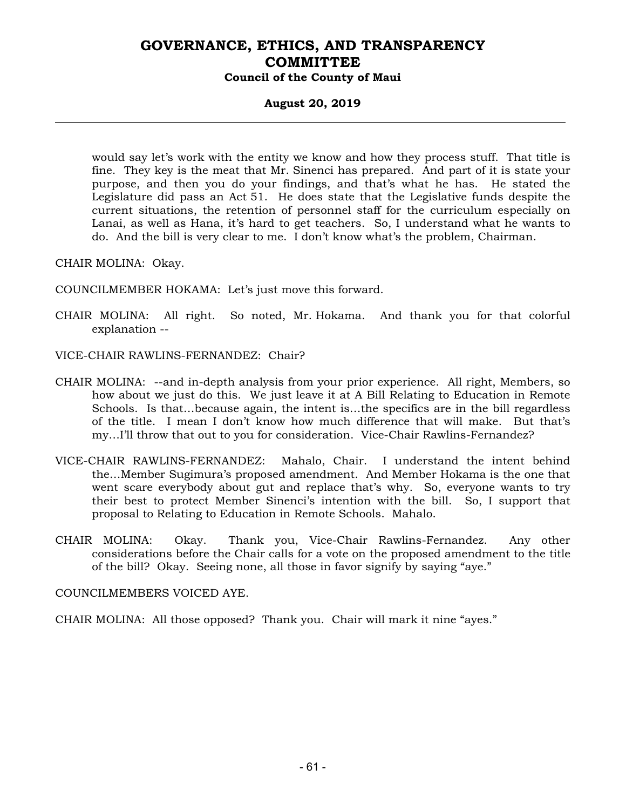#### **August 20, 2019**

would say let's work with the entity we know and how they process stuff. That title is fine. They key is the meat that Mr. Sinenci has prepared. And part of it is state your purpose, and then you do your findings, and that's what he has. He stated the Legislature did pass an Act 51. He does state that the Legislative funds despite the current situations, the retention of personnel staff for the curriculum especially on Lanai, as well as Hana, it's hard to get teachers. So, I understand what he wants to do. And the bill is very clear to me. I don't know what's the problem, Chairman.

CHAIR MOLINA: Okay.

COUNCILMEMBER HOKAMA: Let's just move this forward.

- CHAIR MOLINA: All right. So noted, Mr. Hokama. And thank you for that colorful explanation --
- VICE-CHAIR RAWLINS-FERNANDEZ: Chair?
- CHAIR MOLINA: --and in-depth analysis from your prior experience. All right, Members, so how about we just do this. We just leave it at A Bill Relating to Education in Remote Schools. Is that…because again, the intent is…the specifics are in the bill regardless of the title. I mean I don't know how much difference that will make. But that's my…I'll throw that out to you for consideration. Vice-Chair Rawlins-Fernandez?
- VICE-CHAIR RAWLINS-FERNANDEZ: Mahalo, Chair. I understand the intent behind the…Member Sugimura's proposed amendment. And Member Hokama is the one that went scare everybody about gut and replace that's why. So, everyone wants to try their best to protect Member Sinenci's intention with the bill. So, I support that proposal to Relating to Education in Remote Schools. Mahalo.
- CHAIR MOLINA: Okay. Thank you, Vice-Chair Rawlins-Fernandez. Any other considerations before the Chair calls for a vote on the proposed amendment to the title of the bill? Okay. Seeing none, all those in favor signify by saying "aye."

COUNCILMEMBERS VOICED AYE.

CHAIR MOLINA: All those opposed? Thank you. Chair will mark it nine "ayes."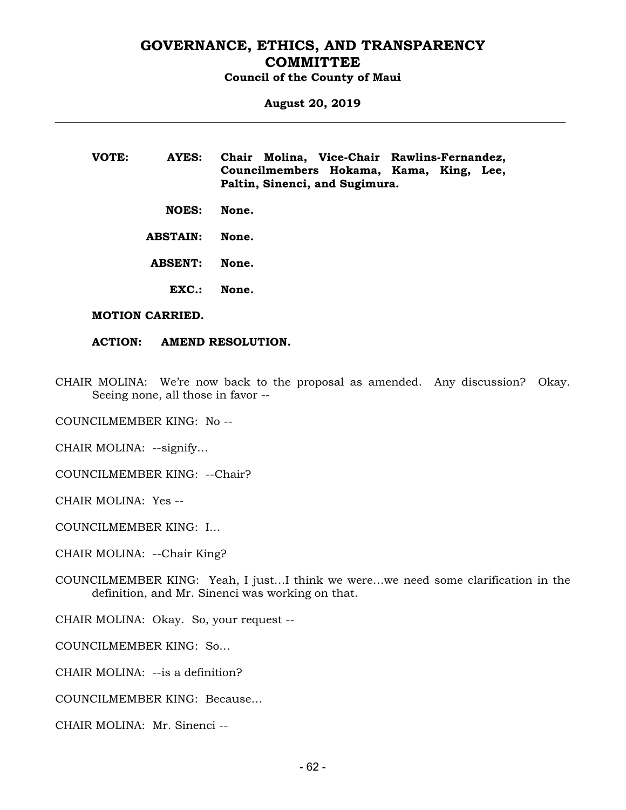# **August 20, 2019**

**VOTE: AYES: Chair Molina, Vice-Chair Rawlins-Fernandez, Councilmembers Hokama, Kama, King, Lee, Paltin, Sinenci, and Sugimura.** 

 **NOES: None.** 

 **ABSTAIN: None.** 

 **ABSENT: None.** 

 **EXC.: None.** 

#### **MOTION CARRIED.**

#### **ACTION: AMEND RESOLUTION.**

CHAIR MOLINA: We're now back to the proposal as amended. Any discussion? Okay. Seeing none, all those in favor --

COUNCILMEMBER KING: No --

CHAIR MOLINA: --signify…

COUNCILMEMBER KING: --Chair?

CHAIR MOLINA: Yes --

COUNCILMEMBER KING: I…

CHAIR MOLINA: --Chair King?

COUNCILMEMBER KING: Yeah, I just…I think we were…we need some clarification in the definition, and Mr. Sinenci was working on that.

CHAIR MOLINA: Okay. So, your request --

COUNCILMEMBER KING: So…

CHAIR MOLINA: --is a definition?

COUNCILMEMBER KING: Because…

CHAIR MOLINA: Mr. Sinenci --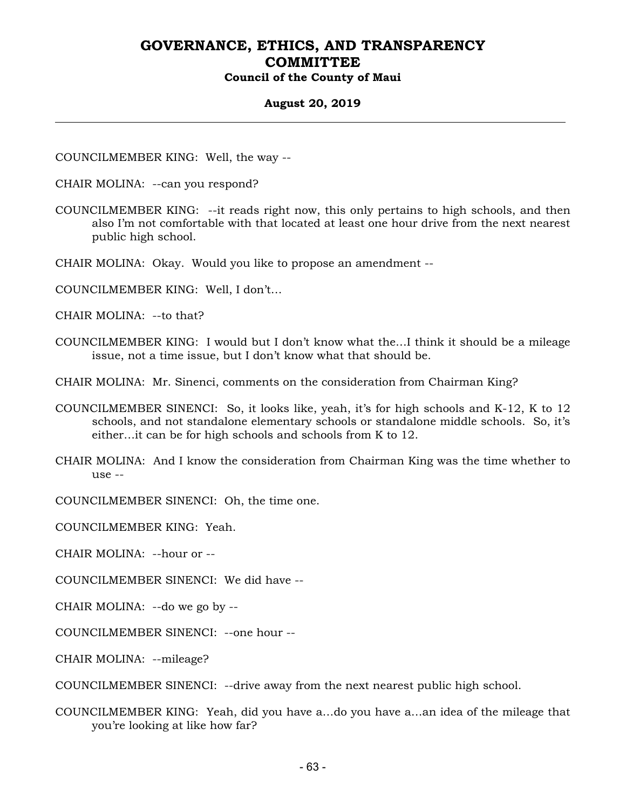#### **August 20, 2019**

COUNCILMEMBER KING: Well, the way --

- CHAIR MOLINA: --can you respond?
- COUNCILMEMBER KING: --it reads right now, this only pertains to high schools, and then also I'm not comfortable with that located at least one hour drive from the next nearest public high school.
- CHAIR MOLINA: Okay. Would you like to propose an amendment --
- COUNCILMEMBER KING: Well, I don't…
- CHAIR MOLINA: --to that?
- COUNCILMEMBER KING: I would but I don't know what the…I think it should be a mileage issue, not a time issue, but I don't know what that should be.
- CHAIR MOLINA: Mr. Sinenci, comments on the consideration from Chairman King?
- COUNCILMEMBER SINENCI: So, it looks like, yeah, it's for high schools and K-12, K to 12 schools, and not standalone elementary schools or standalone middle schools. So, it's either…it can be for high schools and schools from K to 12.
- CHAIR MOLINA: And I know the consideration from Chairman King was the time whether to use --

COUNCILMEMBER SINENCI: Oh, the time one.

COUNCILMEMBER KING: Yeah.

CHAIR MOLINA: --hour or --

COUNCILMEMBER SINENCI: We did have --

CHAIR MOLINA: --do we go by --

COUNCILMEMBER SINENCI: --one hour --

CHAIR MOLINA: --mileage?

COUNCILMEMBER SINENCI: --drive away from the next nearest public high school.

COUNCILMEMBER KING: Yeah, did you have a…do you have a…an idea of the mileage that you're looking at like how far?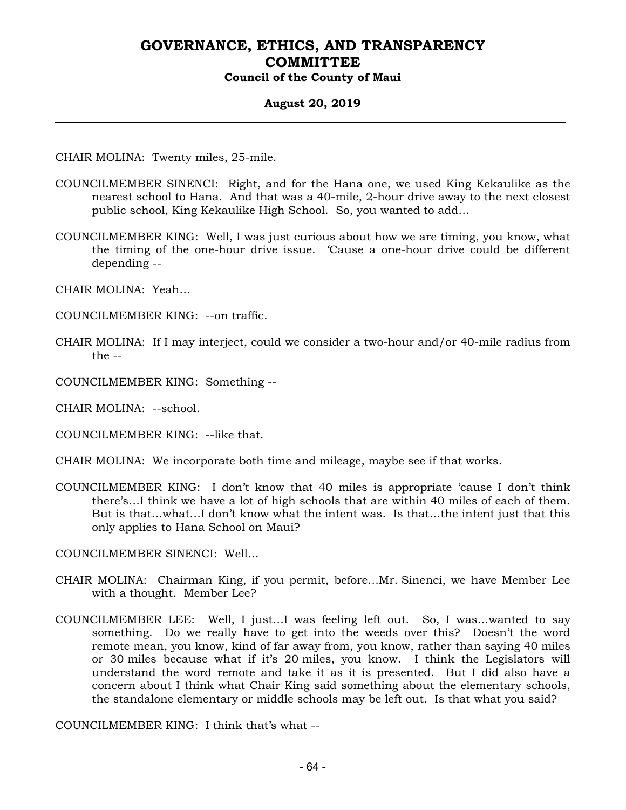#### **August 20, 2019**

CHAIR MOLINA: Twenty miles, 25-mile.

- COUNCILMEMBER SINENCI: Right, and for the Hana one, we used King Kekaulike as the nearest school to Hana. And that was a 40-mile, 2-hour drive away to the next closest public school, King Kekaulike High School. So, you wanted to add…
- COUNCILMEMBER KING: Well, I was just curious about how we are timing, you know, what the timing of the one-hour drive issue. 'Cause a one-hour drive could be different depending --
- CHAIR MOLINA: Yeah…
- COUNCILMEMBER KING: --on traffic.
- CHAIR MOLINA: If I may interject, could we consider a two-hour and/or 40-mile radius from the --
- COUNCILMEMBER KING: Something --

CHAIR MOLINA: --school.

- COUNCILMEMBER KING: --like that.
- CHAIR MOLINA: We incorporate both time and mileage, maybe see if that works.
- COUNCILMEMBER KING: I don't know that 40 miles is appropriate 'cause I don't think there's…I think we have a lot of high schools that are within 40 miles of each of them. But is that…what…I don't know what the intent was. Is that…the intent just that this only applies to Hana School on Maui?

COUNCILMEMBER SINENCI: Well…

- CHAIR MOLINA: Chairman King, if you permit, before…Mr. Sinenci, we have Member Lee with a thought. Member Lee?
- COUNCILMEMBER LEE: Well, I just…I was feeling left out. So, I was…wanted to say something. Do we really have to get into the weeds over this? Doesn't the word remote mean, you know, kind of far away from, you know, rather than saying 40 miles or 30 miles because what if it's 20 miles, you know. I think the Legislators will understand the word remote and take it as it is presented. But I did also have a concern about I think what Chair King said something about the elementary schools, the standalone elementary or middle schools may be left out. Is that what you said?

COUNCILMEMBER KING: I think that's what --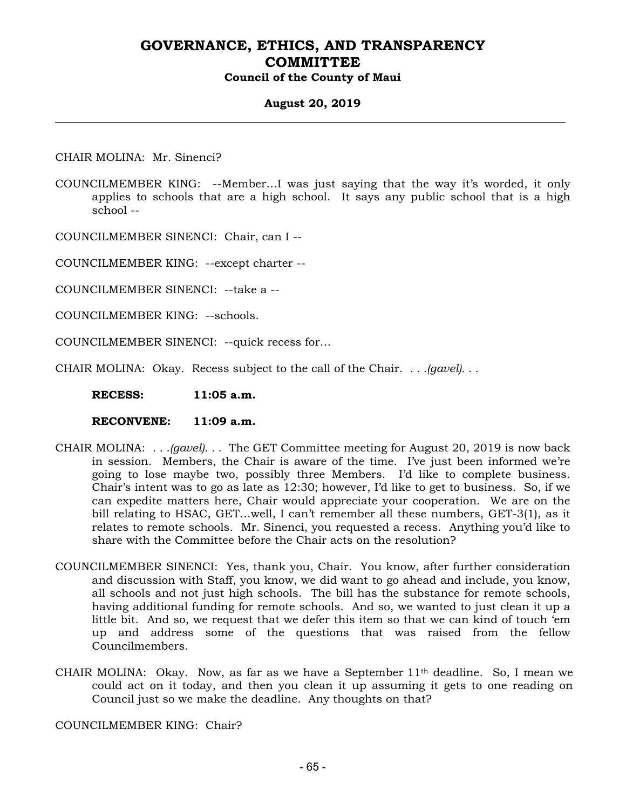#### **August 20, 2019**

CHAIR MOLINA: Mr. Sinenci?

COUNCILMEMBER KING: --Member…I was just saying that the way it's worded, it only applies to schools that are a high school. It says any public school that is a high school --

COUNCILMEMBER SINENCI: Chair, can I --

COUNCILMEMBER KING: --except charter --

COUNCILMEMBER SINENCI: --take a --

COUNCILMEMBER KING: --schools.

COUNCILMEMBER SINENCI: --quick recess for…

CHAIR MOLINA: Okay. Recess subject to the call of the Chair. *. . .(gavel). . .*

 **RECESS: 11:05 a.m.** 

 **RECONVENE: 11:09 a.m.** 

- CHAIR MOLINA: *. . .(gavel). . .* The GET Committee meeting for August 20, 2019 is now back in session. Members, the Chair is aware of the time. I've just been informed we're going to lose maybe two, possibly three Members. I'd like to complete business. Chair's intent was to go as late as 12:30; however, I'd like to get to business. So, if we can expedite matters here, Chair would appreciate your cooperation. We are on the bill relating to HSAC, GET…well, I can't remember all these numbers, GET-3(1), as it relates to remote schools. Mr. Sinenci, you requested a recess. Anything you'd like to share with the Committee before the Chair acts on the resolution?
- COUNCILMEMBER SINENCI: Yes, thank you, Chair. You know, after further consideration and discussion with Staff, you know, we did want to go ahead and include, you know, all schools and not just high schools. The bill has the substance for remote schools, having additional funding for remote schools. And so, we wanted to just clean it up a little bit. And so, we request that we defer this item so that we can kind of touch 'em up and address some of the questions that was raised from the fellow Councilmembers.
- CHAIR MOLINA: Okay. Now, as far as we have a September 11th deadline. So, I mean we could act on it today, and then you clean it up assuming it gets to one reading on Council just so we make the deadline. Any thoughts on that?

COUNCILMEMBER KING: Chair?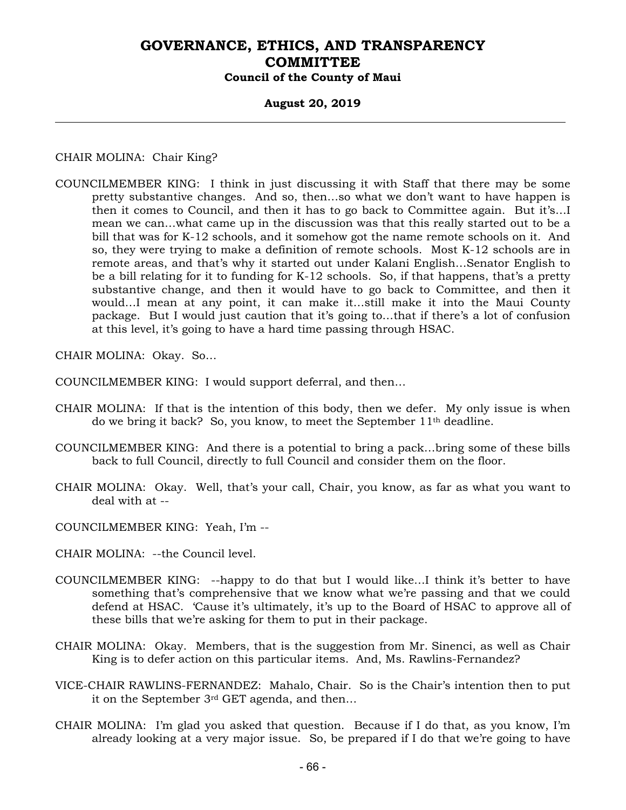#### **August 20, 2019**

CHAIR MOLINA: Chair King?

COUNCILMEMBER KING: I think in just discussing it with Staff that there may be some pretty substantive changes. And so, then…so what we don't want to have happen is then it comes to Council, and then it has to go back to Committee again. But it's…I mean we can…what came up in the discussion was that this really started out to be a bill that was for K-12 schools, and it somehow got the name remote schools on it. And so, they were trying to make a definition of remote schools. Most K-12 schools are in remote areas, and that's why it started out under Kalani English…Senator English to be a bill relating for it to funding for K-12 schools. So, if that happens, that's a pretty substantive change, and then it would have to go back to Committee, and then it would…I mean at any point, it can make it…still make it into the Maui County package. But I would just caution that it's going to…that if there's a lot of confusion at this level, it's going to have a hard time passing through HSAC.

CHAIR MOLINA: Okay. So…

COUNCILMEMBER KING: I would support deferral, and then…

- CHAIR MOLINA: If that is the intention of this body, then we defer. My only issue is when do we bring it back? So, you know, to meet the September 11th deadline.
- COUNCILMEMBER KING: And there is a potential to bring a pack…bring some of these bills back to full Council, directly to full Council and consider them on the floor.
- CHAIR MOLINA: Okay. Well, that's your call, Chair, you know, as far as what you want to deal with at --
- COUNCILMEMBER KING: Yeah, I'm --
- CHAIR MOLINA: --the Council level.
- COUNCILMEMBER KING: --happy to do that but I would like…I think it's better to have something that's comprehensive that we know what we're passing and that we could defend at HSAC. 'Cause it's ultimately, it's up to the Board of HSAC to approve all of these bills that we're asking for them to put in their package.
- CHAIR MOLINA: Okay. Members, that is the suggestion from Mr. Sinenci, as well as Chair King is to defer action on this particular items. And, Ms. Rawlins-Fernandez?
- VICE-CHAIR RAWLINS-FERNANDEZ: Mahalo, Chair. So is the Chair's intention then to put it on the September 3rd GET agenda, and then…
- CHAIR MOLINA: I'm glad you asked that question. Because if I do that, as you know, I'm already looking at a very major issue. So, be prepared if I do that we're going to have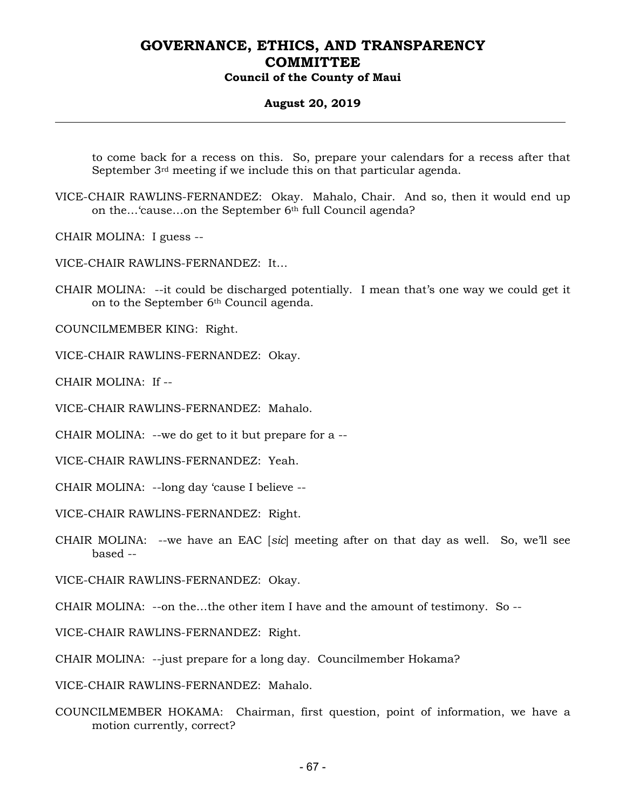#### **August 20, 2019**

to come back for a recess on this. So, prepare your calendars for a recess after that September 3rd meeting if we include this on that particular agenda.

VICE-CHAIR RAWLINS-FERNANDEZ: Okay. Mahalo, Chair. And so, then it would end up on the…'cause…on the September 6th full Council agenda?

CHAIR MOLINA: I guess --

VICE-CHAIR RAWLINS-FERNANDEZ: It…

CHAIR MOLINA: --it could be discharged potentially. I mean that's one way we could get it on to the September 6<sup>th</sup> Council agenda.

COUNCILMEMBER KING: Right.

VICE-CHAIR RAWLINS-FERNANDEZ: Okay.

CHAIR MOLINA: If --

VICE-CHAIR RAWLINS-FERNANDEZ: Mahalo.

CHAIR MOLINA: --we do get to it but prepare for a --

VICE-CHAIR RAWLINS-FERNANDEZ: Yeah.

CHAIR MOLINA: --long day 'cause I believe --

VICE-CHAIR RAWLINS-FERNANDEZ: Right.

CHAIR MOLINA: --we have an EAC [*sic*] meeting after on that day as well. So, we'll see based --

VICE-CHAIR RAWLINS-FERNANDEZ: Okay.

CHAIR MOLINA: --on the…the other item I have and the amount of testimony. So --

VICE-CHAIR RAWLINS-FERNANDEZ: Right.

CHAIR MOLINA: --just prepare for a long day. Councilmember Hokama?

VICE-CHAIR RAWLINS-FERNANDEZ: Mahalo.

COUNCILMEMBER HOKAMA: Chairman, first question, point of information, we have a motion currently, correct?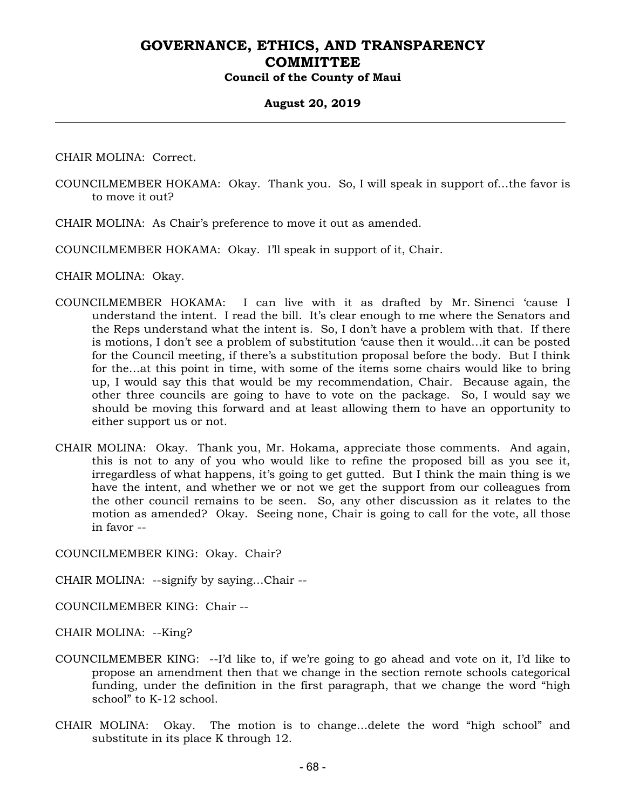#### **August 20, 2019**

CHAIR MOLINA: Correct.

- COUNCILMEMBER HOKAMA: Okay. Thank you. So, I will speak in support of…the favor is to move it out?
- CHAIR MOLINA: As Chair's preference to move it out as amended.

COUNCILMEMBER HOKAMA: Okay. I'll speak in support of it, Chair.

CHAIR MOLINA: Okay.

- COUNCILMEMBER HOKAMA: I can live with it as drafted by Mr. Sinenci 'cause I understand the intent. I read the bill. It's clear enough to me where the Senators and the Reps understand what the intent is. So, I don't have a problem with that. If there is motions, I don't see a problem of substitution 'cause then it would…it can be posted for the Council meeting, if there's a substitution proposal before the body. But I think for the…at this point in time, with some of the items some chairs would like to bring up, I would say this that would be my recommendation, Chair. Because again, the other three councils are going to have to vote on the package. So, I would say we should be moving this forward and at least allowing them to have an opportunity to either support us or not.
- CHAIR MOLINA: Okay. Thank you, Mr. Hokama, appreciate those comments. And again, this is not to any of you who would like to refine the proposed bill as you see it, irregardless of what happens, it's going to get gutted. But I think the main thing is we have the intent, and whether we or not we get the support from our colleagues from the other council remains to be seen. So, any other discussion as it relates to the motion as amended? Okay. Seeing none, Chair is going to call for the vote, all those in favor --

COUNCILMEMBER KING: Okay. Chair?

CHAIR MOLINA: --signify by saying…Chair --

COUNCILMEMBER KING: Chair --

CHAIR MOLINA: --King?

- COUNCILMEMBER KING: --I'd like to, if we're going to go ahead and vote on it, I'd like to propose an amendment then that we change in the section remote schools categorical funding, under the definition in the first paragraph, that we change the word "high school" to K-12 school.
- CHAIR MOLINA: Okay. The motion is to change…delete the word "high school" and substitute in its place K through 12.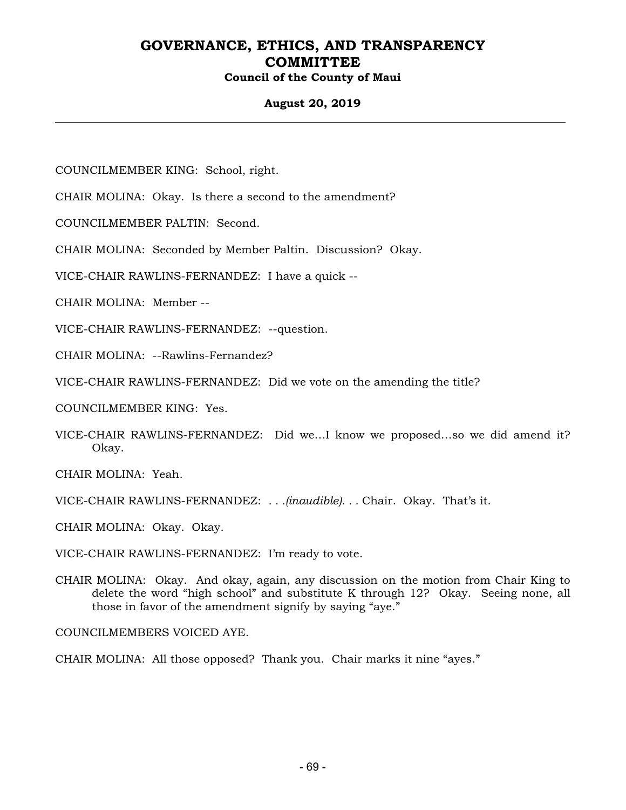### **August 20, 2019**

COUNCILMEMBER KING: School, right.

CHAIR MOLINA: Okay. Is there a second to the amendment?

COUNCILMEMBER PALTIN: Second.

CHAIR MOLINA: Seconded by Member Paltin. Discussion? Okay.

VICE-CHAIR RAWLINS-FERNANDEZ: I have a quick --

CHAIR MOLINA: Member --

VICE-CHAIR RAWLINS-FERNANDEZ: --question.

CHAIR MOLINA: --Rawlins-Fernandez?

VICE-CHAIR RAWLINS-FERNANDEZ: Did we vote on the amending the title?

COUNCILMEMBER KING: Yes.

VICE-CHAIR RAWLINS-FERNANDEZ: Did we…I know we proposed…so we did amend it? Okay.

CHAIR MOLINA: Yeah.

VICE-CHAIR RAWLINS-FERNANDEZ: *. . .(inaudible). . .* Chair. Okay. That's it.

CHAIR MOLINA: Okay. Okay.

VICE-CHAIR RAWLINS-FERNANDEZ: I'm ready to vote.

CHAIR MOLINA: Okay. And okay, again, any discussion on the motion from Chair King to delete the word "high school" and substitute K through 12? Okay. Seeing none, all those in favor of the amendment signify by saying "aye."

COUNCILMEMBERS VOICED AYE.

CHAIR MOLINA: All those opposed? Thank you. Chair marks it nine "ayes."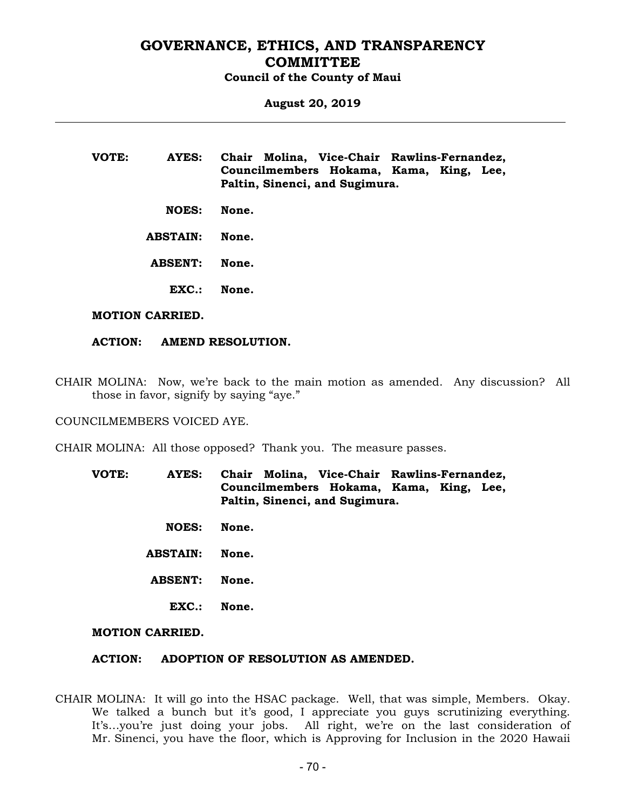# **August 20, 2019**

**VOTE: AYES: Chair Molina, Vice-Chair Rawlins-Fernandez, Councilmembers Hokama, Kama, King, Lee, Paltin, Sinenci, and Sugimura.** 

- **NOES: None.**
- **ABSTAIN: None.**
- **ABSENT: None.** 
	- **EXC.: None.**

#### **MOTION CARRIED.**

#### **ACTION: AMEND RESOLUTION.**

CHAIR MOLINA: Now, we're back to the main motion as amended. Any discussion? All those in favor, signify by saying "aye."

COUNCILMEMBERS VOICED AYE.

CHAIR MOLINA: All those opposed? Thank you. The measure passes.

- **VOTE: AYES: Chair Molina, Vice-Chair Rawlins-Fernandez, Councilmembers Hokama, Kama, King, Lee, Paltin, Sinenci, and Sugimura.** 
	- **NOES: None.**
	- **ABSTAIN: None.**
	- **ABSENT: None.** 
		- **EXC.: None.**

#### **MOTION CARRIED.**

#### **ACTION: ADOPTION OF RESOLUTION AS AMENDED.**

CHAIR MOLINA: It will go into the HSAC package. Well, that was simple, Members. Okay. We talked a bunch but it's good, I appreciate you guys scrutinizing everything. It's…you're just doing your jobs. All right, we're on the last consideration of Mr. Sinenci, you have the floor, which is Approving for Inclusion in the 2020 Hawaii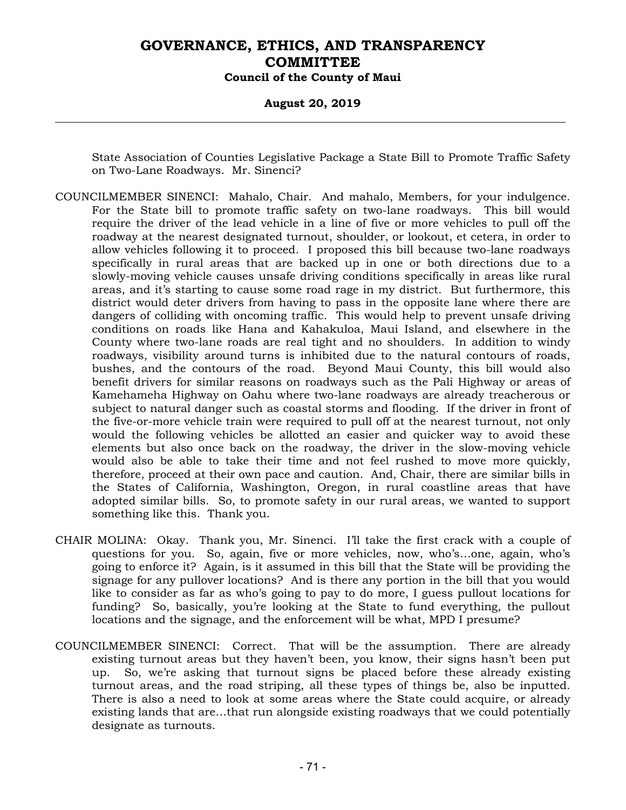#### **August 20, 2019**

State Association of Counties Legislative Package a State Bill to Promote Traffic Safety on Two-Lane Roadways. Mr. Sinenci?

- COUNCILMEMBER SINENCI: Mahalo, Chair. And mahalo, Members, for your indulgence. For the State bill to promote traffic safety on two-lane roadways. This bill would require the driver of the lead vehicle in a line of five or more vehicles to pull off the roadway at the nearest designated turnout, shoulder, or lookout, et cetera, in order to allow vehicles following it to proceed. I proposed this bill because two-lane roadways specifically in rural areas that are backed up in one or both directions due to a slowly-moving vehicle causes unsafe driving conditions specifically in areas like rural areas, and it's starting to cause some road rage in my district. But furthermore, this district would deter drivers from having to pass in the opposite lane where there are dangers of colliding with oncoming traffic. This would help to prevent unsafe driving conditions on roads like Hana and Kahakuloa, Maui Island, and elsewhere in the County where two-lane roads are real tight and no shoulders. In addition to windy roadways, visibility around turns is inhibited due to the natural contours of roads, bushes, and the contours of the road. Beyond Maui County, this bill would also benefit drivers for similar reasons on roadways such as the Pali Highway or areas of Kamehameha Highway on Oahu where two-lane roadways are already treacherous or subject to natural danger such as coastal storms and flooding. If the driver in front of the five-or-more vehicle train were required to pull off at the nearest turnout, not only would the following vehicles be allotted an easier and quicker way to avoid these elements but also once back on the roadway, the driver in the slow-moving vehicle would also be able to take their time and not feel rushed to move more quickly, therefore, proceed at their own pace and caution. And, Chair, there are similar bills in the States of California, Washington, Oregon, in rural coastline areas that have adopted similar bills. So, to promote safety in our rural areas, we wanted to support something like this. Thank you.
- CHAIR MOLINA: Okay. Thank you, Mr. Sinenci. I'll take the first crack with a couple of questions for you. So, again, five or more vehicles, now, who's…one, again, who's going to enforce it? Again, is it assumed in this bill that the State will be providing the signage for any pullover locations? And is there any portion in the bill that you would like to consider as far as who's going to pay to do more, I guess pullout locations for funding? So, basically, you're looking at the State to fund everything, the pullout locations and the signage, and the enforcement will be what, MPD I presume?
- COUNCILMEMBER SINENCI: Correct. That will be the assumption. There are already existing turnout areas but they haven't been, you know, their signs hasn't been put up. So, we're asking that turnout signs be placed before these already existing turnout areas, and the road striping, all these types of things be, also be inputted. There is also a need to look at some areas where the State could acquire, or already existing lands that are…that run alongside existing roadways that we could potentially designate as turnouts.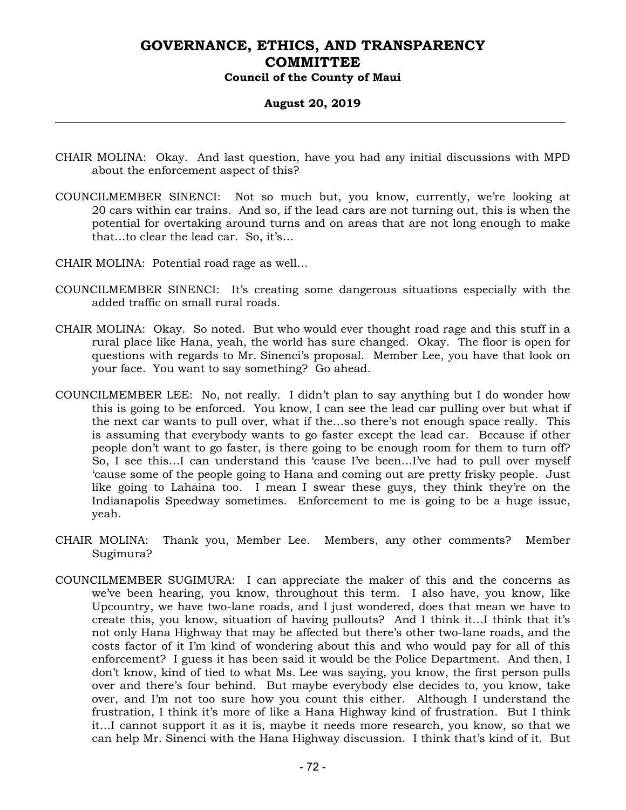#### **August 20, 2019**

- CHAIR MOLINA: Okay. And last question, have you had any initial discussions with MPD about the enforcement aspect of this?
- COUNCILMEMBER SINENCI: Not so much but, you know, currently, we're looking at 20 cars within car trains. And so, if the lead cars are not turning out, this is when the potential for overtaking around turns and on areas that are not long enough to make that…to clear the lead car. So, it's…
- CHAIR MOLINA: Potential road rage as well…
- COUNCILMEMBER SINENCI: It's creating some dangerous situations especially with the added traffic on small rural roads.
- CHAIR MOLINA: Okay. So noted. But who would ever thought road rage and this stuff in a rural place like Hana, yeah, the world has sure changed. Okay. The floor is open for questions with regards to Mr. Sinenci's proposal. Member Lee, you have that look on your face. You want to say something? Go ahead.
- COUNCILMEMBER LEE: No, not really. I didn't plan to say anything but I do wonder how this is going to be enforced. You know, I can see the lead car pulling over but what if the next car wants to pull over, what if the…so there's not enough space really. This is assuming that everybody wants to go faster except the lead car. Because if other people don't want to go faster, is there going to be enough room for them to turn off? So, I see this…I can understand this 'cause I've been…I've had to pull over myself 'cause some of the people going to Hana and coming out are pretty frisky people. Just like going to Lahaina too. I mean I swear these guys, they think they're on the Indianapolis Speedway sometimes. Enforcement to me is going to be a huge issue, yeah.
- CHAIR MOLINA: Thank you, Member Lee. Members, any other comments? Member Sugimura?
- COUNCILMEMBER SUGIMURA: I can appreciate the maker of this and the concerns as we've been hearing, you know, throughout this term. I also have, you know, like Upcountry, we have two-lane roads, and I just wondered, does that mean we have to create this, you know, situation of having pullouts? And I think it…I think that it's not only Hana Highway that may be affected but there's other two-lane roads, and the costs factor of it I'm kind of wondering about this and who would pay for all of this enforcement? I guess it has been said it would be the Police Department. And then, I don't know, kind of tied to what Ms. Lee was saying, you know, the first person pulls over and there's four behind. But maybe everybody else decides to, you know, take over, and I'm not too sure how you count this either. Although I understand the frustration, I think it's more of like a Hana Highway kind of frustration. But I think it…I cannot support it as it is, maybe it needs more research, you know, so that we can help Mr. Sinenci with the Hana Highway discussion. I think that's kind of it. But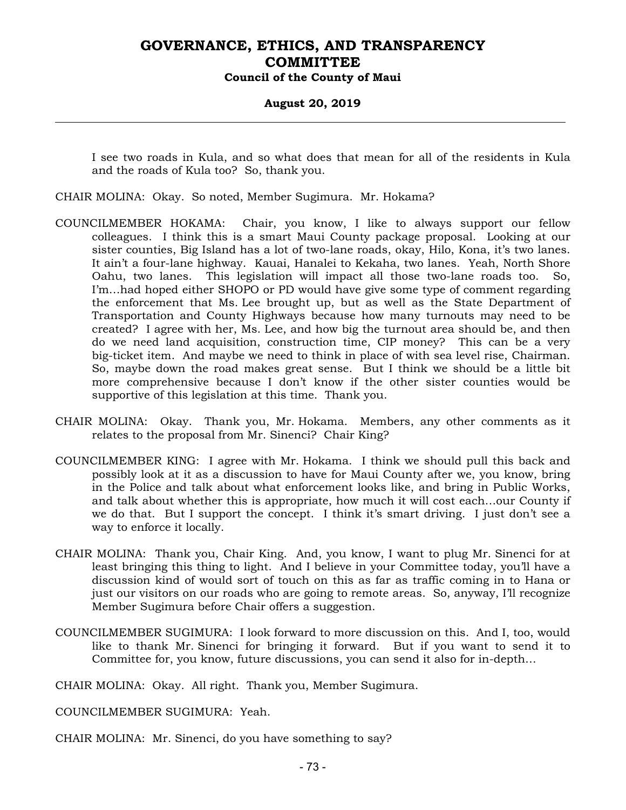#### **August 20, 2019**

I see two roads in Kula, and so what does that mean for all of the residents in Kula and the roads of Kula too? So, thank you.

- CHAIR MOLINA: Okay. So noted, Member Sugimura. Mr. Hokama?
- COUNCILMEMBER HOKAMA: Chair, you know, I like to always support our fellow colleagues. I think this is a smart Maui County package proposal. Looking at our sister counties, Big Island has a lot of two-lane roads, okay, Hilo, Kona, it's two lanes. It ain't a four-lane highway. Kauai, Hanalei to Kekaha, two lanes. Yeah, North Shore Oahu, two lanes. This legislation will impact all those two-lane roads too. So, I'm…had hoped either SHOPO or PD would have give some type of comment regarding the enforcement that Ms. Lee brought up, but as well as the State Department of Transportation and County Highways because how many turnouts may need to be created? I agree with her, Ms. Lee, and how big the turnout area should be, and then do we need land acquisition, construction time, CIP money? This can be a very big-ticket item. And maybe we need to think in place of with sea level rise, Chairman. So, maybe down the road makes great sense. But I think we should be a little bit more comprehensive because I don't know if the other sister counties would be supportive of this legislation at this time. Thank you.
- CHAIR MOLINA: Okay. Thank you, Mr. Hokama. Members, any other comments as it relates to the proposal from Mr. Sinenci? Chair King?
- COUNCILMEMBER KING: I agree with Mr. Hokama. I think we should pull this back and possibly look at it as a discussion to have for Maui County after we, you know, bring in the Police and talk about what enforcement looks like, and bring in Public Works, and talk about whether this is appropriate, how much it will cost each…our County if we do that. But I support the concept. I think it's smart driving. I just don't see a way to enforce it locally.
- CHAIR MOLINA: Thank you, Chair King. And, you know, I want to plug Mr. Sinenci for at least bringing this thing to light. And I believe in your Committee today, you'll have a discussion kind of would sort of touch on this as far as traffic coming in to Hana or just our visitors on our roads who are going to remote areas. So, anyway, I'll recognize Member Sugimura before Chair offers a suggestion.
- COUNCILMEMBER SUGIMURA: I look forward to more discussion on this. And I, too, would like to thank Mr. Sinenci for bringing it forward. But if you want to send it to Committee for, you know, future discussions, you can send it also for in-depth…

CHAIR MOLINA: Okay. All right. Thank you, Member Sugimura.

COUNCILMEMBER SUGIMURA: Yeah.

CHAIR MOLINA: Mr. Sinenci, do you have something to say?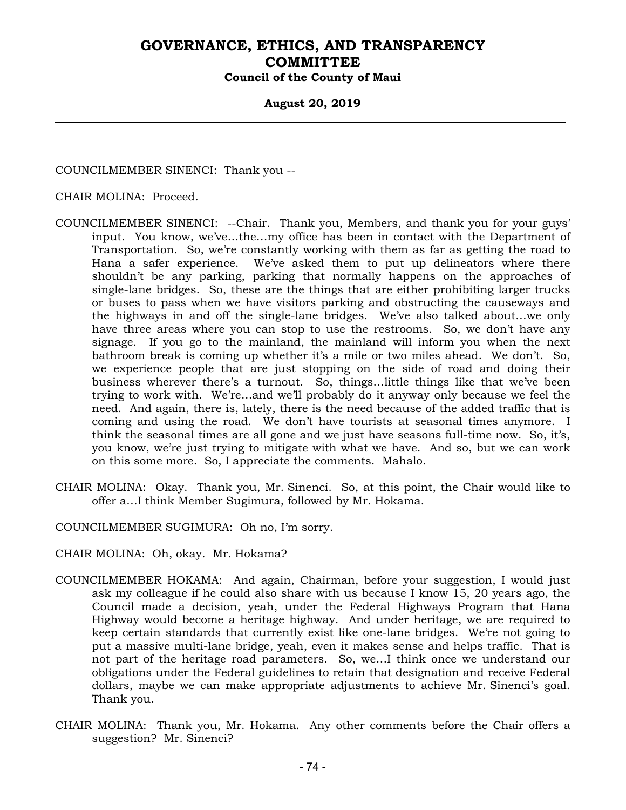#### **August 20, 2019**

COUNCILMEMBER SINENCI: Thank you --

#### CHAIR MOLINA: Proceed.

- COUNCILMEMBER SINENCI: --Chair. Thank you, Members, and thank you for your guys' input. You know, we've…the…my office has been in contact with the Department of Transportation. So, we're constantly working with them as far as getting the road to Hana a safer experience. We've asked them to put up delineators where there shouldn't be any parking, parking that normally happens on the approaches of single-lane bridges. So, these are the things that are either prohibiting larger trucks or buses to pass when we have visitors parking and obstructing the causeways and the highways in and off the single-lane bridges. We've also talked about…we only have three areas where you can stop to use the restrooms. So, we don't have any signage. If you go to the mainland, the mainland will inform you when the next bathroom break is coming up whether it's a mile or two miles ahead. We don't. So, we experience people that are just stopping on the side of road and doing their business wherever there's a turnout. So, things…little things like that we've been trying to work with. We're…and we'll probably do it anyway only because we feel the need. And again, there is, lately, there is the need because of the added traffic that is coming and using the road. We don't have tourists at seasonal times anymore. I think the seasonal times are all gone and we just have seasons full-time now. So, it's, you know, we're just trying to mitigate with what we have. And so, but we can work on this some more. So, I appreciate the comments. Mahalo.
- CHAIR MOLINA: Okay. Thank you, Mr. Sinenci. So, at this point, the Chair would like to offer a…I think Member Sugimura, followed by Mr. Hokama.
- COUNCILMEMBER SUGIMURA: Oh no, I'm sorry.
- CHAIR MOLINA: Oh, okay. Mr. Hokama?
- COUNCILMEMBER HOKAMA: And again, Chairman, before your suggestion, I would just ask my colleague if he could also share with us because I know 15, 20 years ago, the Council made a decision, yeah, under the Federal Highways Program that Hana Highway would become a heritage highway. And under heritage, we are required to keep certain standards that currently exist like one-lane bridges. We're not going to put a massive multi-lane bridge, yeah, even it makes sense and helps traffic. That is not part of the heritage road parameters. So, we…I think once we understand our obligations under the Federal guidelines to retain that designation and receive Federal dollars, maybe we can make appropriate adjustments to achieve Mr. Sinenci's goal. Thank you.
- CHAIR MOLINA: Thank you, Mr. Hokama. Any other comments before the Chair offers a suggestion? Mr. Sinenci?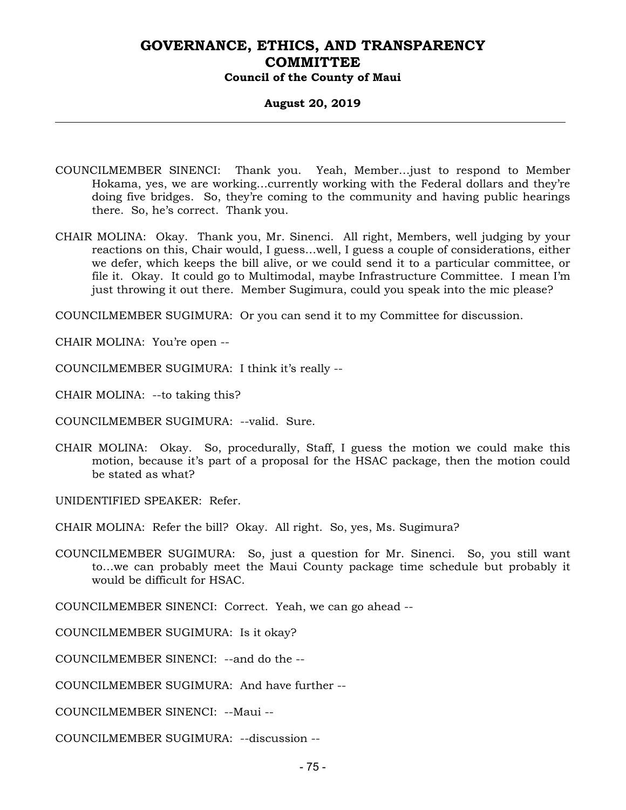#### **August 20, 2019**

- COUNCILMEMBER SINENCI: Thank you. Yeah, Member…just to respond to Member Hokama, yes, we are working…currently working with the Federal dollars and they're doing five bridges. So, they're coming to the community and having public hearings there. So, he's correct. Thank you.
- CHAIR MOLINA: Okay. Thank you, Mr. Sinenci. All right, Members, well judging by your reactions on this, Chair would, I guess…well, I guess a couple of considerations, either we defer, which keeps the bill alive, or we could send it to a particular committee, or file it. Okay. It could go to Multimodal, maybe Infrastructure Committee. I mean I'm just throwing it out there. Member Sugimura, could you speak into the mic please?

COUNCILMEMBER SUGIMURA: Or you can send it to my Committee for discussion.

CHAIR MOLINA: You're open --

COUNCILMEMBER SUGIMURA: I think it's really --

CHAIR MOLINA: --to taking this?

COUNCILMEMBER SUGIMURA: --valid. Sure.

CHAIR MOLINA: Okay. So, procedurally, Staff, I guess the motion we could make this motion, because it's part of a proposal for the HSAC package, then the motion could be stated as what?

UNIDENTIFIED SPEAKER: Refer.

CHAIR MOLINA: Refer the bill? Okay. All right. So, yes, Ms. Sugimura?

COUNCILMEMBER SUGIMURA: So, just a question for Mr. Sinenci. So, you still want to…we can probably meet the Maui County package time schedule but probably it would be difficult for HSAC.

COUNCILMEMBER SINENCI: Correct. Yeah, we can go ahead --

COUNCILMEMBER SUGIMURA: Is it okay?

COUNCILMEMBER SINENCI: --and do the --

COUNCILMEMBER SUGIMURA: And have further --

COUNCILMEMBER SINENCI: --Maui --

COUNCILMEMBER SUGIMURA: --discussion --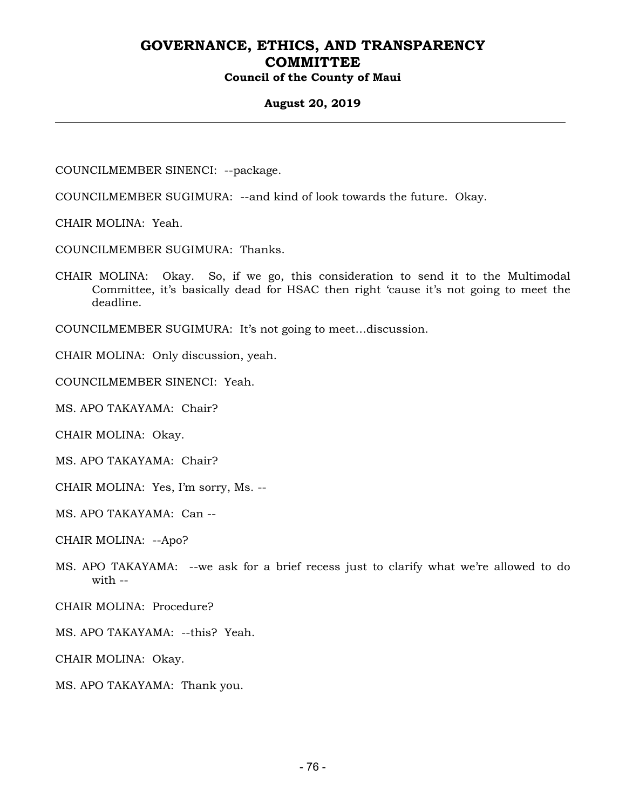#### **August 20, 2019**

COUNCILMEMBER SINENCI: --package.

COUNCILMEMBER SUGIMURA: --and kind of look towards the future. Okay.

CHAIR MOLINA: Yeah.

COUNCILMEMBER SUGIMURA: Thanks.

CHAIR MOLINA: Okay. So, if we go, this consideration to send it to the Multimodal Committee, it's basically dead for HSAC then right 'cause it's not going to meet the deadline.

COUNCILMEMBER SUGIMURA: It's not going to meet…discussion.

CHAIR MOLINA: Only discussion, yeah.

COUNCILMEMBER SINENCI: Yeah.

MS. APO TAKAYAMA: Chair?

CHAIR MOLINA: Okay.

MS. APO TAKAYAMA: Chair?

CHAIR MOLINA: Yes, I'm sorry, Ms. --

MS. APO TAKAYAMA: Can --

CHAIR MOLINA: --Apo?

MS. APO TAKAYAMA: --we ask for a brief recess just to clarify what we're allowed to do with --

CHAIR MOLINA: Procedure?

MS. APO TAKAYAMA: --this? Yeah.

CHAIR MOLINA: Okay.

MS. APO TAKAYAMA: Thank you.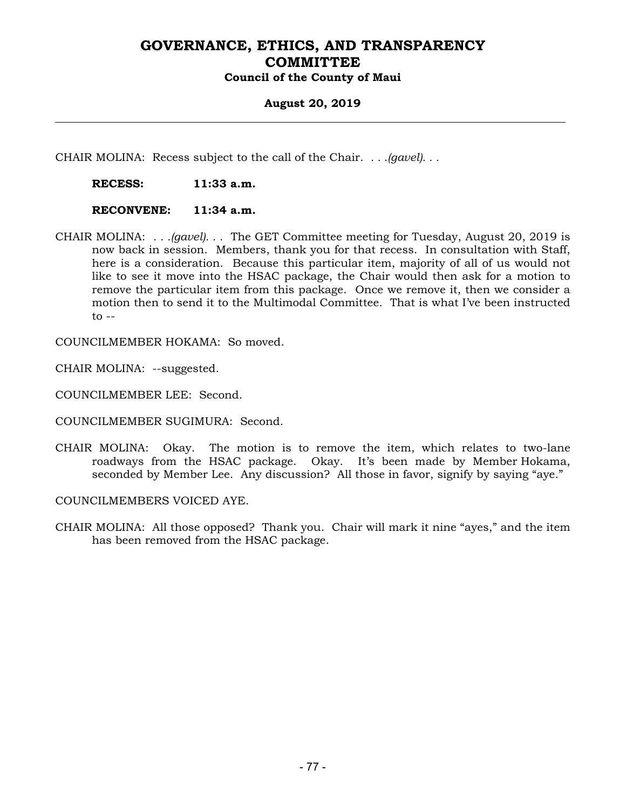#### **August 20, 2019**

CHAIR MOLINA: Recess subject to the call of the Chair. *. . .(gavel). . .*

 **RECESS: 11:33 a.m.** 

 **RECONVENE: 11:34 a.m.** 

CHAIR MOLINA: *. . .(gavel). . .* The GET Committee meeting for Tuesday, August 20, 2019 is now back in session. Members, thank you for that recess. In consultation with Staff, here is a consideration. Because this particular item, majority of all of us would not like to see it move into the HSAC package, the Chair would then ask for a motion to remove the particular item from this package. Once we remove it, then we consider a motion then to send it to the Multimodal Committee. That is what I've been instructed  $to --$ 

COUNCILMEMBER HOKAMA: So moved.

CHAIR MOLINA: --suggested.

COUNCILMEMBER LEE: Second.

COUNCILMEMBER SUGIMURA: Second.

CHAIR MOLINA: Okay. The motion is to remove the item, which relates to two-lane roadways from the HSAC package. Okay. It's been made by Member Hokama, seconded by Member Lee. Any discussion? All those in favor, signify by saying "aye."

COUNCILMEMBERS VOICED AYE.

CHAIR MOLINA: All those opposed? Thank you. Chair will mark it nine "ayes," and the item has been removed from the HSAC package.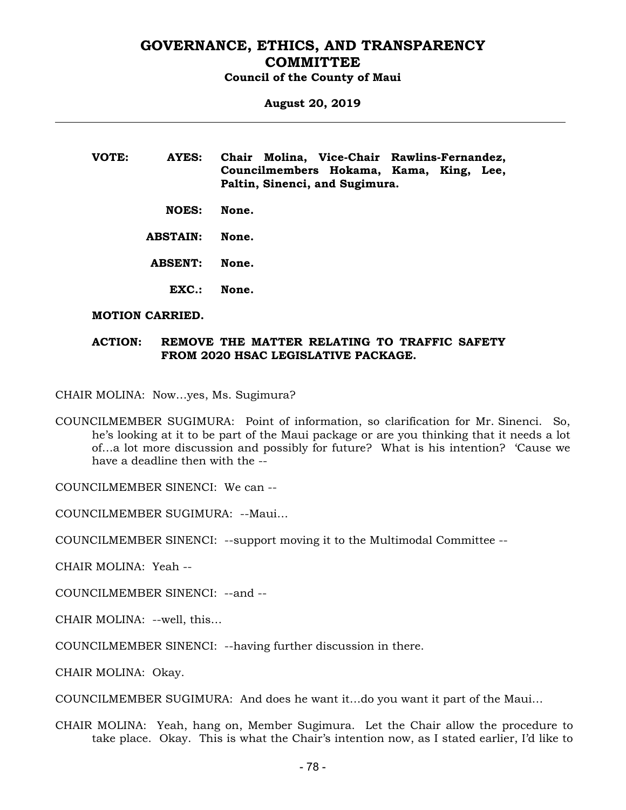**August 20, 2019** 

**VOTE: AYES: Chair Molina, Vice-Chair Rawlins-Fernandez, Councilmembers Hokama, Kama, King, Lee, Paltin, Sinenci, and Sugimura.** 

 **NOES: None.** 

 **ABSTAIN: None.** 

 **ABSENT: None.** 

 **EXC.: None.** 

#### **MOTION CARRIED.**

#### **ACTION: REMOVE THE MATTER RELATING TO TRAFFIC SAFETY FROM 2020 HSAC LEGISLATIVE PACKAGE.**

CHAIR MOLINA: Now…yes, Ms. Sugimura?

COUNCILMEMBER SUGIMURA: Point of information, so clarification for Mr. Sinenci. So, he's looking at it to be part of the Maui package or are you thinking that it needs a lot of…a lot more discussion and possibly for future? What is his intention? 'Cause we have a deadline then with the --

COUNCILMEMBER SINENCI: We can --

COUNCILMEMBER SUGIMURA: --Maui…

COUNCILMEMBER SINENCI: --support moving it to the Multimodal Committee --

CHAIR MOLINA: Yeah --

COUNCILMEMBER SINENCI: --and --

CHAIR MOLINA: --well, this…

COUNCILMEMBER SINENCI: --having further discussion in there.

CHAIR MOLINA: Okay.

COUNCILMEMBER SUGIMURA: And does he want it…do you want it part of the Maui…

CHAIR MOLINA: Yeah, hang on, Member Sugimura. Let the Chair allow the procedure to take place. Okay. This is what the Chair's intention now, as I stated earlier, I'd like to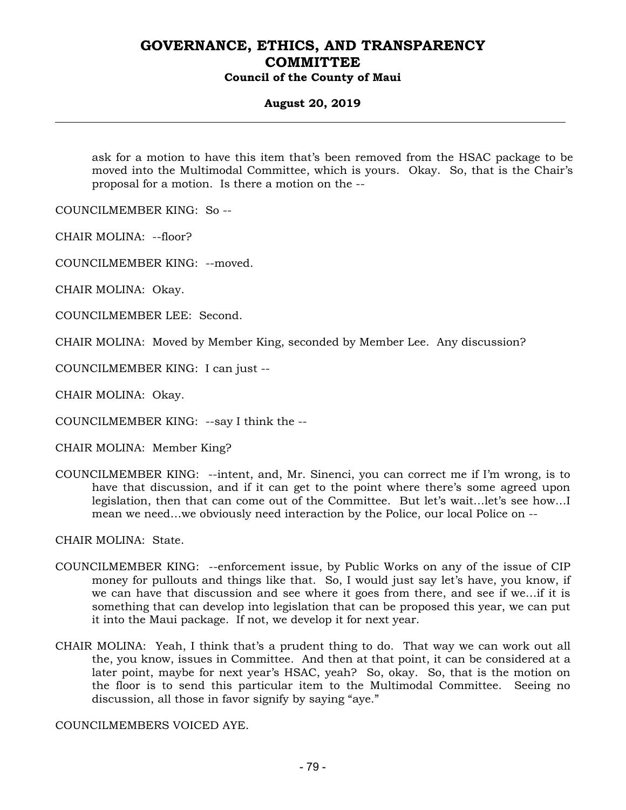#### **August 20, 2019**

ask for a motion to have this item that's been removed from the HSAC package to be moved into the Multimodal Committee, which is yours. Okay. So, that is the Chair's proposal for a motion. Is there a motion on the --

COUNCILMEMBER KING: So --

CHAIR MOLINA: --floor?

COUNCILMEMBER KING: --moved.

CHAIR MOLINA: Okay.

COUNCILMEMBER LEE: Second.

CHAIR MOLINA: Moved by Member King, seconded by Member Lee. Any discussion?

COUNCILMEMBER KING: I can just --

CHAIR MOLINA: Okay.

COUNCILMEMBER KING: --say I think the --

CHAIR MOLINA: Member King?

COUNCILMEMBER KING: --intent, and, Mr. Sinenci, you can correct me if I'm wrong, is to have that discussion, and if it can get to the point where there's some agreed upon legislation, then that can come out of the Committee. But let's wait…let's see how…I mean we need…we obviously need interaction by the Police, our local Police on --

CHAIR MOLINA: State.

- COUNCILMEMBER KING: --enforcement issue, by Public Works on any of the issue of CIP money for pullouts and things like that. So, I would just say let's have, you know, if we can have that discussion and see where it goes from there, and see if we…if it is something that can develop into legislation that can be proposed this year, we can put it into the Maui package. If not, we develop it for next year.
- CHAIR MOLINA: Yeah, I think that's a prudent thing to do. That way we can work out all the, you know, issues in Committee. And then at that point, it can be considered at a later point, maybe for next year's HSAC, yeah? So, okay. So, that is the motion on the floor is to send this particular item to the Multimodal Committee. Seeing no discussion, all those in favor signify by saying "aye."

COUNCILMEMBERS VOICED AYE.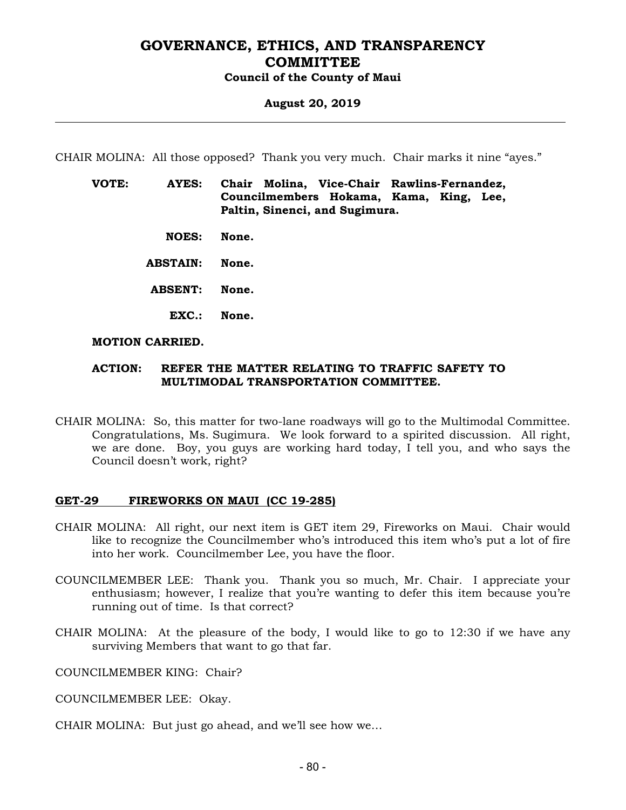#### **August 20, 2019**

CHAIR MOLINA: All those opposed? Thank you very much. Chair marks it nine "ayes."

- **VOTE: AYES: Chair Molina, Vice-Chair Rawlins-Fernandez, Councilmembers Hokama, Kama, King, Lee, Paltin, Sinenci, and Sugimura.** 
	- **NOES: None.**
	- **ABSTAIN: None.**
	- **ABSENT: None.** 
		- **EXC.: None.**

#### **MOTION CARRIED.**

#### **ACTION: REFER THE MATTER RELATING TO TRAFFIC SAFETY TO MULTIMODAL TRANSPORTATION COMMITTEE.**

CHAIR MOLINA: So, this matter for two-lane roadways will go to the Multimodal Committee. Congratulations, Ms. Sugimura. We look forward to a spirited discussion. All right, we are done. Boy, you guys are working hard today, I tell you, and who says the Council doesn't work, right?

#### **GET-29 FIREWORKS ON MAUI (CC 19-285)**

- CHAIR MOLINA: All right, our next item is GET item 29, Fireworks on Maui. Chair would like to recognize the Councilmember who's introduced this item who's put a lot of fire into her work. Councilmember Lee, you have the floor.
- COUNCILMEMBER LEE: Thank you. Thank you so much, Mr. Chair. I appreciate your enthusiasm; however, I realize that you're wanting to defer this item because you're running out of time. Is that correct?
- CHAIR MOLINA: At the pleasure of the body, I would like to go to 12:30 if we have any surviving Members that want to go that far.

COUNCILMEMBER KING: Chair?

- COUNCILMEMBER LEE: Okay.
- CHAIR MOLINA: But just go ahead, and we'll see how we…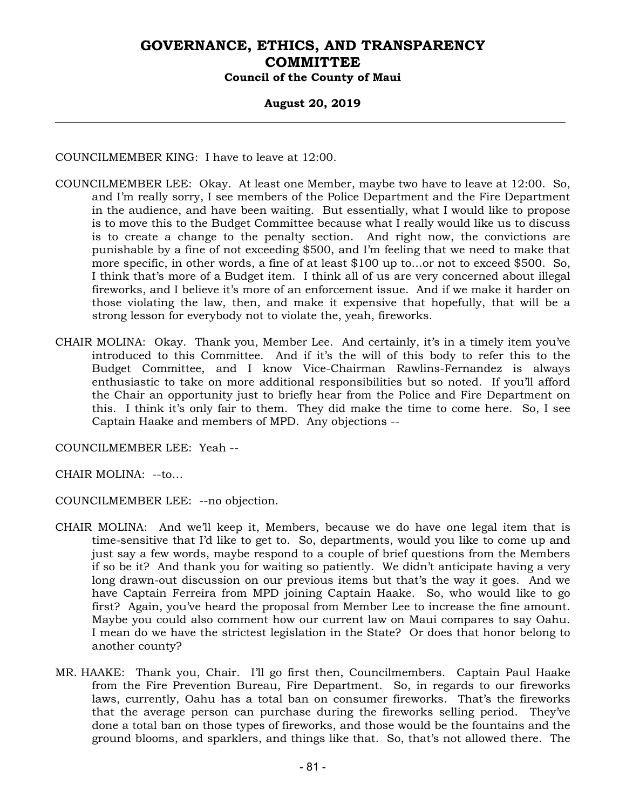#### **August 20, 2019**

COUNCILMEMBER KING: I have to leave at 12:00.

- COUNCILMEMBER LEE: Okay. At least one Member, maybe two have to leave at 12:00. So, and I'm really sorry, I see members of the Police Department and the Fire Department in the audience, and have been waiting. But essentially, what I would like to propose is to move this to the Budget Committee because what I really would like us to discuss is to create a change to the penalty section. And right now, the convictions are punishable by a fine of not exceeding \$500, and I'm feeling that we need to make that more specific, in other words, a fine of at least \$100 up to…or not to exceed \$500. So, I think that's more of a Budget item. I think all of us are very concerned about illegal fireworks, and I believe it's more of an enforcement issue. And if we make it harder on those violating the law, then, and make it expensive that hopefully, that will be a strong lesson for everybody not to violate the, yeah, fireworks.
- CHAIR MOLINA: Okay. Thank you, Member Lee. And certainly, it's in a timely item you've introduced to this Committee. And if it's the will of this body to refer this to the Budget Committee, and I know Vice-Chairman Rawlins-Fernandez is always enthusiastic to take on more additional responsibilities but so noted. If you'll afford the Chair an opportunity just to briefly hear from the Police and Fire Department on this. I think it's only fair to them. They did make the time to come here. So, I see Captain Haake and members of MPD. Any objections --

COUNCILMEMBER LEE: Yeah --

CHAIR MOLINA: --to…

COUNCILMEMBER LEE: --no objection.

- CHAIR MOLINA: And we'll keep it, Members, because we do have one legal item that is time-sensitive that I'd like to get to. So, departments, would you like to come up and just say a few words, maybe respond to a couple of brief questions from the Members if so be it? And thank you for waiting so patiently. We didn't anticipate having a very long drawn-out discussion on our previous items but that's the way it goes. And we have Captain Ferreira from MPD joining Captain Haake. So, who would like to go first? Again, you've heard the proposal from Member Lee to increase the fine amount. Maybe you could also comment how our current law on Maui compares to say Oahu. I mean do we have the strictest legislation in the State? Or does that honor belong to another county?
- MR. HAAKE: Thank you, Chair. I'll go first then, Councilmembers. Captain Paul Haake from the Fire Prevention Bureau, Fire Department. So, in regards to our fireworks laws, currently, Oahu has a total ban on consumer fireworks. That's the fireworks that the average person can purchase during the fireworks selling period. They've done a total ban on those types of fireworks, and those would be the fountains and the ground blooms, and sparklers, and things like that. So, that's not allowed there. The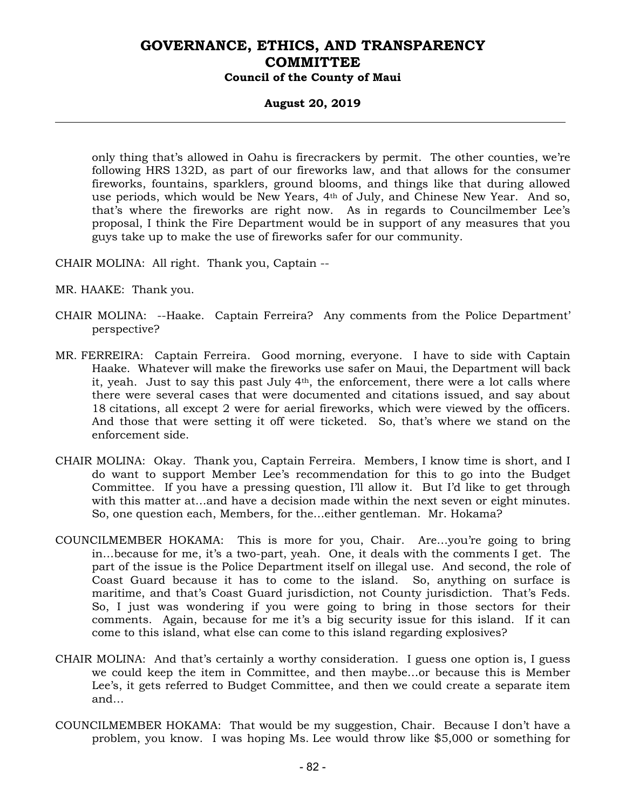#### **August 20, 2019**

only thing that's allowed in Oahu is firecrackers by permit. The other counties, we're following HRS 132D, as part of our fireworks law, and that allows for the consumer fireworks, fountains, sparklers, ground blooms, and things like that during allowed use periods, which would be New Years, 4<sup>th</sup> of July, and Chinese New Year. And so, that's where the fireworks are right now. As in regards to Councilmember Lee's proposal, I think the Fire Department would be in support of any measures that you guys take up to make the use of fireworks safer for our community.

CHAIR MOLINA: All right. Thank you, Captain --

MR. HAAKE: Thank you.

- CHAIR MOLINA: --Haake. Captain Ferreira? Any comments from the Police Department' perspective?
- MR. FERREIRA: Captain Ferreira. Good morning, everyone. I have to side with Captain Haake. Whatever will make the fireworks use safer on Maui, the Department will back it, yeah. Just to say this past July  $4<sup>th</sup>$ , the enforcement, there were a lot calls where there were several cases that were documented and citations issued, and say about 18 citations, all except 2 were for aerial fireworks, which were viewed by the officers. And those that were setting it off were ticketed. So, that's where we stand on the enforcement side.
- CHAIR MOLINA: Okay. Thank you, Captain Ferreira. Members, I know time is short, and I do want to support Member Lee's recommendation for this to go into the Budget Committee. If you have a pressing question, I'll allow it. But I'd like to get through with this matter at…and have a decision made within the next seven or eight minutes. So, one question each, Members, for the…either gentleman. Mr. Hokama?
- COUNCILMEMBER HOKAMA: This is more for you, Chair. Are…you're going to bring in…because for me, it's a two-part, yeah. One, it deals with the comments I get. The part of the issue is the Police Department itself on illegal use. And second, the role of Coast Guard because it has to come to the island. So, anything on surface is maritime, and that's Coast Guard jurisdiction, not County jurisdiction. That's Feds. So, I just was wondering if you were going to bring in those sectors for their comments. Again, because for me it's a big security issue for this island. If it can come to this island, what else can come to this island regarding explosives?
- CHAIR MOLINA: And that's certainly a worthy consideration. I guess one option is, I guess we could keep the item in Committee, and then maybe…or because this is Member Lee's, it gets referred to Budget Committee, and then we could create a separate item and…
- COUNCILMEMBER HOKAMA: That would be my suggestion, Chair. Because I don't have a problem, you know. I was hoping Ms. Lee would throw like \$5,000 or something for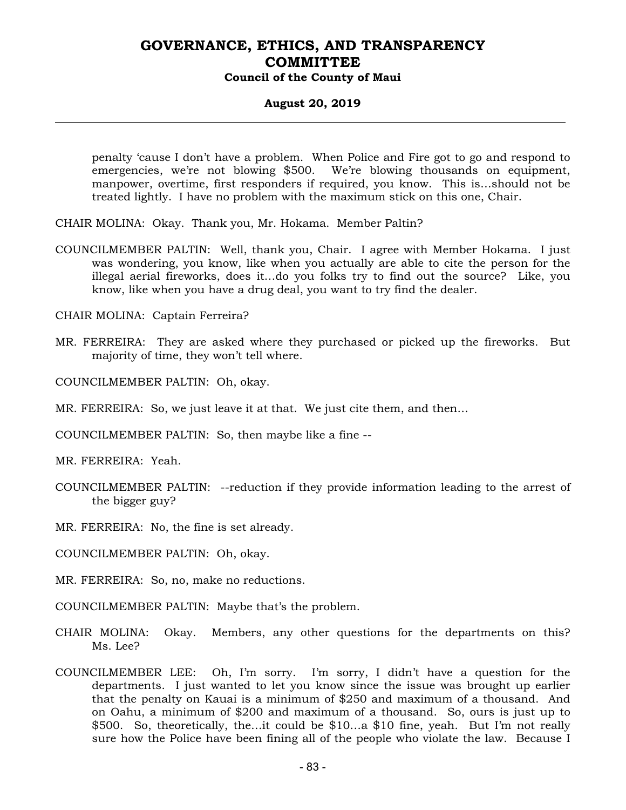#### **August 20, 2019**

penalty 'cause I don't have a problem. When Police and Fire got to go and respond to emergencies, we're not blowing \$500. We're blowing thousands on equipment, manpower, overtime, first responders if required, you know. This is…should not be treated lightly. I have no problem with the maximum stick on this one, Chair.

CHAIR MOLINA: Okay. Thank you, Mr. Hokama. Member Paltin?

COUNCILMEMBER PALTIN: Well, thank you, Chair. I agree with Member Hokama. I just was wondering, you know, like when you actually are able to cite the person for the illegal aerial fireworks, does it…do you folks try to find out the source? Like, you know, like when you have a drug deal, you want to try find the dealer.

CHAIR MOLINA: Captain Ferreira?

- MR. FERREIRA: They are asked where they purchased or picked up the fireworks. But majority of time, they won't tell where.
- COUNCILMEMBER PALTIN: Oh, okay.
- MR. FERREIRA: So, we just leave it at that. We just cite them, and then…
- COUNCILMEMBER PALTIN: So, then maybe like a fine --

MR. FERREIRA: Yeah.

- COUNCILMEMBER PALTIN: --reduction if they provide information leading to the arrest of the bigger guy?
- MR. FERREIRA: No, the fine is set already.
- COUNCILMEMBER PALTIN: Oh, okay.
- MR. FERREIRA: So, no, make no reductions.
- COUNCILMEMBER PALTIN: Maybe that's the problem.
- CHAIR MOLINA: Okay. Members, any other questions for the departments on this? Ms. Lee?
- COUNCILMEMBER LEE: Oh, I'm sorry. I'm sorry, I didn't have a question for the departments. I just wanted to let you know since the issue was brought up earlier that the penalty on Kauai is a minimum of \$250 and maximum of a thousand. And on Oahu, a minimum of \$200 and maximum of a thousand. So, ours is just up to \$500. So, theoretically, the…it could be \$10…a \$10 fine, yeah. But I'm not really sure how the Police have been fining all of the people who violate the law. Because I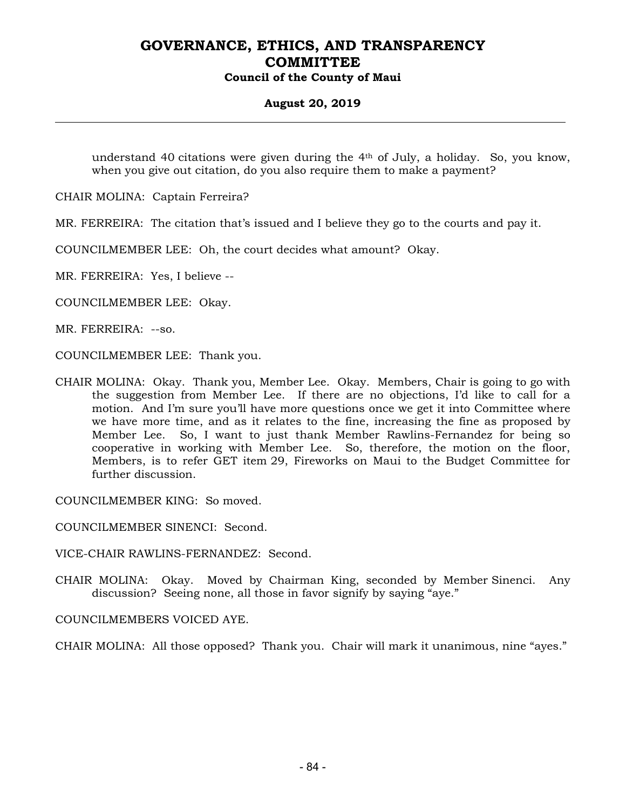#### **August 20, 2019**

understand 40 citations were given during the 4th of July, a holiday. So, you know, when you give out citation, do you also require them to make a payment?

CHAIR MOLINA: Captain Ferreira?

MR. FERREIRA: The citation that's issued and I believe they go to the courts and pay it.

COUNCILMEMBER LEE: Oh, the court decides what amount? Okay.

MR. FERREIRA: Yes, I believe --

COUNCILMEMBER LEE: Okay.

MR. FERREIRA: --so.

COUNCILMEMBER LEE: Thank you.

CHAIR MOLINA: Okay. Thank you, Member Lee. Okay. Members, Chair is going to go with the suggestion from Member Lee. If there are no objections, I'd like to call for a motion. And I'm sure you'll have more questions once we get it into Committee where we have more time, and as it relates to the fine, increasing the fine as proposed by Member Lee. So, I want to just thank Member Rawlins-Fernandez for being so cooperative in working with Member Lee. So, therefore, the motion on the floor, Members, is to refer GET item 29, Fireworks on Maui to the Budget Committee for further discussion.

COUNCILMEMBER KING: So moved.

COUNCILMEMBER SINENCI: Second.

VICE-CHAIR RAWLINS-FERNANDEZ: Second.

CHAIR MOLINA: Okay. Moved by Chairman King, seconded by Member Sinenci. Any discussion? Seeing none, all those in favor signify by saying "aye."

COUNCILMEMBERS VOICED AYE.

CHAIR MOLINA: All those opposed? Thank you. Chair will mark it unanimous, nine "ayes."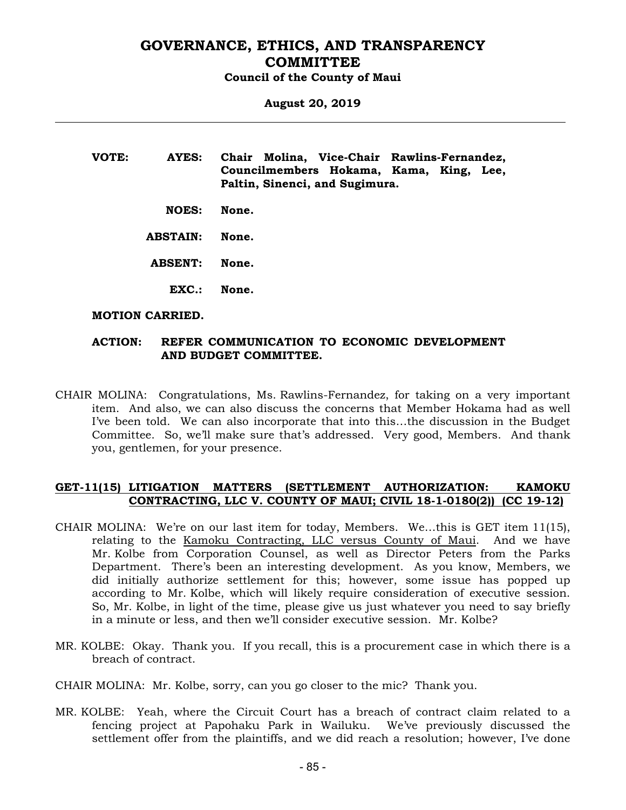**August 20, 2019** 

| VOTE: | AYES:        | Chair Molina, Vice-Chair Rawlins-Fernandez,                               |
|-------|--------------|---------------------------------------------------------------------------|
|       |              | Councilmembers Hokama, Kama, King, Lee,<br>Paltin, Sinenci, and Sugimura. |
|       | <b>NOES:</b> | None.                                                                     |

 **ABSTAIN: None.** 

 **ABSENT: None.** 

 **EXC.: None.** 

#### **MOTION CARRIED.**

#### **ACTION: REFER COMMUNICATION TO ECONOMIC DEVELOPMENT AND BUDGET COMMITTEE.**

CHAIR MOLINA: Congratulations, Ms. Rawlins-Fernandez, for taking on a very important item. And also, we can also discuss the concerns that Member Hokama had as well I've been told. We can also incorporate that into this…the discussion in the Budget Committee. So, we'll make sure that's addressed. Very good, Members. And thank you, gentlemen, for your presence.

#### **GET-11(15) LITIGATION MATTERS (SETTLEMENT AUTHORIZATION: KAMOKU CONTRACTING, LLC V. COUNTY OF MAUI; CIVIL 18-1-0180(2)) (CC 19-12)**

- CHAIR MOLINA: We're on our last item for today, Members. We…this is GET item 11(15), relating to the Kamoku Contracting, LLC versus County of Maui. And we have Mr. Kolbe from Corporation Counsel, as well as Director Peters from the Parks Department. There's been an interesting development. As you know, Members, we did initially authorize settlement for this; however, some issue has popped up according to Mr. Kolbe, which will likely require consideration of executive session. So, Mr. Kolbe, in light of the time, please give us just whatever you need to say briefly in a minute or less, and then we'll consider executive session. Mr. Kolbe?
- MR. KOLBE: Okay. Thank you. If you recall, this is a procurement case in which there is a breach of contract.

CHAIR MOLINA: Mr. Kolbe, sorry, can you go closer to the mic? Thank you.

MR. KOLBE: Yeah, where the Circuit Court has a breach of contract claim related to a fencing project at Papohaku Park in Wailuku. We've previously discussed the settlement offer from the plaintiffs, and we did reach a resolution; however, I've done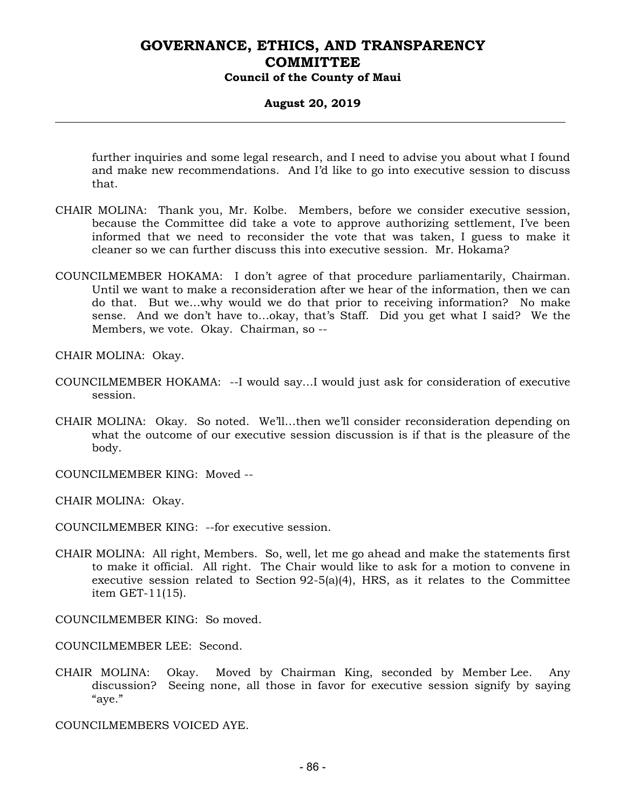#### **August 20, 2019**

further inquiries and some legal research, and I need to advise you about what I found and make new recommendations. And I'd like to go into executive session to discuss that.

- CHAIR MOLINA: Thank you, Mr. Kolbe. Members, before we consider executive session, because the Committee did take a vote to approve authorizing settlement, I've been informed that we need to reconsider the vote that was taken, I guess to make it cleaner so we can further discuss this into executive session. Mr. Hokama?
- COUNCILMEMBER HOKAMA: I don't agree of that procedure parliamentarily, Chairman. Until we want to make a reconsideration after we hear of the information, then we can do that. But we…why would we do that prior to receiving information? No make sense. And we don't have to…okay, that's Staff. Did you get what I said? We the Members, we vote. Okay. Chairman, so --

CHAIR MOLINA: Okay.

- COUNCILMEMBER HOKAMA: --I would say…I would just ask for consideration of executive session.
- CHAIR MOLINA: Okay. So noted. We'll…then we'll consider reconsideration depending on what the outcome of our executive session discussion is if that is the pleasure of the body.
- COUNCILMEMBER KING: Moved --

CHAIR MOLINA: Okay.

- COUNCILMEMBER KING: --for executive session.
- CHAIR MOLINA: All right, Members. So, well, let me go ahead and make the statements first to make it official. All right. The Chair would like to ask for a motion to convene in executive session related to Section  $92-5(a)(4)$ , HRS, as it relates to the Committee item GET-11(15).

COUNCILMEMBER KING: So moved.

COUNCILMEMBER LEE: Second.

CHAIR MOLINA: Okay. Moved by Chairman King, seconded by Member Lee. Any discussion? Seeing none, all those in favor for executive session signify by saying "aye."

COUNCILMEMBERS VOICED AYE.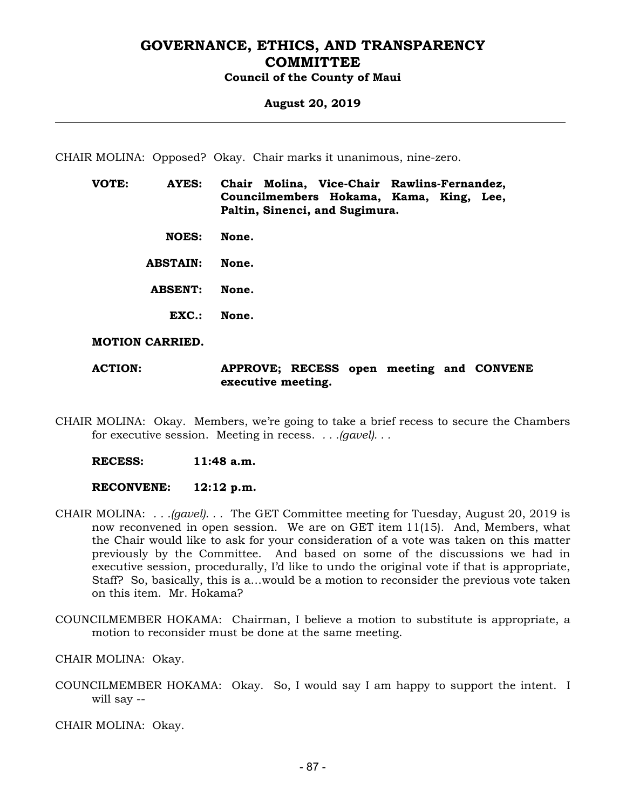#### **August 20, 2019**

CHAIR MOLINA: Opposed? Okay. Chair marks it unanimous, nine-zero.

| VOTE: | AYES:           | Chair Molina, Vice-Chair Rawlins-Fernandez,<br>Councilmembers Hokama, Kama, King, Lee,<br>Paltin, Sinenci, and Sugimura. |
|-------|-----------------|--------------------------------------------------------------------------------------------------------------------------|
|       | <b>NOES:</b>    | None.                                                                                                                    |
|       | <b>ABSTAIN:</b> | None.                                                                                                                    |
|       | <b>ABSENT:</b>  | None.                                                                                                                    |
|       | EXC.            | None.                                                                                                                    |

**MOTION CARRIED.** 

**ACTION: APPROVE; RECESS open meeting and CONVENE executive meeting.** 

CHAIR MOLINA: Okay. Members, we're going to take a brief recess to secure the Chambers for executive session. Meeting in recess. *. . .(gavel). . .*

 **RECESS: 11:48 a.m.** 

 **RECONVENE: 12:12 p.m.** 

- CHAIR MOLINA: *. . .(gavel). . .* The GET Committee meeting for Tuesday, August 20, 2019 is now reconvened in open session. We are on GET item 11(15). And, Members, what the Chair would like to ask for your consideration of a vote was taken on this matter previously by the Committee. And based on some of the discussions we had in executive session, procedurally, I'd like to undo the original vote if that is appropriate, Staff? So, basically, this is a…would be a motion to reconsider the previous vote taken on this item. Mr. Hokama?
- COUNCILMEMBER HOKAMA: Chairman, I believe a motion to substitute is appropriate, a motion to reconsider must be done at the same meeting.

CHAIR MOLINA: Okay.

COUNCILMEMBER HOKAMA: Okay. So, I would say I am happy to support the intent. I will say --

CHAIR MOLINA: Okay.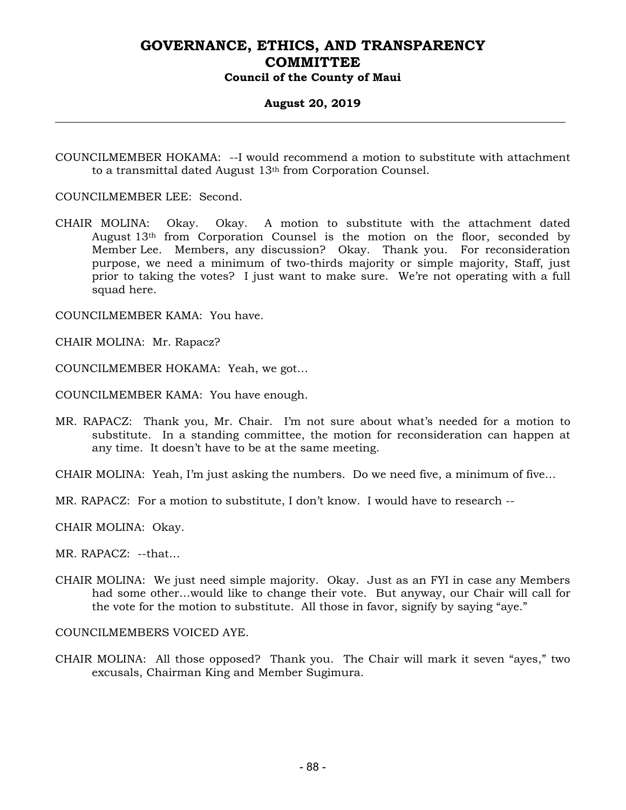#### **August 20, 2019**

COUNCILMEMBER HOKAMA: --I would recommend a motion to substitute with attachment to a transmittal dated August 13th from Corporation Counsel.

COUNCILMEMBER LEE: Second.

CHAIR MOLINA: Okay. Okay. A motion to substitute with the attachment dated August 13th from Corporation Counsel is the motion on the floor, seconded by Member Lee. Members, any discussion? Okay. Thank you. For reconsideration purpose, we need a minimum of two-thirds majority or simple majority, Staff, just prior to taking the votes? I just want to make sure. We're not operating with a full squad here.

COUNCILMEMBER KAMA: You have.

CHAIR MOLINA: Mr. Rapacz?

COUNCILMEMBER HOKAMA: Yeah, we got…

COUNCILMEMBER KAMA: You have enough.

MR. RAPACZ: Thank you, Mr. Chair. I'm not sure about what's needed for a motion to substitute. In a standing committee, the motion for reconsideration can happen at any time. It doesn't have to be at the same meeting.

CHAIR MOLINA: Yeah, I'm just asking the numbers. Do we need five, a minimum of five…

MR. RAPACZ: For a motion to substitute, I don't know. I would have to research --

CHAIR MOLINA: Okay.

MR. RAPACZ: --that…

CHAIR MOLINA: We just need simple majority. Okay. Just as an FYI in case any Members had some other…would like to change their vote. But anyway, our Chair will call for the vote for the motion to substitute. All those in favor, signify by saying "aye."

COUNCILMEMBERS VOICED AYE.

CHAIR MOLINA: All those opposed? Thank you. The Chair will mark it seven "ayes," two excusals, Chairman King and Member Sugimura.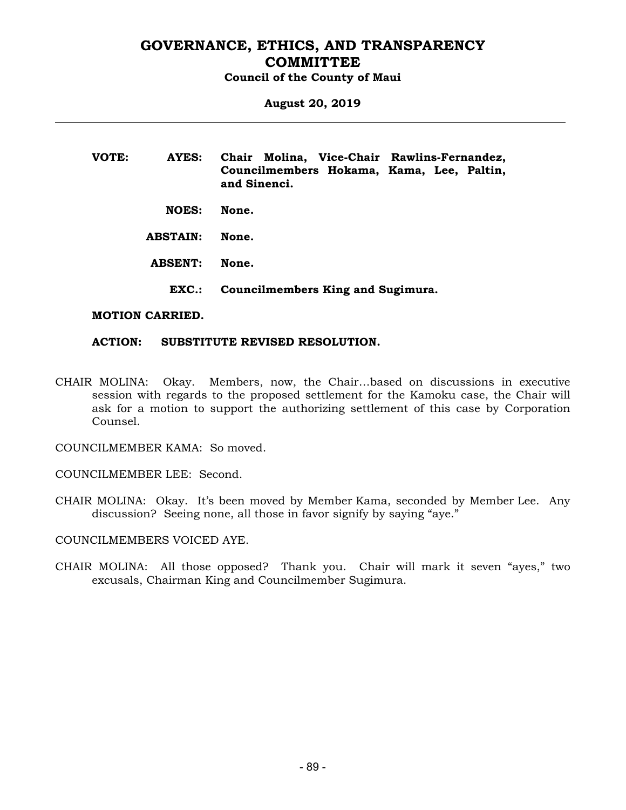**August 20, 2019** 

**VOTE: AYES: Chair Molina, Vice-Chair Rawlins-Fernandez, Councilmembers Hokama, Kama, Lee, Paltin, and Sinenci. NOES: None. ABSTAIN: None. ABSENT: None. EXC.: Councilmembers King and Sugimura.** 

#### **MOTION CARRIED.**

#### **ACTION: SUBSTITUTE REVISED RESOLUTION.**

CHAIR MOLINA: Okay. Members, now, the Chair…based on discussions in executive session with regards to the proposed settlement for the Kamoku case, the Chair will ask for a motion to support the authorizing settlement of this case by Corporation Counsel.

COUNCILMEMBER KAMA: So moved.

COUNCILMEMBER LEE: Second.

CHAIR MOLINA: Okay. It's been moved by Member Kama, seconded by Member Lee. Any discussion? Seeing none, all those in favor signify by saying "aye."

COUNCILMEMBERS VOICED AYE.

CHAIR MOLINA: All those opposed? Thank you. Chair will mark it seven "ayes," two excusals, Chairman King and Councilmember Sugimura.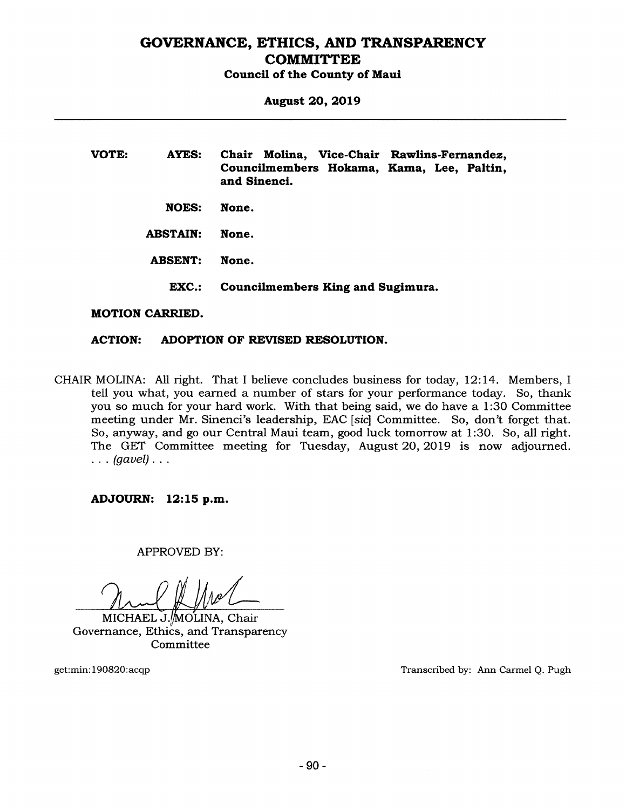# GOVERNANCE, ETHICS, AND TRANSPARENCY **COMMITTEE**

Council of the County of Maui

August 20, 2019

| <b>VOTE:</b>            | <b>AYES:</b>    | Chair Molina, Vice-Chair Rawlins-Fernandez,<br>Councilmembers Hokama, Kama, Lee, Paltin,<br>and Sinenci. |
|-------------------------|-----------------|----------------------------------------------------------------------------------------------------------|
|                         | NOES:           | None.                                                                                                    |
|                         | <b>ABSTAIN:</b> | None.                                                                                                    |
| <b>ABSENT:</b><br>EXC.: |                 | None.                                                                                                    |
|                         |                 | Councilmembers King and Sugimura.                                                                        |
|                         | .               |                                                                                                          |

#### MOTION CARRIED.

#### ACTION: ADOPTION OF REVISED RESOLUTION.

CHAIR MOLINA: All right. That <sup>I</sup> believe concludes business for today, 12:14. Members, <sup>I</sup> tell you what, you earned a number of stars for your performance today. So, thank you so much for your hard work. With that being said, we do have a 1:30 Committee meeting under Mr. Sinenci's leadership, EAC [sic] Committee. So, don't forget that. So, anyway, and go our Central Maui team, good luck tomorrow at 1:30. So, all right. The GET Committee meeting for Tuesday, August 20, 2019 is now adjourned.  $\ldots$  (gavel)...

#### ADJOURN: 12:15 p.m.

APPROVED BY:

)LAØ

MICHAEL J./MOʻLINA, Chair Governance, Ethics, and Transparency Committee

get:min:190820:acqp Transcribed by: Ann carmel Q. Pugh